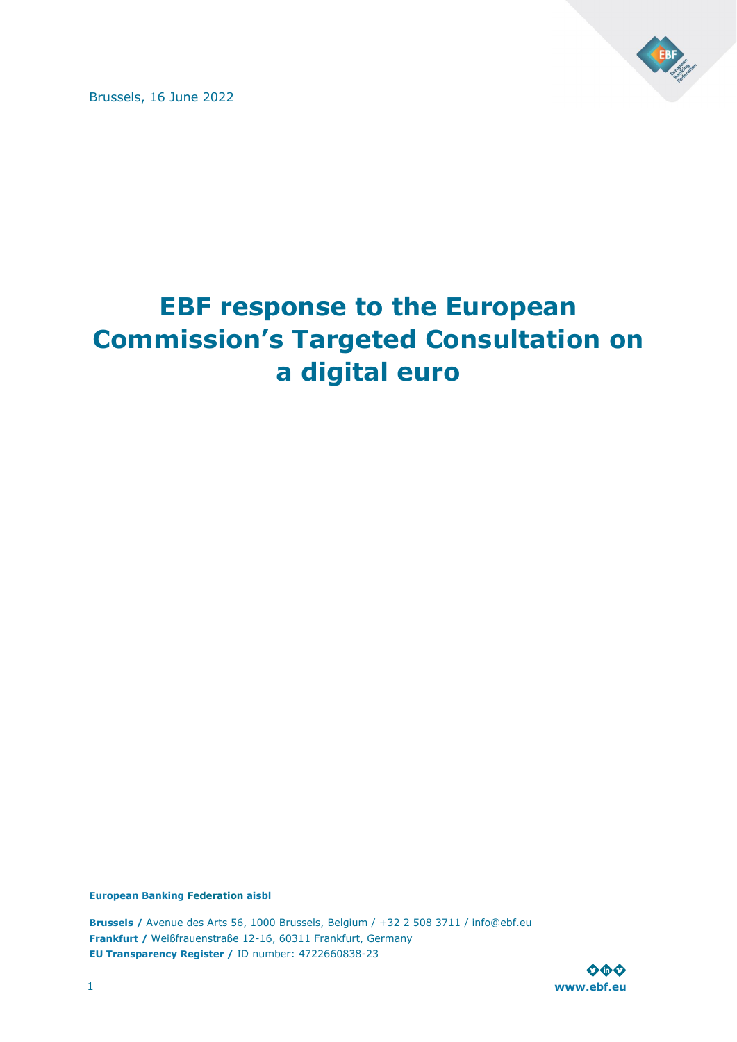

Brussels, 16 June 2022

# **EBF response to the European Commission's Targeted Consultation on a digital euro**

**European Banking Federation aisbl**

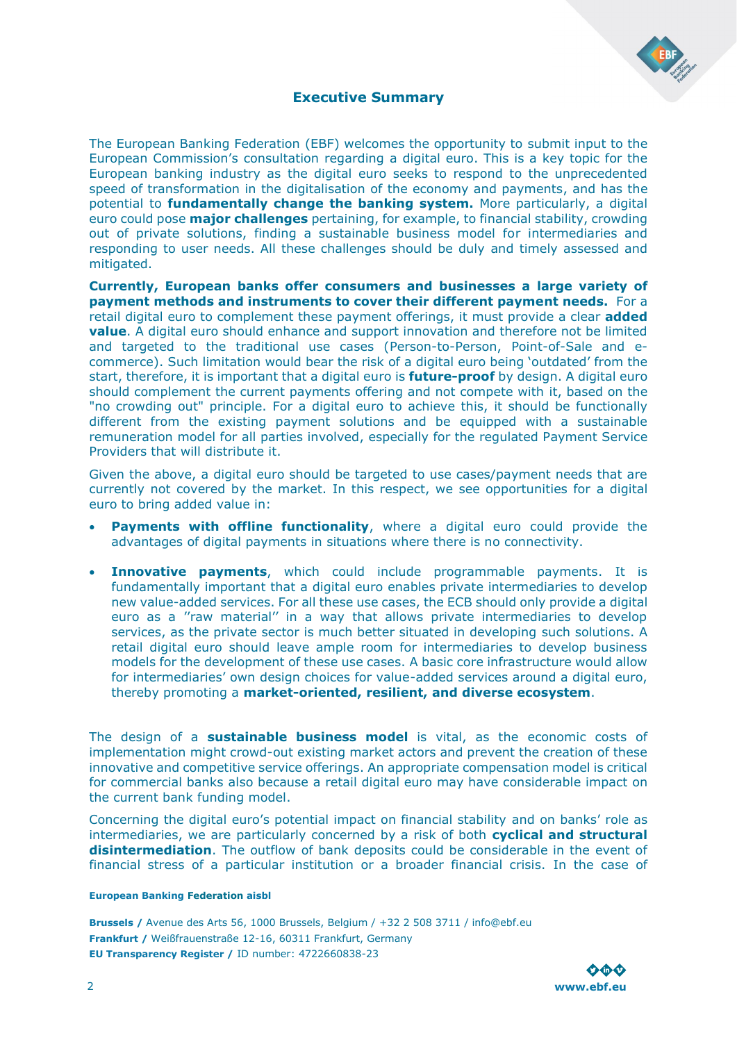

### **Executive Summary**

<span id="page-1-0"></span>The European Banking Federation (EBF) welcomes the opportunity to submit input to the European Commission's consultation regarding a digital euro. This is a key topic for the European banking industry as the digital euro seeks to respond to the unprecedented speed of transformation in the digitalisation of the economy and payments, and has the potential to **fundamentally change the banking system.** More particularly, a digital euro could pose **major challenges** pertaining, for example, to financial stability, crowding out of private solutions, finding a sustainable business model for intermediaries and responding to user needs. All these challenges should be duly and timely assessed and mitigated.

**Currently, European banks offer consumers and businesses a large variety of payment methods and instruments to cover their different payment needs.** For a retail digital euro to complement these payment offerings, it must provide a clear **added value**. A digital euro should enhance and support innovation and therefore not be limited and targeted to the traditional use cases (Person-to-Person, Point-of-Sale and ecommerce). Such limitation would bear the risk of a digital euro being 'outdated' from the start, therefore, it is important that a digital euro is **future-proof** by design. A digital euro should complement the current payments offering and not compete with it, based on the "no crowding out" principle. For a digital euro to achieve this, it should be functionally different from the existing payment solutions and be equipped with a sustainable remuneration model for all parties involved, especially for the regulated Payment Service Providers that will distribute it.

Given the above, a digital euro should be targeted to use cases/payment needs that are currently not covered by the market. In this respect, we see opportunities for a digital euro to bring added value in:

- **Payments with offline functionality**, where a digital euro could provide the advantages of digital payments in situations where there is no connectivity.
- **Innovative payments**, which could include programmable payments. It is fundamentally important that a digital euro enables private intermediaries to develop new value-added services. For all these use cases, the ECB should only provide a digital euro as a ''raw material'' in a way that allows private intermediaries to develop services, as the private sector is much better situated in developing such solutions. A retail digital euro should leave ample room for intermediaries to develop business models for the development of these use cases. A basic core infrastructure would allow for intermediaries' own design choices for value-added services around a digital euro, thereby promoting a **market-oriented, resilient, and diverse ecosystem**.

The design of a **sustainable business model** is vital, as the economic costs of implementation might crowd-out existing market actors and prevent the creation of these innovative and competitive service offerings. An appropriate compensation model is critical for commercial banks also because a retail digital euro may have considerable impact on the current bank funding model.

Concerning the digital euro's potential impact on financial stability and on banks' role as intermediaries, we are particularly concerned by a risk of both **cyclical and structural disintermediation**. The outflow of bank deposits could be considerable in the event of financial stress of a particular institution or a broader financial crisis. In the case of

#### **European Banking Federation aisbl**

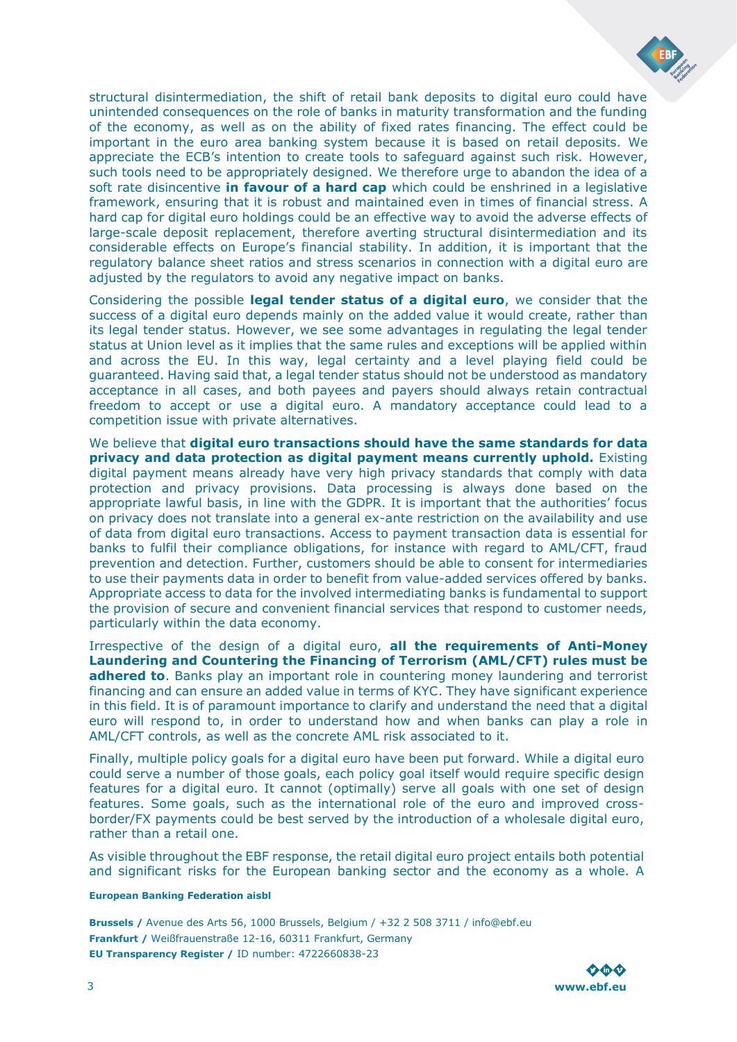

structural disintermediation, the shift of retail bank deposits to digital euro could have unintended consequences on the role of banks in maturity transformation and the funding of the economy, as well as on the ability of fixed rates financing. The effect could be important in the euro area banking system because it is based on retail deposits. We appreciate the ECB's intention to create tools to safeguard against such risk. However, such tools need to be appropriately designed. We therefore urge to abandon the idea of a soft rate disincentive **in favour of a hard cap** which could be enshrined in a legislative framework, ensuring that it is robust and maintained even in times of financial stress. A hard cap for digital euro holdings could be an effective way to avoid the adverse effects of large-scale deposit replacement, therefore averting structural disintermediation and its considerable effects on Europe's financial stability. In addition, it is important that the regulatory balance sheet ratios and stress scenarios in connection with a digital euro are adjusted by the regulators to avoid any negative impact on banks.

Considering the possible **legal tender status of a digital euro**, we consider that the success of a digital euro depends mainly on the added value it would create, rather than its legal tender status. However, we see some advantages in regulating the legal tender status at Union level as it implies that the same rules and exceptions will be applied within and across the EU. In this way, legal certainty and a level playing field could be guaranteed. Having said that, a legal tender status should not be understood as mandatory acceptance in all cases, and both payees and payers should always retain contractual freedom to accept or use a digital euro. A mandatory acceptance could lead to a competition issue with private alternatives.

We believe that **digital euro transactions should have the same standards for data privacy and data protection as digital payment means currently uphold.** Existing digital payment means already have very high privacy standards that comply with data protection and privacy provisions. Data processing is always done based on the appropriate lawful basis, in line with the GDPR. It is important that the authorities' focus on privacy does not translate into a general ex-ante restriction on the availability and use of data from digital euro transactions. Access to payment transaction data is essential for banks to fulfil their compliance obligations, for instance with regard to AML/CFT, fraud prevention and detection. Further, customers should be able to consent for intermediaries to use their payments data in order to benefit from value-added services offered by banks. Appropriate access to data for the involved intermediating banks is fundamental to support the provision of secure and convenient financial services that respond to customer needs, particularly within the data economy.

Irrespective of the design of a digital euro, **all the requirements of Anti-Money Laundering and Countering the Financing of Terrorism (AML/CFT) rules must be**  adhered to. Banks play an important role in countering money laundering and terrorist financing and can ensure an added value in terms of KYC. They have significant experience in this field. It is of paramount importance to clarify and understand the need that a digital euro will respond to, in order to understand how and when banks can play a role in AML/CFT controls, as well as the concrete AML risk associated to it.

Finally, multiple policy goals for a digital euro have been put forward. While a digital euro could serve a number of those goals, each policy goal itself would require specific design features for a digital euro. It cannot (optimally) serve all goals with one set of design features. Some goals, such as the international role of the euro and improved crossborder/FX payments could be best served by the introduction of a wholesale digital euro, rather than a retail one.

As visible throughout the EBF response, the retail digital euro project entails both potential and significant risks for the European banking sector and the economy as a whole. A

#### **European Banking Federation aisbl**

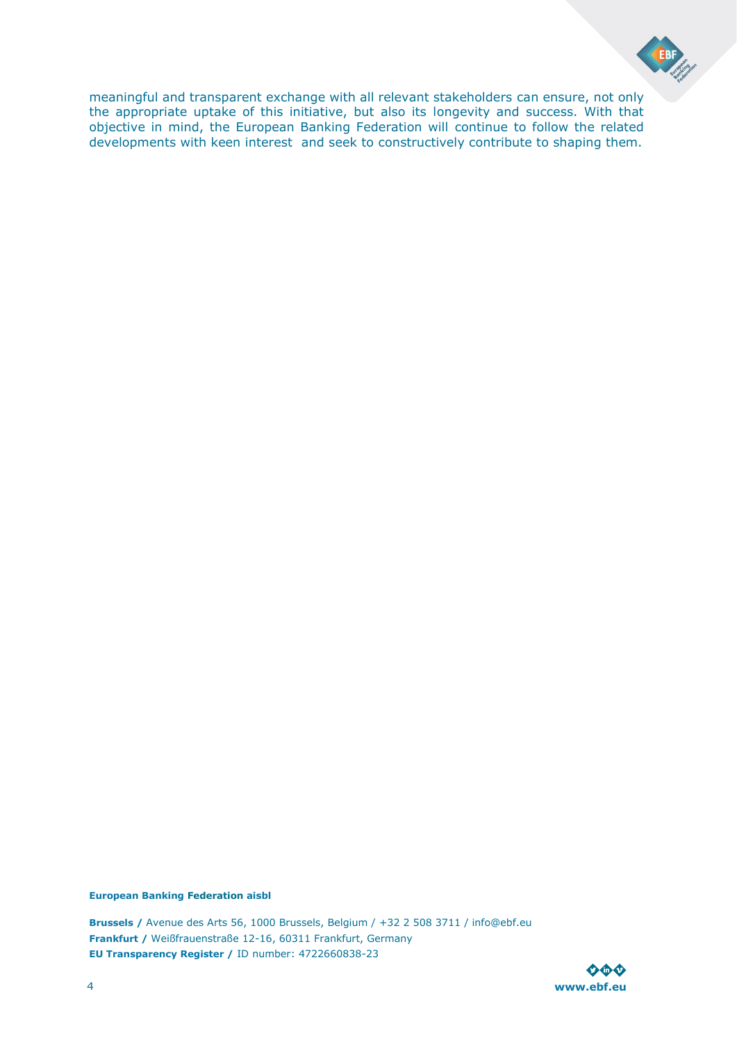

meaningful and transparent exchange with all relevant stakeholders can ensure, not only the appropriate uptake of this initiative, but also its longevity and success. With that objective in mind, the European Banking Federation will continue to follow the related developments with keen interest and seek to constructively contribute to shaping them.

### **European Banking Federation aisbl**

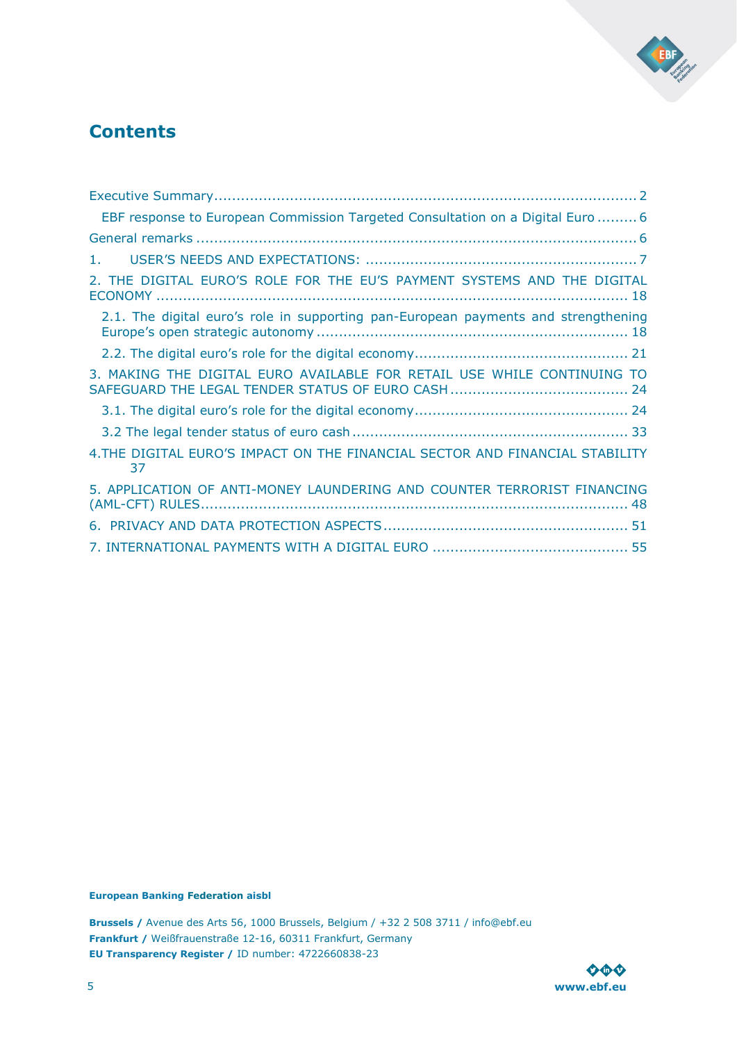

## **Contents**

| EBF response to European Commission Targeted Consultation on a Digital Euro  6     |
|------------------------------------------------------------------------------------|
|                                                                                    |
| 1.                                                                                 |
| 2. THE DIGITAL EURO'S ROLE FOR THE EU'S PAYMENT SYSTEMS AND THE DIGITAL            |
| 2.1. The digital euro's role in supporting pan-European payments and strengthening |
|                                                                                    |
| 3. MAKING THE DIGITAL EURO AVAILABLE FOR RETAIL USE WHILE CONTINUING TO            |
|                                                                                    |
|                                                                                    |
| 4. THE DIGITAL EURO'S IMPACT ON THE FINANCIAL SECTOR AND FINANCIAL STABILITY<br>37 |
| 5. APPLICATION OF ANTI-MONEY LAUNDERING AND COUNTER TERRORIST FINANCING            |
|                                                                                    |
|                                                                                    |

**European Banking Federation aisbl**

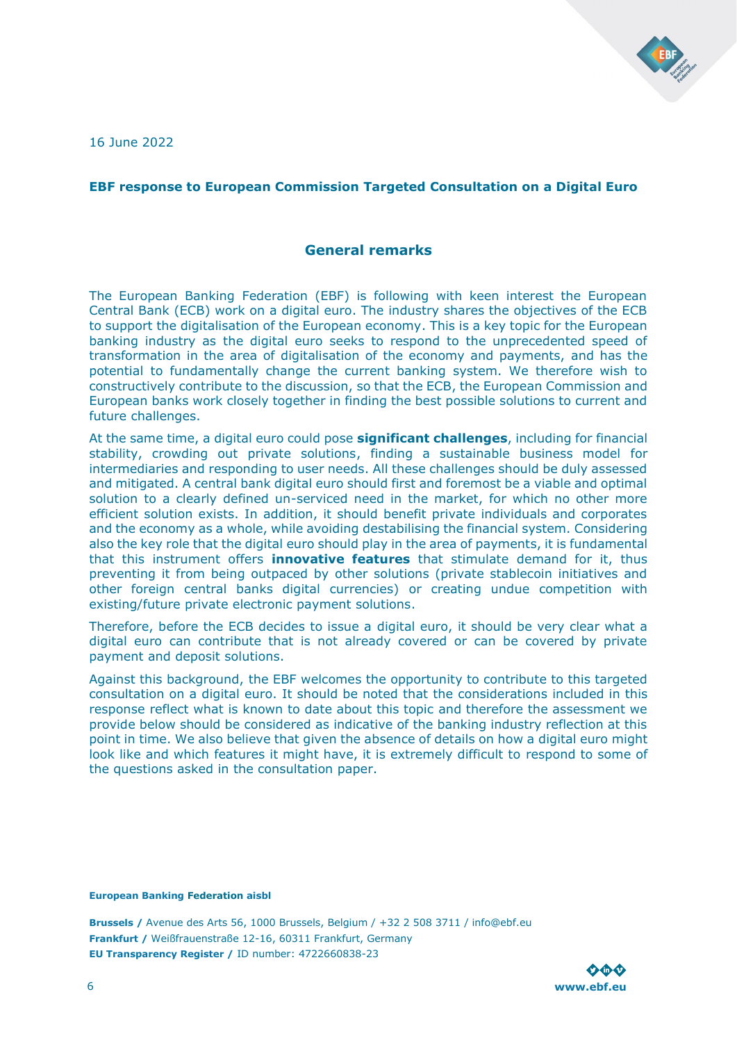

16 June 2022

### <span id="page-5-1"></span><span id="page-5-0"></span>**EBF response to European Commission Targeted Consultation on a Digital Euro**

### **General remarks**

The European Banking Federation (EBF) is following with keen interest the European Central Bank (ECB) work on a digital euro. The industry shares the objectives of the ECB to support the digitalisation of the European economy. This is a key topic for the European banking industry as the digital euro seeks to respond to the unprecedented speed of transformation in the area of digitalisation of the economy and payments, and has the potential to fundamentally change the current banking system. We therefore wish to constructively contribute to the discussion, so that the ECB, the European Commission and European banks work closely together in finding the best possible solutions to current and future challenges.

At the same time, a digital euro could pose **significant challenges**, including for financial stability, crowding out private solutions, finding a sustainable business model for intermediaries and responding to user needs. All these challenges should be duly assessed and mitigated. A central bank digital euro should first and foremost be a viable and optimal solution to a clearly defined un-serviced need in the market, for which no other more efficient solution exists. In addition, it should benefit private individuals and corporates and the economy as a whole, while avoiding destabilising the financial system. Considering also the key role that the digital euro should play in the area of payments, it is fundamental that this instrument offers **innovative features** that stimulate demand for it, thus preventing it from being outpaced by other solutions (private stablecoin initiatives and other foreign central banks digital currencies) or creating undue competition with existing/future private electronic payment solutions.

Therefore, before the ECB decides to issue a digital euro, it should be very clear what a digital euro can contribute that is not already covered or can be covered by private payment and deposit solutions.

Against this background, the EBF welcomes the opportunity to contribute to this targeted consultation on a digital euro. It should be noted that the considerations included in this response reflect what is known to date about this topic and therefore the assessment we provide below should be considered as indicative of the banking industry reflection at this point in time. We also believe that given the absence of details on how a digital euro might look like and which features it might have, it is extremely difficult to respond to some of the questions asked in the consultation paper.

#### **European Banking Federation aisbl**

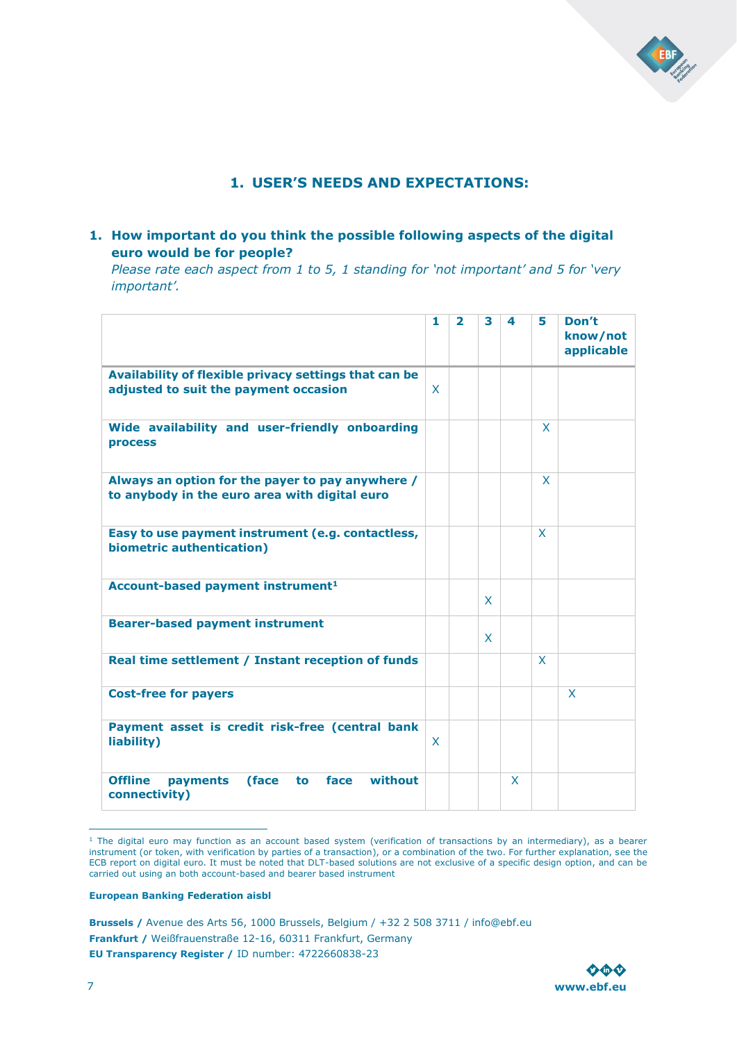

### **1. USER'S NEEDS AND EXPECTATIONS:**

### <span id="page-6-0"></span>**1. How important do you think the possible following aspects of the digital euro would be for people?**

*Please rate each aspect from 1 to 5, 1 standing for 'not important' and 5 for 'very important'.* 

|                                                                                                   | 1            | $\overline{\mathbf{2}}$ | 3 | 4 | 5 | Don't<br>know/not<br>applicable |
|---------------------------------------------------------------------------------------------------|--------------|-------------------------|---|---|---|---------------------------------|
| Availability of flexible privacy settings that can be<br>adjusted to suit the payment occasion    | $\mathsf{x}$ |                         |   |   |   |                                 |
| Wide availability and user-friendly onboarding<br><b>process</b>                                  |              |                         |   |   | X |                                 |
| Always an option for the payer to pay anywhere /<br>to anybody in the euro area with digital euro |              |                         |   |   | X |                                 |
| Easy to use payment instrument (e.g. contactless,<br>biometric authentication)                    |              |                         |   |   | X |                                 |
| Account-based payment instrument <sup>1</sup>                                                     |              |                         | X |   |   |                                 |
| <b>Bearer-based payment instrument</b>                                                            |              |                         | X |   |   |                                 |
| Real time settlement / Instant reception of funds                                                 |              |                         |   |   | X |                                 |
| <b>Cost-free for payers</b>                                                                       |              |                         |   |   |   | X                               |
| Payment asset is credit risk-free (central bank<br>liability)                                     | X            |                         |   |   |   |                                 |
| <b>Offline</b><br>without<br>(face<br>face<br>payments<br>to<br>connectivity)                     |              |                         |   | X |   |                                 |

 $<sup>1</sup>$  The digital euro may function as an account based system (verification of transactions by an intermediary), as a bearer</sup> instrument (or token, with verification by parties of a transaction), or a combination of the two. For further explanation, see the ECB report on digital euro. It must be noted that DLT-based solutions are not exclusive of a specific design option, and can be carried out using an both account-based and bearer based instrument

#### **European Banking Federation aisbl**

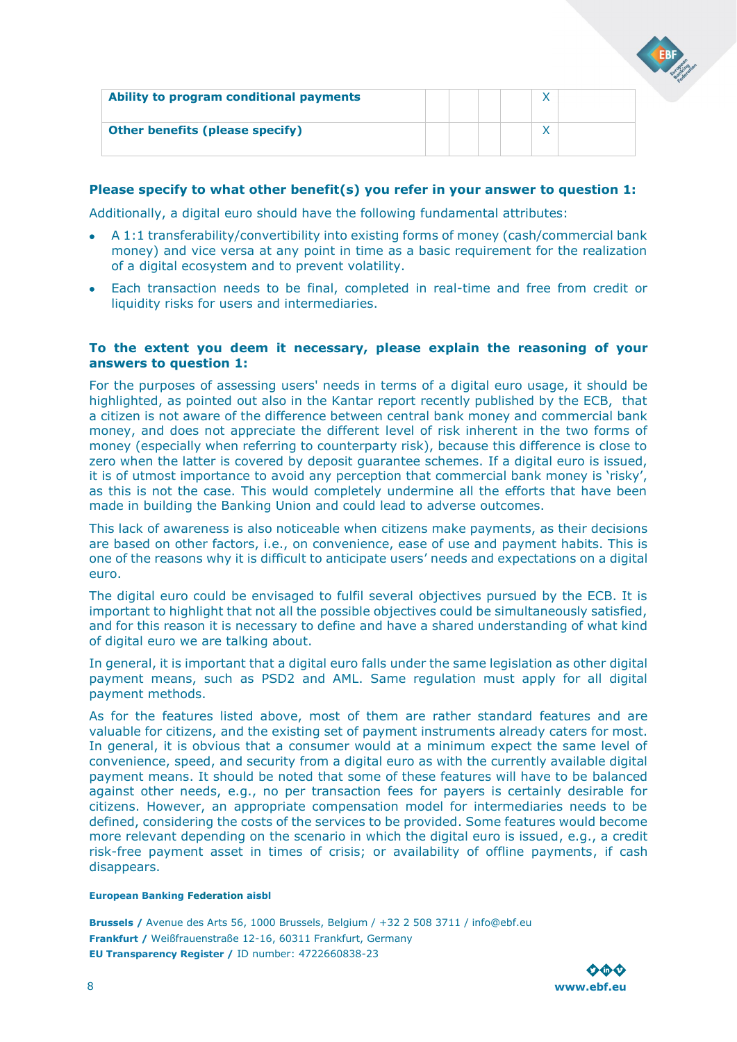| Ability to program conditional payments |  |  |  |
|-----------------------------------------|--|--|--|
| <b>Other benefits (please specify)</b>  |  |  |  |

### **Please specify to what other benefit(s) you refer in your answer to question 1:**

Additionally, a digital euro should have the following fundamental attributes:

- A 1:1 transferability/convertibility into existing forms of money (cash/commercial bank money) and vice versa at any point in time as a basic requirement for the realization of a digital ecosystem and to prevent volatility.
- Each transaction needs to be final, completed in real-time and free from credit or liquidity risks for users and intermediaries.

### **To the extent you deem it necessary, please explain the reasoning of your answers to question 1:**

For the purposes of assessing users' needs in terms of a digital euro usage, it should be highlighted, as pointed out also in the Kantar report recently published by the ECB, that a citizen is not aware of the difference between central bank money and commercial bank money, and does not appreciate the different level of risk inherent in the two forms of money (especially when referring to counterparty risk), because this difference is close to zero when the latter is covered by deposit guarantee schemes. If a digital euro is issued, it is of utmost importance to avoid any perception that commercial bank money is 'risky', as this is not the case. This would completely undermine all the efforts that have been made in building the Banking Union and could lead to adverse outcomes.

This lack of awareness is also noticeable when citizens make payments, as their decisions are based on other factors, i.e., on convenience, ease of use and payment habits. This is one of the reasons why it is difficult to anticipate users' needs and expectations on a digital euro.

The digital euro could be envisaged to fulfil several objectives pursued by the ECB. It is important to highlight that not all the possible objectives could be simultaneously satisfied, and for this reason it is necessary to define and have a shared understanding of what kind of digital euro we are talking about.

In general, it is important that a digital euro falls under the same legislation as other digital payment means, such as PSD2 and AML. Same regulation must apply for all digital payment methods.

As for the features listed above, most of them are rather standard features and are valuable for citizens, and the existing set of payment instruments already caters for most. In general, it is obvious that a consumer would at a minimum expect the same level of convenience, speed, and security from a digital euro as with the currently available digital payment means. It should be noted that some of these features will have to be balanced against other needs, e.g., no per transaction fees for payers is certainly desirable for citizens. However, an appropriate compensation model for intermediaries needs to be defined, considering the costs of the services to be provided. Some features would become more relevant depending on the scenario in which the digital euro is issued, e.g., a credit risk-free payment asset in times of crisis; or availability of offline payments, if cash disappears.

#### **European Banking Federation aisbl**

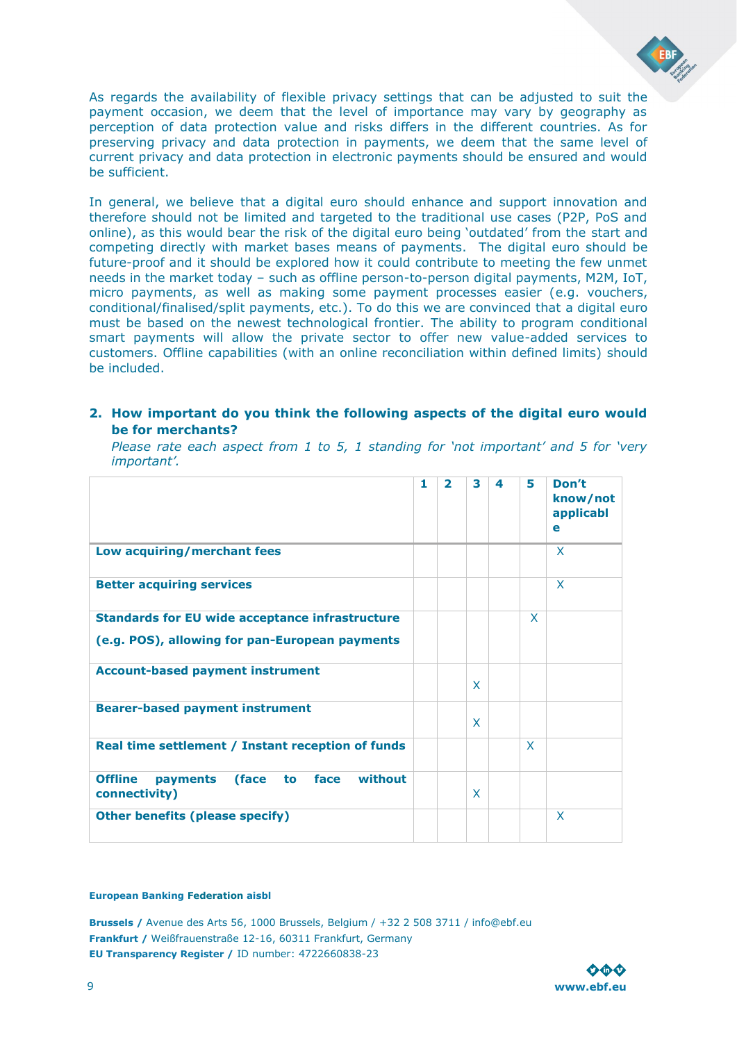

As regards the availability of flexible privacy settings that can be adjusted to suit the payment occasion, we deem that the level of importance may vary by geography as perception of data protection value and risks differs in the different countries. As for preserving privacy and data protection in payments, we deem that the same level of current privacy and data protection in electronic payments should be ensured and would be sufficient.

In general, we believe that a digital euro should enhance and support innovation and therefore should not be limited and targeted to the traditional use cases (P2P, PoS and online), as this would bear the risk of the digital euro being 'outdated' from the start and competing directly with market bases means of payments. The digital euro should be future-proof and it should be explored how it could contribute to meeting the few unmet needs in the market today – such as offline person-to-person digital payments, M2M, IoT, micro payments, as well as making some payment processes easier (e.g. vouchers, conditional/finalised/split payments, etc.). To do this we are convinced that a digital euro must be based on the newest technological frontier. The ability to program conditional smart payments will allow the private sector to offer new value-added services to customers. Offline capabilities (with an online reconciliation within defined limits) should be included.

### **2. How important do you think the following aspects of the digital euro would be for merchants?**

*Please rate each aspect from 1 to 5, 1 standing for 'not important' and 5 for 'very important'.* 

|                                                                                | 1 | $\overline{2}$ | 3 | $\boldsymbol{4}$ | 5 | Don't<br>know/not<br>applicabl<br>e |
|--------------------------------------------------------------------------------|---|----------------|---|------------------|---|-------------------------------------|
| Low acquiring/merchant fees                                                    |   |                |   |                  |   | X                                   |
| <b>Better acquiring services</b>                                               |   |                |   |                  |   | X                                   |
| <b>Standards for EU wide acceptance infrastructure</b>                         |   |                |   |                  | X |                                     |
| (e.g. POS), allowing for pan-European payments                                 |   |                |   |                  |   |                                     |
| <b>Account-based payment instrument</b>                                        |   |                | X |                  |   |                                     |
| <b>Bearer-based payment instrument</b>                                         |   |                | X |                  |   |                                     |
| Real time settlement / Instant reception of funds                              |   |                |   |                  | X |                                     |
| <b>Offline</b><br>without<br>(face)<br>face<br>to<br>payments<br>connectivity) |   |                | X |                  |   |                                     |
| <b>Other benefits (please specify)</b>                                         |   |                |   |                  |   | X                                   |

#### **European Banking Federation aisbl**

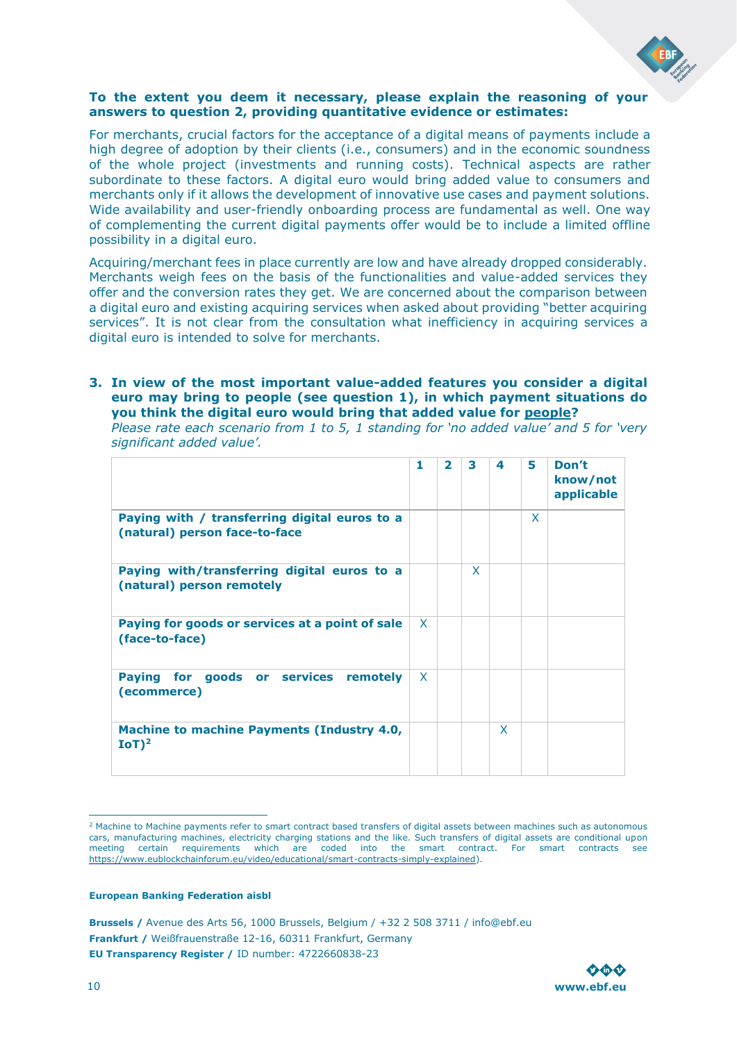

### **To the extent you deem it necessary, please explain the reasoning of your answers to question 2, providing quantitative evidence or estimates:**

For merchants, crucial factors for the acceptance of a digital means of payments include a high degree of adoption by their clients (i.e., consumers) and in the economic soundness of the whole project (investments and running costs). Technical aspects are rather subordinate to these factors. A digital euro would bring added value to consumers and merchants only if it allows the development of innovative use cases and payment solutions. Wide availability and user-friendly onboarding process are fundamental as well. One way of complementing the current digital payments offer would be to include a limited offline possibility in a digital euro.

Acquiring/merchant fees in place currently are low and have already dropped considerably. Merchants weigh fees on the basis of the functionalities and value-added services they offer and the conversion rates they get. We are concerned about the comparison between a digital euro and existing acquiring services when asked about providing "better acquiring services". It is not clear from the consultation what inefficiency in acquiring services a digital euro is intended to solve for merchants.

### **3. In view of the most important value-added features you consider a digital euro may bring to people (see question 1), in which payment situations do you think the digital euro would bring that added value for people?**

*Please rate each scenario from 1 to 5, 1 standing for 'no added value' and 5 for 'very significant added value'.* 

|                                                                                | 1            | $\overline{\phantom{a}}$ | 3 | 4 | 5 | Don't<br>know/not<br>applicable |
|--------------------------------------------------------------------------------|--------------|--------------------------|---|---|---|---------------------------------|
| Paying with / transferring digital euros to a<br>(natural) person face-to-face |              |                          |   |   | X |                                 |
| Paying with/transferring digital euros to a<br>(natural) person remotely       |              |                          | X |   |   |                                 |
| Paying for goods or services at a point of sale<br>(face-to-face)              | $\mathsf{x}$ |                          |   |   |   |                                 |
| Paying for<br>goods or services remotely<br>(ecommerce)                        | X            |                          |   |   |   |                                 |
| <b>Machine to machine Payments (Industry 4.0,</b><br>$IoT$ <sup>2</sup>        |              |                          |   | X |   |                                 |

<sup>&</sup>lt;sup>2</sup> Machine to Machine payments refer to smart contract based transfers of digital assets between machines such as autonomous cars, manufacturing machines, electricity charging stations and the like. Such transfers of digital assets are conditional upon meeting certain requirements which are coded into the smart contract. For smart contracts see [https://www.eublockchainforum.eu/video/educational/smart-contracts-simply-explained\).](https://www.eublockchainforum.eu/video/educational/smart-contracts-simply-explained)

#### **European Banking Federation aisbl**

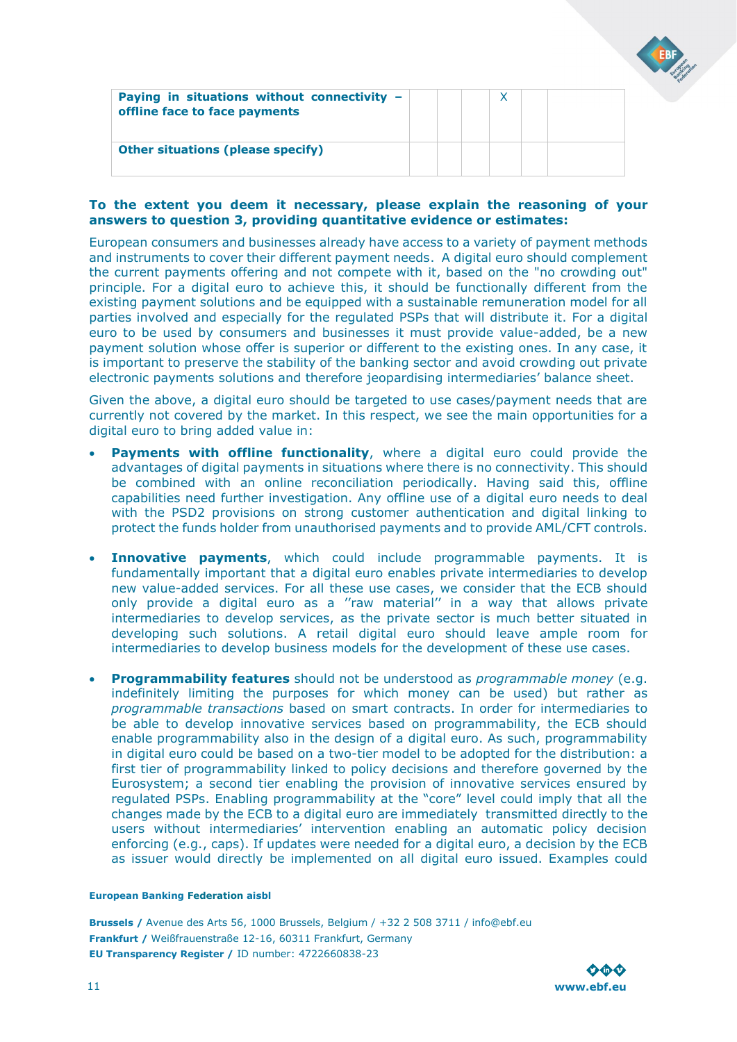| Paying in situations without connectivity $-$<br>offline face to face payments |  |  |  |
|--------------------------------------------------------------------------------|--|--|--|
| <b>Other situations (please specify)</b>                                       |  |  |  |

### **To the extent you deem it necessary, please explain the reasoning of your answers to question 3, providing quantitative evidence or estimates:**

European consumers and businesses already have access to a variety of payment methods and instruments to cover their different payment needs. A digital euro should complement the current payments offering and not compete with it, based on the "no crowding out" principle. For a digital euro to achieve this, it should be functionally different from the existing payment solutions and be equipped with a sustainable remuneration model for all parties involved and especially for the regulated PSPs that will distribute it. For a digital euro to be used by consumers and businesses it must provide value-added, be a new payment solution whose offer is superior or different to the existing ones. In any case, it is important to preserve the stability of the banking sector and avoid crowding out private electronic payments solutions and therefore jeopardising intermediaries' balance sheet.

Given the above, a digital euro should be targeted to use cases/payment needs that are currently not covered by the market. In this respect, we see the main opportunities for a digital euro to bring added value in:

- **Payments with offline functionality**, where a digital euro could provide the advantages of digital payments in situations where there is no connectivity. This should be combined with an online reconciliation periodically. Having said this, offline capabilities need further investigation. Any offline use of a digital euro needs to deal with the PSD2 provisions on strong customer authentication and digital linking to protect the funds holder from unauthorised payments and to provide AML/CFT controls.
- **Innovative payments**, which could include programmable payments. It is fundamentally important that a digital euro enables private intermediaries to develop new value-added services. For all these use cases, we consider that the ECB should only provide a digital euro as a ''raw material'' in a way that allows private intermediaries to develop services, as the private sector is much better situated in developing such solutions. A retail digital euro should leave ample room for intermediaries to develop business models for the development of these use cases.
- **Programmability features** should not be understood as *programmable money* (e.g. indefinitely limiting the purposes for which money can be used) but rather as *programmable transactions* based on smart contracts. In order for intermediaries to be able to develop innovative services based on programmability, the ECB should enable programmability also in the design of a digital euro. As such, programmability in digital euro could be based on a two-tier model to be adopted for the distribution: a first tier of programmability linked to policy decisions and therefore governed by the Eurosystem; a second tier enabling the provision of innovative services ensured by regulated PSPs. Enabling programmability at the "core" level could imply that all the changes made by the ECB to a digital euro are immediately transmitted directly to the users without intermediaries' intervention enabling an automatic policy decision enforcing (e.g., caps). If updates were needed for a digital euro, a decision by the ECB as issuer would directly be implemented on all digital euro issued. Examples could

#### **European Banking Federation aisbl**

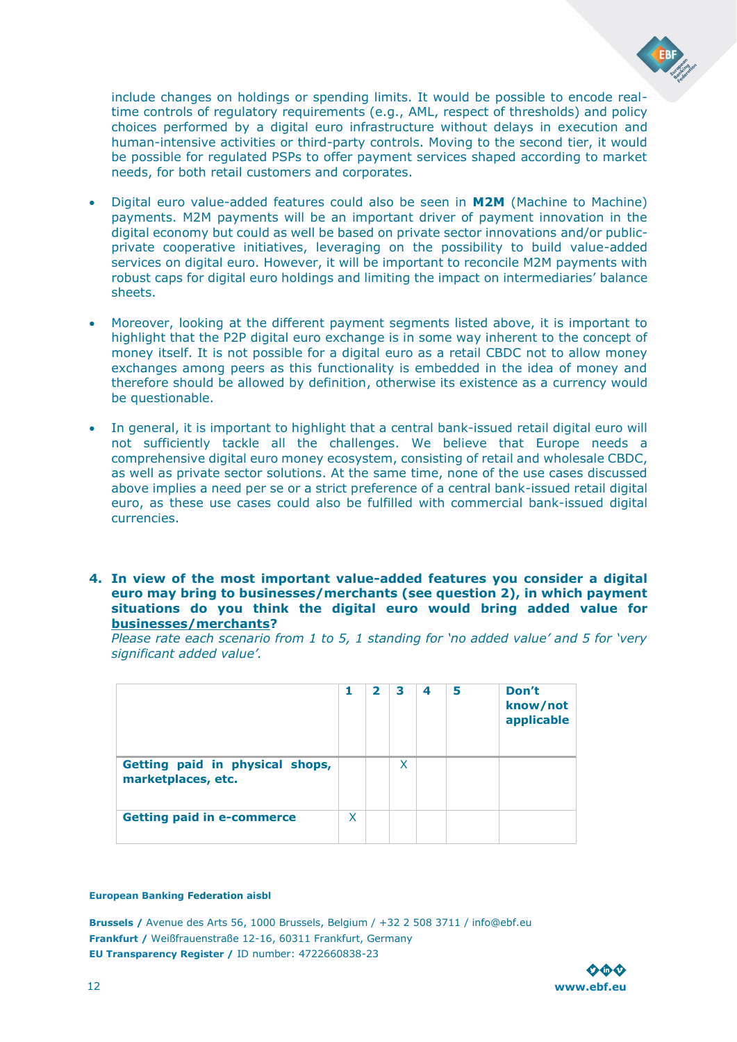

include changes on holdings or spending limits. It would be possible to encode realtime controls of regulatory requirements (e.g., AML, respect of thresholds) and policy choices performed by a digital euro infrastructure without delays in execution and human-intensive activities or third-party controls. Moving to the second tier, it would be possible for regulated PSPs to offer payment services shaped according to market needs, for both retail customers and corporates.

- Digital euro value-added features could also be seen in **M2M** (Machine to Machine) payments. M2M payments will be an important driver of payment innovation in the digital economy but could as well be based on private sector innovations and/or publicprivate cooperative initiatives, leveraging on the possibility to build value-added services on digital euro. However, it will be important to reconcile M2M payments with robust caps for digital euro holdings and limiting the impact on intermediaries' balance sheets.
- Moreover, looking at the different payment segments listed above, it is important to highlight that the P2P digital euro exchange is in some way inherent to the concept of money itself. It is not possible for a digital euro as a retail CBDC not to allow money exchanges among peers as this functionality is embedded in the idea of money and therefore should be allowed by definition, otherwise its existence as a currency would be questionable.
- In general, it is important to highlight that a central bank-issued retail digital euro will not sufficiently tackle all the challenges. We believe that Europe needs a comprehensive digital euro money ecosystem, consisting of retail and wholesale CBDC, as well as private sector solutions. At the same time, none of the use cases discussed above implies a need per se or a strict preference of a central bank-issued retail digital euro, as these use cases could also be fulfilled with commercial bank-issued digital currencies.
- **4. In view of the most important value-added features you consider a digital euro may bring to businesses/merchants (see question 2), in which payment situations do you think the digital euro would bring added value for businesses/merchants?**

*Please rate each scenario from 1 to 5, 1 standing for 'no added value' and 5 for 'very significant added value'.*

|                                                       | 1 | $\overline{\mathbf{2}}$ | 3 | 4 | 5 | Don't<br>know/not<br>applicable |
|-------------------------------------------------------|---|-------------------------|---|---|---|---------------------------------|
| Getting paid in physical shops,<br>marketplaces, etc. |   |                         | x |   |   |                                 |
| <b>Getting paid in e-commerce</b>                     | X |                         |   |   |   |                                 |

#### **European Banking Federation aisbl**

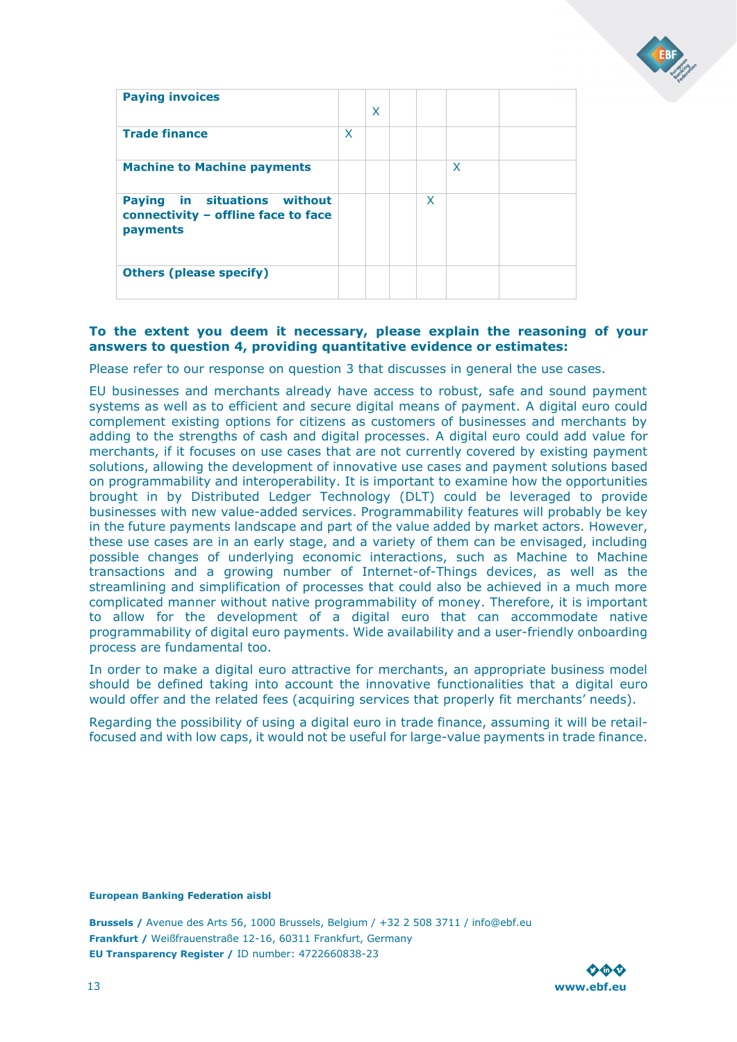

| <b>Paying invoices</b>                                                          |   | X |   |   |  |
|---------------------------------------------------------------------------------|---|---|---|---|--|
| <b>Trade finance</b>                                                            | X |   |   |   |  |
| <b>Machine to Machine payments</b>                                              |   |   |   | X |  |
| Paying in situations without<br>connectivity - offline face to face<br>payments |   |   | X |   |  |
| <b>Others (please specify)</b>                                                  |   |   |   |   |  |

### **To the extent you deem it necessary, please explain the reasoning of your answers to question 4, providing quantitative evidence or estimates:**

Please refer to our response on question 3 that discusses in general the use cases.

EU businesses and merchants already have access to robust, safe and sound payment systems as well as to efficient and secure digital means of payment. A digital euro could complement existing options for citizens as customers of businesses and merchants by adding to the strengths of cash and digital processes. A digital euro could add value for merchants, if it focuses on use cases that are not currently covered by existing payment solutions, allowing the development of innovative use cases and payment solutions based on programmability and interoperability. It is important to examine how the opportunities brought in by Distributed Ledger Technology (DLT) could be leveraged to provide businesses with new value-added services. Programmability features will probably be key in the future payments landscape and part of the value added by market actors. However, these use cases are in an early stage, and a variety of them can be envisaged, including possible changes of underlying economic interactions, such as Machine to Machine transactions and a growing number of Internet-of-Things devices, as well as the streamlining and simplification of processes that could also be achieved in a much more complicated manner without native programmability of money. Therefore, it is important to allow for the development of a digital euro that can accommodate native programmability of digital euro payments. Wide availability and a user-friendly onboarding process are fundamental too.

In order to make a digital euro attractive for merchants, an appropriate business model should be defined taking into account the innovative functionalities that a digital euro would offer and the related fees (acquiring services that properly fit merchants' needs).

Regarding the possibility of using a digital euro in trade finance, assuming it will be retailfocused and with low caps, it would not be useful for large-value payments in trade finance.

#### **European Banking Federation aisbl**

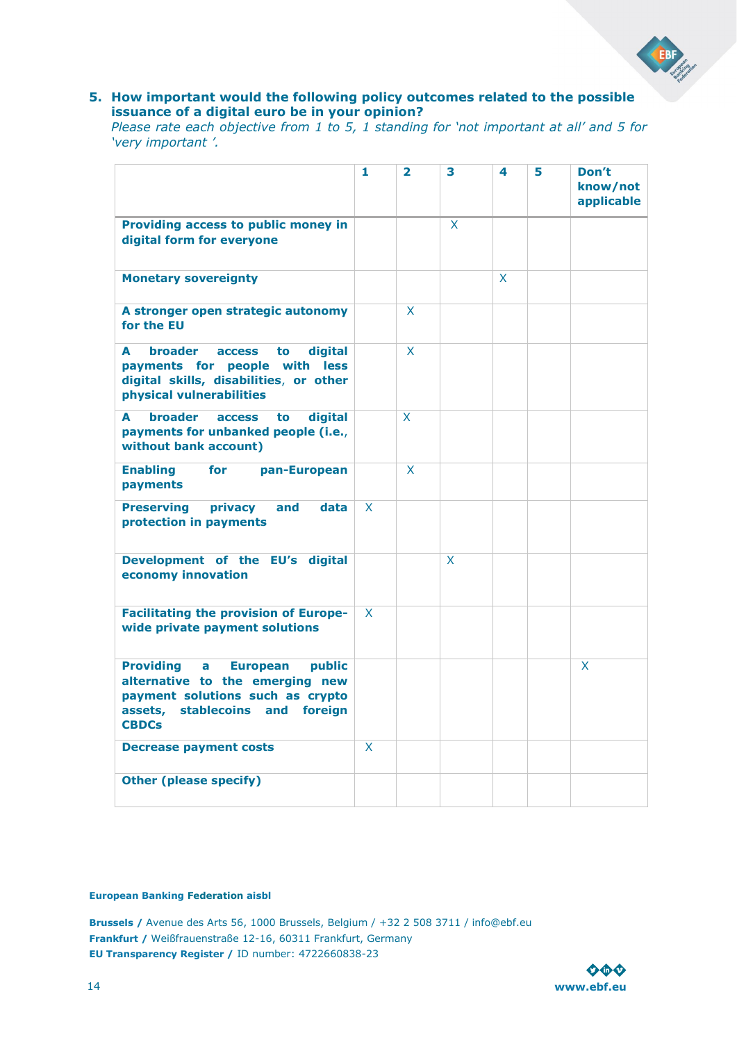### **5. How important would the following policy outcomes related to the possible issuance of a digital euro be in your opinion?**

*Please rate each objective from 1 to 5, 1 standing for 'not important at all' and 5 for 'very important '.* 

|                                                                                                                                                                              | 1            | $\overline{2}$ | 3 | 4 | 5 | Don't<br>know/not<br>applicable |
|------------------------------------------------------------------------------------------------------------------------------------------------------------------------------|--------------|----------------|---|---|---|---------------------------------|
| Providing access to public money in<br>digital form for everyone                                                                                                             |              |                | X |   |   |                                 |
| <b>Monetary sovereignty</b>                                                                                                                                                  |              |                |   | X |   |                                 |
| A stronger open strategic autonomy<br>for the EU                                                                                                                             |              | X              |   |   |   |                                 |
| A<br><b>broader</b><br>digital<br><b>access</b><br>to<br>payments for people with less<br>digital skills, disabilities, or other<br>physical vulnerabilities                 |              | X              |   |   |   |                                 |
| broader<br>A<br>digital<br><b>access</b><br>to<br>payments for unbanked people (i.e.,<br>without bank account)                                                               |              | X              |   |   |   |                                 |
| for<br><b>Enabling</b><br>pan-European<br>payments                                                                                                                           |              | X              |   |   |   |                                 |
| <b>Preserving</b><br>privacy<br>data<br>and<br>protection in payments                                                                                                        | $\mathsf{x}$ |                |   |   |   |                                 |
| Development of the EU's digital<br>economy innovation                                                                                                                        |              |                | X |   |   |                                 |
| <b>Facilitating the provision of Europe-</b><br>wide private payment solutions                                                                                               | X            |                |   |   |   |                                 |
| <b>Providing</b><br><b>European</b><br>public<br>a<br>alternative to the emerging new<br>payment solutions such as crypto<br>assets, stablecoins and foreign<br><b>CBDCs</b> |              |                |   |   |   | X                               |
| <b>Decrease payment costs</b>                                                                                                                                                | X            |                |   |   |   |                                 |
| <b>Other (please specify)</b>                                                                                                                                                |              |                |   |   |   |                                 |

#### **European Banking Federation aisbl**

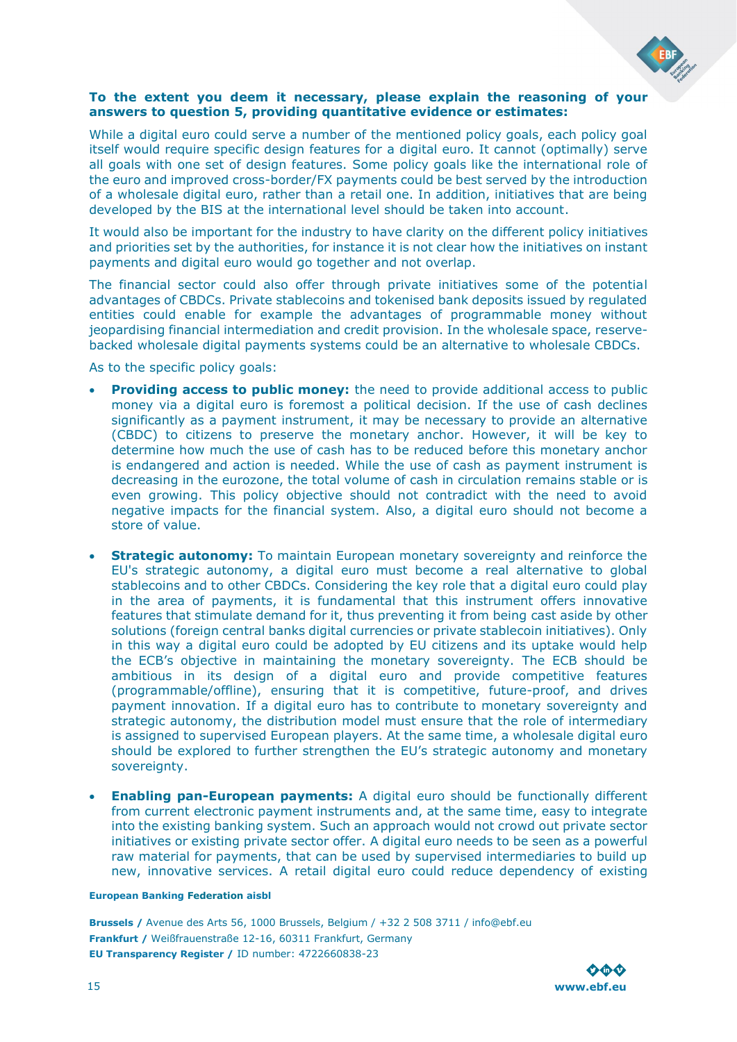

### **To the extent you deem it necessary, please explain the reasoning of your answers to question 5, providing quantitative evidence or estimates:**

While a digital euro could serve a number of the mentioned policy goals, each policy goal itself would require specific design features for a digital euro. It cannot (optimally) serve all goals with one set of design features. Some policy goals like the international role of the euro and improved cross-border/FX payments could be best served by the introduction of a wholesale digital euro, rather than a retail one. In addition, initiatives that are being developed by the BIS at the international level should be taken into account.

It would also be important for the industry to have clarity on the different policy initiatives and priorities set by the authorities, for instance it is not clear how the initiatives on instant payments and digital euro would go together and not overlap.

The financial sector could also offer through private initiatives some of the potential advantages of CBDCs. Private stablecoins and tokenised bank deposits issued by regulated entities could enable for example the advantages of programmable money without jeopardising financial intermediation and credit provision. In the wholesale space, reservebacked wholesale digital payments systems could be an alternative to wholesale CBDCs.

As to the specific policy goals:

- **Providing access to public money:** the need to provide additional access to public money via a digital euro is foremost a political decision. If the use of cash declines significantly as a payment instrument, it may be necessary to provide an alternative (CBDC) to citizens to preserve the monetary anchor. However, it will be key to determine how much the use of cash has to be reduced before this monetary anchor is endangered and action is needed. While the use of cash as payment instrument is decreasing in the eurozone, the total volume of cash in circulation remains stable or is even growing. This policy objective should not contradict with the need to avoid negative impacts for the financial system. Also, a digital euro should not become a store of value.
- **Strategic autonomy:** To maintain European monetary sovereignty and reinforce the EU's strategic autonomy, a digital euro must become a real alternative to global stablecoins and to other CBDCs. Considering the key role that a digital euro could play in the area of payments, it is fundamental that this instrument offers innovative features that stimulate demand for it, thus preventing it from being cast aside by other solutions (foreign central banks digital currencies or private stablecoin initiatives). Only in this way a digital euro could be adopted by EU citizens and its uptake would help the ECB's objective in maintaining the monetary sovereignty. The ECB should be ambitious in its design of a digital euro and provide competitive features (programmable/offline), ensuring that it is competitive, future-proof, and drives payment innovation. If a digital euro has to contribute to monetary sovereignty and strategic autonomy, the distribution model must ensure that the role of intermediary is assigned to supervised European players. At the same time, a wholesale digital euro should be explored to further strengthen the EU's strategic autonomy and monetary sovereignty.
- **Enabling pan-European payments:** A digital euro should be functionally different from current electronic payment instruments and, at the same time, easy to integrate into the existing banking system. Such an approach would not crowd out private sector initiatives or existing private sector offer. A digital euro needs to be seen as a powerful raw material for payments, that can be used by supervised intermediaries to build up new, innovative services. A retail digital euro could reduce dependency of existing

#### **European Banking Federation aisbl**

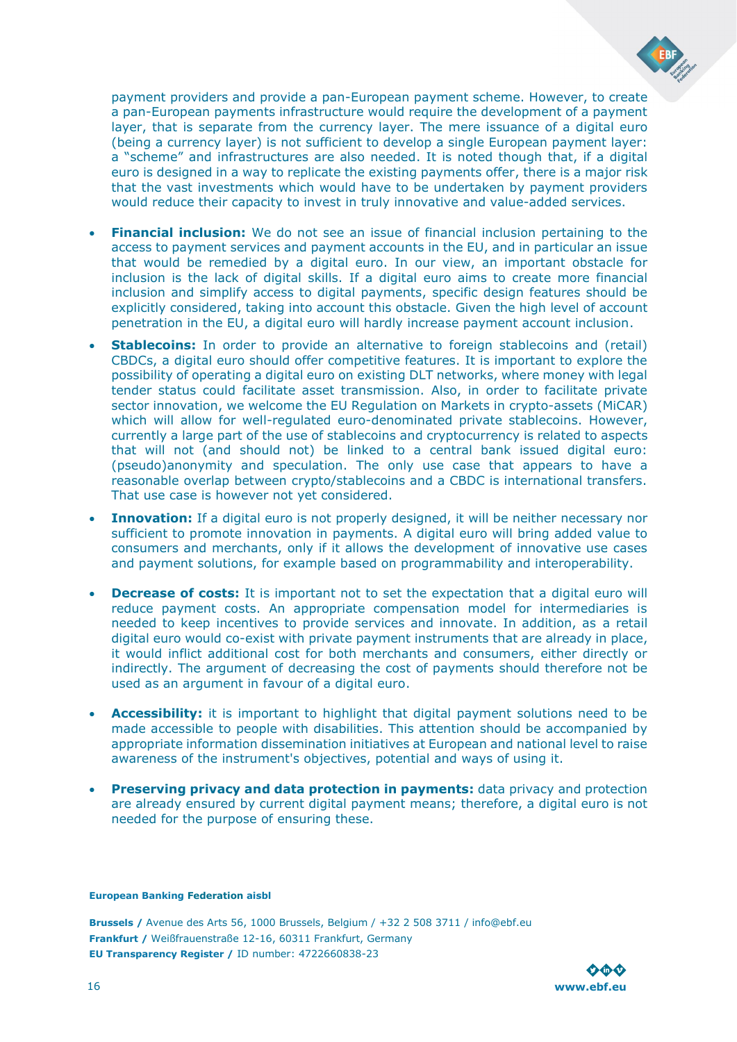

payment providers and provide a pan-European payment scheme. However, to create a pan-European payments infrastructure would require the development of a payment layer, that is separate from the currency layer. The mere issuance of a digital euro (being a currency layer) is not sufficient to develop a single European payment layer: a "scheme" and infrastructures are also needed. It is noted though that, if a digital euro is designed in a way to replicate the existing payments offer, there is a major risk that the vast investments which would have to be undertaken by payment providers would reduce their capacity to invest in truly innovative and value-added services.

- **Financial inclusion:** We do not see an issue of financial inclusion pertaining to the access to payment services and payment accounts in the EU, and in particular an issue that would be remedied by a digital euro. In our view, an important obstacle for inclusion is the lack of digital skills. If a digital euro aims to create more financial inclusion and simplify access to digital payments, specific design features should be explicitly considered, taking into account this obstacle. Given the high level of account penetration in the EU, a digital euro will hardly increase payment account inclusion.
- **Stablecoins:** In order to provide an alternative to foreign stablecoins and (retail) CBDCs, a digital euro should offer competitive features. It is important to explore the possibility of operating a digital euro on existing DLT networks, where money with legal tender status could facilitate asset transmission. Also, in order to facilitate private sector innovation, we welcome the EU Regulation on Markets in crypto-assets (MiCAR) which will allow for well-regulated euro-denominated private stablecoins. However, currently a large part of the use of stablecoins and cryptocurrency is related to aspects that will not (and should not) be linked to a central bank issued digital euro: (pseudo)anonymity and speculation. The only use case that appears to have a reasonable overlap between crypto/stablecoins and a CBDC is international transfers. That use case is however not yet considered.
- **Innovation:** If a digital euro is not properly designed, it will be neither necessary nor sufficient to promote innovation in payments. A digital euro will bring added value to consumers and merchants, only if it allows the development of innovative use cases and payment solutions, for example based on programmability and interoperability.
- **Decrease of costs:** It is important not to set the expectation that a digital euro will reduce payment costs. An appropriate compensation model for intermediaries is needed to keep incentives to provide services and innovate. In addition, as a retail digital euro would co-exist with private payment instruments that are already in place, it would inflict additional cost for both merchants and consumers, either directly or indirectly. The argument of decreasing the cost of payments should therefore not be used as an argument in favour of a digital euro.
- **Accessibility:** it is important to highlight that digital payment solutions need to be made accessible to people with disabilities. This attention should be accompanied by appropriate information dissemination initiatives at European and national level to raise awareness of the instrument's objectives, potential and ways of using it.
- **Preserving privacy and data protection in payments:** data privacy and protection are already ensured by current digital payment means; therefore, a digital euro is not needed for the purpose of ensuring these.

#### **European Banking Federation aisbl**

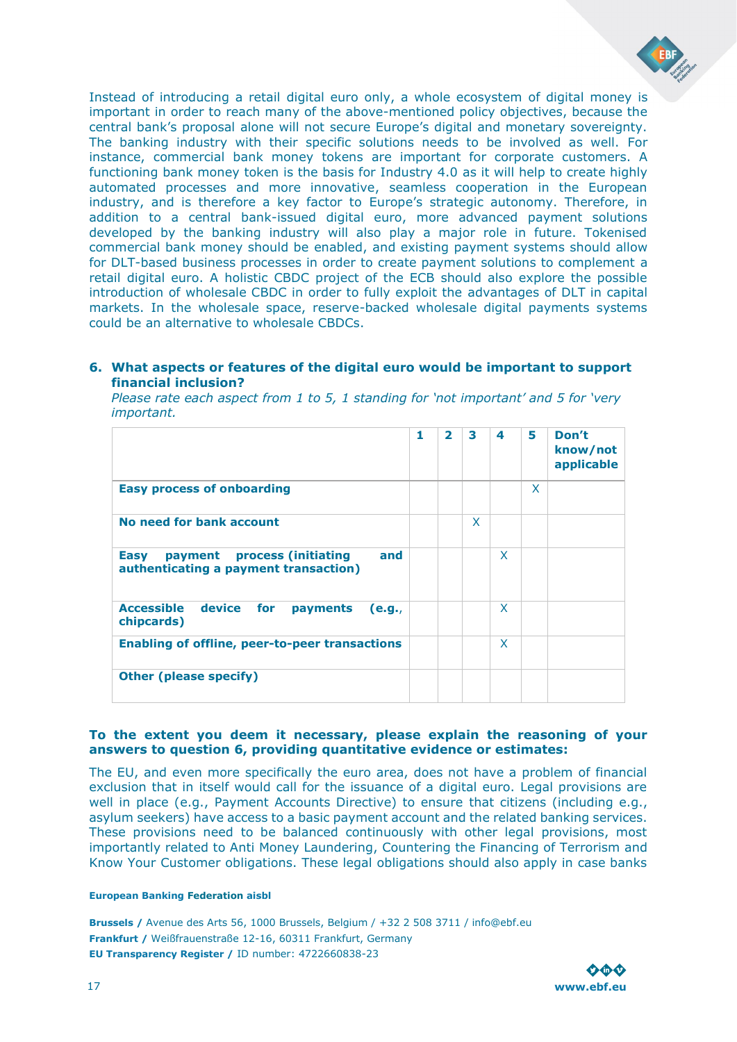

Instead of introducing a retail digital euro only, a whole ecosystem of digital money is important in order to reach many of the above-mentioned policy objectives, because the central bank's proposal alone will not secure Europe's digital and monetary sovereignty. The banking industry with their specific solutions needs to be involved as well. For instance, commercial bank money tokens are important for corporate customers. A functioning bank money token is the basis for Industry 4.0 as it will help to create highly automated processes and more innovative, seamless cooperation in the European industry, and is therefore a key factor to Europe's strategic autonomy. Therefore, in addition to a central bank-issued digital euro, more advanced payment solutions developed by the banking industry will also play a major role in future. Tokenised commercial bank money should be enabled, and existing payment systems should allow for DLT-based business processes in order to create payment solutions to complement a retail digital euro. A holistic CBDC project of the ECB should also explore the possible introduction of wholesale CBDC in order to fully exploit the advantages of DLT in capital markets. In the wholesale space, reserve-backed wholesale digital payments systems could be an alternative to wholesale CBDCs.

### **6. What aspects or features of the digital euro would be important to support financial inclusion?**

*Please rate each aspect from 1 to 5, 1 standing for 'not important' and 5 for 'very important.* 

|                                                                                     | 1 | $\overline{2}$ | 3 | 4 | 5 | Don't<br>know/not<br>applicable |
|-------------------------------------------------------------------------------------|---|----------------|---|---|---|---------------------------------|
| <b>Easy process of onboarding</b>                                                   |   |                |   |   | X |                                 |
| No need for bank account                                                            |   |                | X |   |   |                                 |
| payment process (initiating<br>and<br>Easy<br>authenticating a payment transaction) |   |                |   | X |   |                                 |
| <b>Accessible</b><br>device for<br>payments<br>(e.g.,<br>chipcards)                 |   |                |   | X |   |                                 |
| <b>Enabling of offline, peer-to-peer transactions</b>                               |   |                |   | X |   |                                 |
| <b>Other (please specify)</b>                                                       |   |                |   |   |   |                                 |

### **To the extent you deem it necessary, please explain the reasoning of your answers to question 6, providing quantitative evidence or estimates:**

The EU, and even more specifically the euro area, does not have a problem of financial exclusion that in itself would call for the issuance of a digital euro. Legal provisions are well in place (e.g., Payment Accounts Directive) to ensure that citizens (including e.g., asylum seekers) have access to a basic payment account and the related banking services. These provisions need to be balanced continuously with other legal provisions, most importantly related to Anti Money Laundering, Countering the Financing of Terrorism and Know Your Customer obligations. These legal obligations should also apply in case banks

#### **European Banking Federation aisbl**

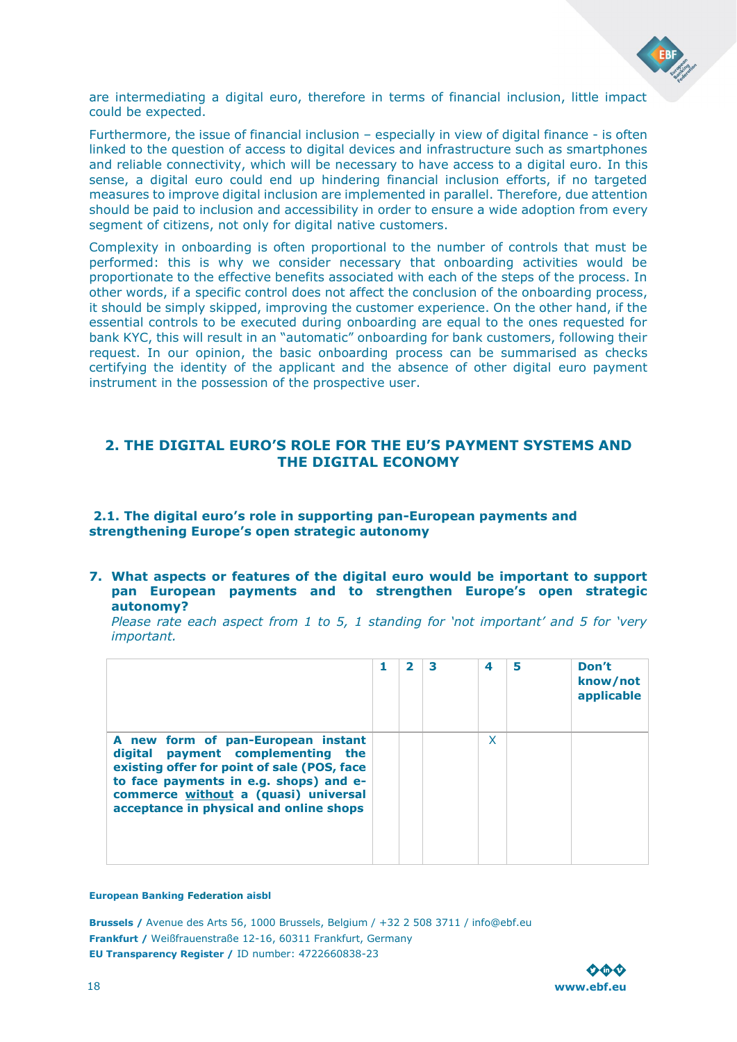

are intermediating a digital euro, therefore in terms of financial inclusion, little impact could be expected.

Furthermore, the issue of financial inclusion – especially in view of digital finance - is often linked to the question of access to digital devices and infrastructure such as smartphones and reliable connectivity, which will be necessary to have access to a digital euro. In this sense, a digital euro could end up hindering financial inclusion efforts, if no targeted measures to improve digital inclusion are implemented in parallel. Therefore, due attention should be paid to inclusion and accessibility in order to ensure a wide adoption from every segment of citizens, not only for digital native customers.

Complexity in onboarding is often proportional to the number of controls that must be performed: this is why we consider necessary that onboarding activities would be proportionate to the effective benefits associated with each of the steps of the process. In other words, if a specific control does not affect the conclusion of the onboarding process, it should be simply skipped, improving the customer experience. On the other hand, if the essential controls to be executed during onboarding are equal to the ones requested for bank KYC, this will result in an "automatic" onboarding for bank customers, following their request. In our opinion, the basic onboarding process can be summarised as checks certifying the identity of the applicant and the absence of other digital euro payment instrument in the possession of the prospective user.

### <span id="page-17-0"></span>**2. THE DIGITAL EURO'S ROLE FOR THE EU'S PAYMENT SYSTEMS AND THE DIGITAL ECONOMY**

### <span id="page-17-1"></span>**2.1. The digital euro's role in supporting pan-European payments and strengthening Europe's open strategic autonomy**

**7. What aspects or features of the digital euro would be important to support pan European payments and to strengthen Europe's open strategic autonomy?** 

*Please rate each aspect from 1 to 5, 1 standing for 'not important' and 5 for 'very important.* 

|                                                                                                                                                                                                                                                     | 2 | з | 4 | 5 | Don't<br>know/not<br>applicable |
|-----------------------------------------------------------------------------------------------------------------------------------------------------------------------------------------------------------------------------------------------------|---|---|---|---|---------------------------------|
| A new form of pan-European instant<br>digital payment complementing the<br>existing offer for point of sale (POS, face<br>to face payments in e.g. shops) and e-<br>commerce without a (quasi) universal<br>acceptance in physical and online shops |   |   | X |   |                                 |

#### **European Banking Federation aisbl**

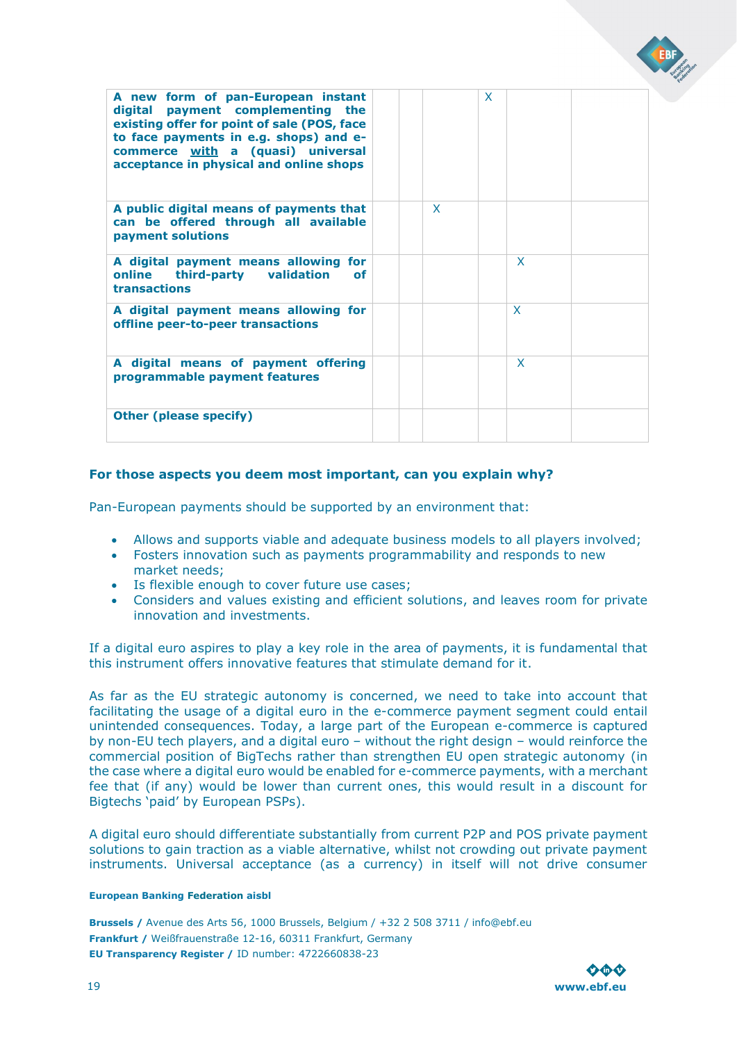| A new form of pan-European instant<br>digital payment complementing the<br>existing offer for point of sale (POS, face<br>to face payments in e.g. shops) and e-<br>commerce with a (quasi) universal<br>acceptance in physical and online shops |              | X. |              |  |
|--------------------------------------------------------------------------------------------------------------------------------------------------------------------------------------------------------------------------------------------------|--------------|----|--------------|--|
| A public digital means of payments that<br>can be offered through all available<br>payment solutions                                                                                                                                             | $\mathsf{x}$ |    |              |  |
| A digital payment means allowing for<br>online third-party validation<br>of.<br>transactions                                                                                                                                                     |              |    | X            |  |
| A digital payment means allowing for<br>offline peer-to-peer transactions                                                                                                                                                                        |              |    | $\mathsf{x}$ |  |
| A digital means of payment offering<br>programmable payment features                                                                                                                                                                             |              |    | X            |  |
| <b>Other (please specify)</b>                                                                                                                                                                                                                    |              |    |              |  |

### **For those aspects you deem most important, can you explain why?**

Pan-European payments should be supported by an environment that:

- Allows and supports viable and adequate business models to all players involved;
- Fosters innovation such as payments programmability and responds to new market needs;
- Is flexible enough to cover future use cases;
- Considers and values existing and efficient solutions, and leaves room for private innovation and investments.

If a digital euro aspires to play a key role in the area of payments, it is fundamental that this instrument offers innovative features that stimulate demand for it.

As far as the EU strategic autonomy is concerned, we need to take into account that facilitating the usage of a digital euro in the e-commerce payment segment could entail unintended consequences. Today, a large part of the European e-commerce is captured by non-EU tech players, and a digital euro – without the right design – would reinforce the commercial position of BigTechs rather than strengthen EU open strategic autonomy (in the case where a digital euro would be enabled for e-commerce payments, with a merchant fee that (if any) would be lower than current ones, this would result in a discount for Bigtechs 'paid' by European PSPs).

A digital euro should differentiate substantially from current P2P and POS private payment solutions to gain traction as a viable alternative, whilst not crowding out private payment instruments. Universal acceptance (as a currency) in itself will not drive consumer

#### **European Banking Federation aisbl**

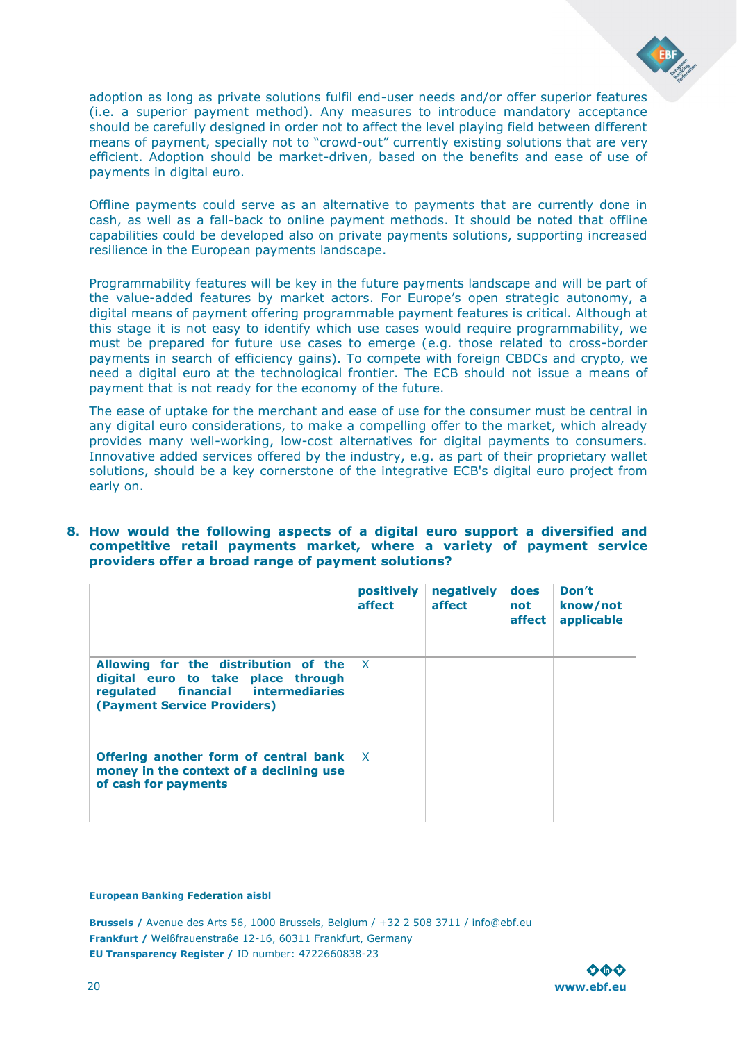

adoption as long as private solutions fulfil end-user needs and/or offer superior features (i.e. a superior payment method). Any measures to introduce mandatory acceptance should be carefully designed in order not to affect the level playing field between different means of payment, specially not to "crowd-out" currently existing solutions that are very efficient. Adoption should be market-driven, based on the benefits and ease of use of payments in digital euro.

Offline payments could serve as an alternative to payments that are currently done in cash, as well as a fall-back to online payment methods. It should be noted that offline capabilities could be developed also on private payments solutions, supporting increased resilience in the European payments landscape.

Programmability features will be key in the future payments landscape and will be part of the value-added features by market actors. For Europe's open strategic autonomy, a digital means of payment offering programmable payment features is critical. Although at this stage it is not easy to identify which use cases would require programmability, we must be prepared for future use cases to emerge (e.g. those related to cross-border payments in search of efficiency gains). To compete with foreign CBDCs and crypto, we need a digital euro at the technological frontier. The ECB should not issue a means of payment that is not ready for the economy of the future.

The ease of uptake for the merchant and ease of use for the consumer must be central in any digital euro considerations, to make a compelling offer to the market, which already provides many well-working, low-cost alternatives for digital payments to consumers. Innovative added services offered by the industry, e.g. as part of their proprietary wallet solutions, should be a key cornerstone of the integrative ECB's digital euro project from early on.

### **8. How would the following aspects of a digital euro support a diversified and competitive retail payments market, where a variety of payment service providers offer a broad range of payment solutions?**

|                                                                                                                                                              | positively<br>affect | negatively<br>affect | does<br>not<br>affect | Don't<br>know/not<br>applicable |
|--------------------------------------------------------------------------------------------------------------------------------------------------------------|----------------------|----------------------|-----------------------|---------------------------------|
| Allowing for the distribution of the $ X $<br>digital euro to take place through<br>requlated financial intermediaries<br><b>(Payment Service Providers)</b> |                      |                      |                       |                                 |
| Offering another form of central bank<br>money in the context of a declining use<br>of cash for payments                                                     | $\mathsf{X}$         |                      |                       |                                 |

#### **European Banking Federation aisbl**

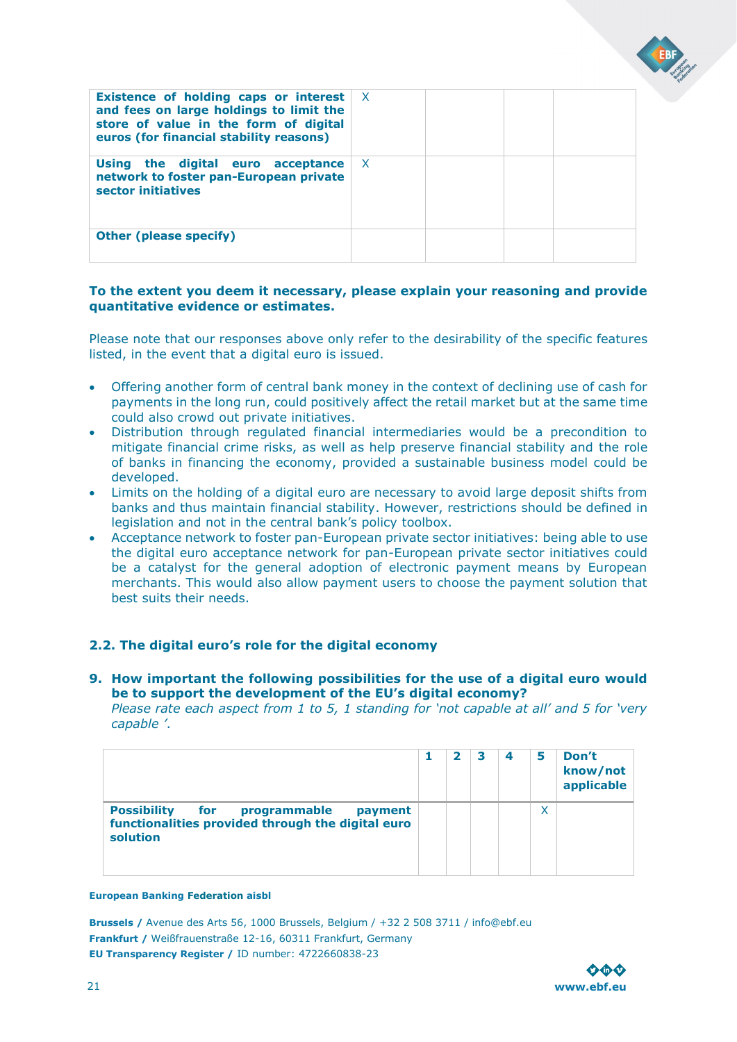| Existence of holding caps or interest<br>and fees on large holdings to limit the<br>store of value in the form of digital<br>euros (for financial stability reasons) | <b>X</b> |  |  |
|----------------------------------------------------------------------------------------------------------------------------------------------------------------------|----------|--|--|
| Using the digital euro acceptance<br>network to foster pan-European private<br>sector initiatives                                                                    | X.       |  |  |
| <b>Other (please specify)</b>                                                                                                                                        |          |  |  |

### **To the extent you deem it necessary, please explain your reasoning and provide quantitative evidence or estimates.**

Please note that our responses above only refer to the desirability of the specific features listed, in the event that a digital euro is issued.

- Offering another form of central bank money in the context of declining use of cash for payments in the long run, could positively affect the retail market but at the same time could also crowd out private initiatives.
- Distribution through regulated financial intermediaries would be a precondition to mitigate financial crime risks, as well as help preserve financial stability and the role of banks in financing the economy, provided a sustainable business model could be developed.
- Limits on the holding of a digital euro are necessary to avoid large deposit shifts from banks and thus maintain financial stability. However, restrictions should be defined in legislation and not in the central bank's policy toolbox.
- Acceptance network to foster pan-European private sector initiatives: being able to use the digital euro acceptance network for pan-European private sector initiatives could be a catalyst for the general adoption of electronic payment means by European merchants. This would also allow payment users to choose the payment solution that best suits their needs.

### <span id="page-20-0"></span>**2.2. The digital euro's role for the digital economy**

**9. How important the following possibilities for the use of a digital euro would be to support the development of the EU's digital economy?** 

*Please rate each aspect from 1 to 5, 1 standing for 'not capable at all' and 5 for 'very capable '*.

|                                                                                                                       | כ |  | 5 | Don't<br>know/not<br>applicable |
|-----------------------------------------------------------------------------------------------------------------------|---|--|---|---------------------------------|
| <b>Possibility</b><br>for<br>programmable<br>payment<br>functionalities provided through the digital euro<br>solution |   |  | X |                                 |

#### **European Banking Federation aisbl**

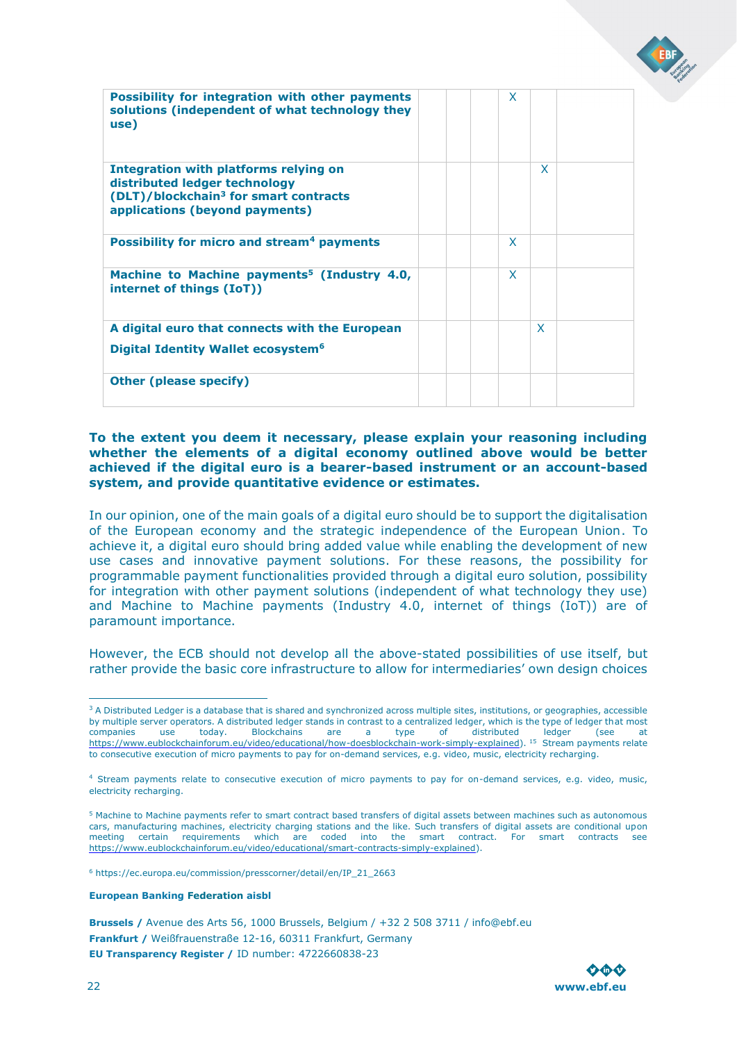| <b>Possibility for integration with other payments</b><br>solutions (independent of what technology they<br>use)                                              | X. |   |  |
|---------------------------------------------------------------------------------------------------------------------------------------------------------------|----|---|--|
| Integration with platforms relying on<br>distributed ledger technology<br>(DLT)/blockchain <sup>3</sup> for smart contracts<br>applications (beyond payments) |    | X |  |
| Possibility for micro and stream <sup>4</sup> payments                                                                                                        | X  |   |  |
| Machine to Machine payments <sup>5</sup> (Industry 4.0,<br>internet of things (IoT))                                                                          | X  |   |  |
| A digital euro that connects with the European                                                                                                                |    | X |  |
| Digital Identity Wallet ecosystem <sup>6</sup>                                                                                                                |    |   |  |
| <b>Other (please specify)</b>                                                                                                                                 |    |   |  |

### **To the extent you deem it necessary, please explain your reasoning including whether the elements of a digital economy outlined above would be better achieved if the digital euro is a bearer-based instrument or an account-based system, and provide quantitative evidence or estimates.**

In our opinion, one of the main goals of a digital euro should be to support the digitalisation of the European economy and the strategic independence of the European Union. To achieve it, a digital euro should bring added value while enabling the development of new use cases and innovative payment solutions. For these reasons, the possibility for programmable payment functionalities provided through a digital euro solution, possibility for integration with other payment solutions (independent of what technology they use) and Machine to Machine payments (Industry 4.0, internet of things (IoT)) are of paramount importance.

However, the ECB should not develop all the above-stated possibilities of use itself, but rather provide the basic core infrastructure to allow for intermediaries' own design choices

<sup>6</sup> https://ec.europa.eu/commission/presscorner/detail/en/IP\_21\_2663

#### **European Banking Federation aisbl**



<sup>&</sup>lt;sup>3</sup> A Distributed Ledger is a database that is shared and synchronized across multiple sites, institutions, or geographies, accessible by multiple server operators. A distributed ledger stands in contrast to a centralized ledger, which is the type of ledger that most companies use today. Blockchains are a type of distributed ledger (see at [https://www.eublockchainforum.eu/video/educational/how-doesblockchain-work-simply-explained\).](https://www.eublockchainforum.eu/video/educational/how-does-blockchain-work-simply-explained) <sup>15</sup> Stream payments relate to consecutive execution of micro payments to pay for on-demand services, e.g. video, music, electricity recharging.

<sup>4</sup> Stream payments relate to consecutive execution of micro payments to pay for on-demand services, e.g. video, music, electricity recharging.

<sup>5</sup> Machine to Machine payments refer to smart contract based transfers of digital assets between machines such as autonomous cars, manufacturing machines, electricity charging stations and the like. Such transfers of digital assets are conditional upon meeting certain requirements which are coded into the smart contract. For smart contracts see [https://www.eublockchainforum.eu/video/educational/smart-contracts-simply-explained\).](https://www.eublockchainforum.eu/video/educational/smart-contracts-simply-explained)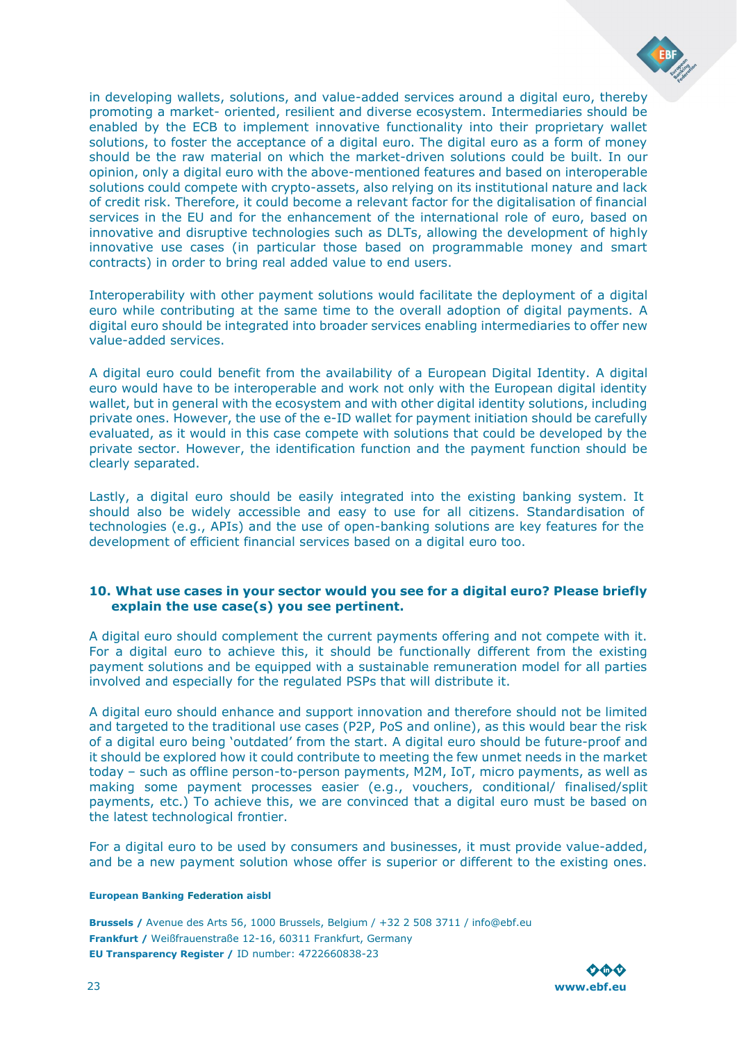

in developing wallets, solutions, and value-added services around a digital euro, thereby promoting a market- oriented, resilient and diverse ecosystem. Intermediaries should be enabled by the ECB to implement innovative functionality into their proprietary wallet solutions, to foster the acceptance of a digital euro. The digital euro as a form of money should be the raw material on which the market-driven solutions could be built. In our opinion, only a digital euro with the above-mentioned features and based on interoperable solutions could compete with crypto-assets, also relying on its institutional nature and lack of credit risk. Therefore, it could become a relevant factor for the digitalisation of financial services in the EU and for the enhancement of the international role of euro, based on innovative and disruptive technologies such as DLTs, allowing the development of highly innovative use cases (in particular those based on programmable money and smart contracts) in order to bring real added value to end users.

Interoperability with other payment solutions would facilitate the deployment of a digital euro while contributing at the same time to the overall adoption of digital payments. A digital euro should be integrated into broader services enabling intermediaries to offer new value-added services.

A digital euro could benefit from the availability of a European Digital Identity. A digital euro would have to be interoperable and work not only with the European digital identity wallet, but in general with the ecosystem and with other digital identity solutions, including private ones. However, the use of the e-ID wallet for payment initiation should be carefully evaluated, as it would in this case compete with solutions that could be developed by the private sector. However, the identification function and the payment function should be clearly separated.

Lastly, a digital euro should be easily integrated into the existing banking system. It should also be widely accessible and easy to use for all citizens. Standardisation of technologies (e.g., APIs) and the use of open-banking solutions are key features for the development of efficient financial services based on a digital euro too.

### **10. What use cases in your sector would you see for a digital euro? Please briefly explain the use case(s) you see pertinent.**

A digital euro should complement the current payments offering and not compete with it. For a digital euro to achieve this, it should be functionally different from the existing payment solutions and be equipped with a sustainable remuneration model for all parties involved and especially for the regulated PSPs that will distribute it.

A digital euro should enhance and support innovation and therefore should not be limited and targeted to the traditional use cases (P2P, PoS and online), as this would bear the risk of a digital euro being 'outdated' from the start. A digital euro should be future-proof and it should be explored how it could contribute to meeting the few unmet needs in the market today – such as offline person-to-person payments, M2M, IoT, micro payments, as well as making some payment processes easier (e.g., vouchers, conditional/ finalised/split payments, etc.) To achieve this, we are convinced that a digital euro must be based on the latest technological frontier.

For a digital euro to be used by consumers and businesses, it must provide value-added, and be a new payment solution whose offer is superior or different to the existing ones.

#### **European Banking Federation aisbl**

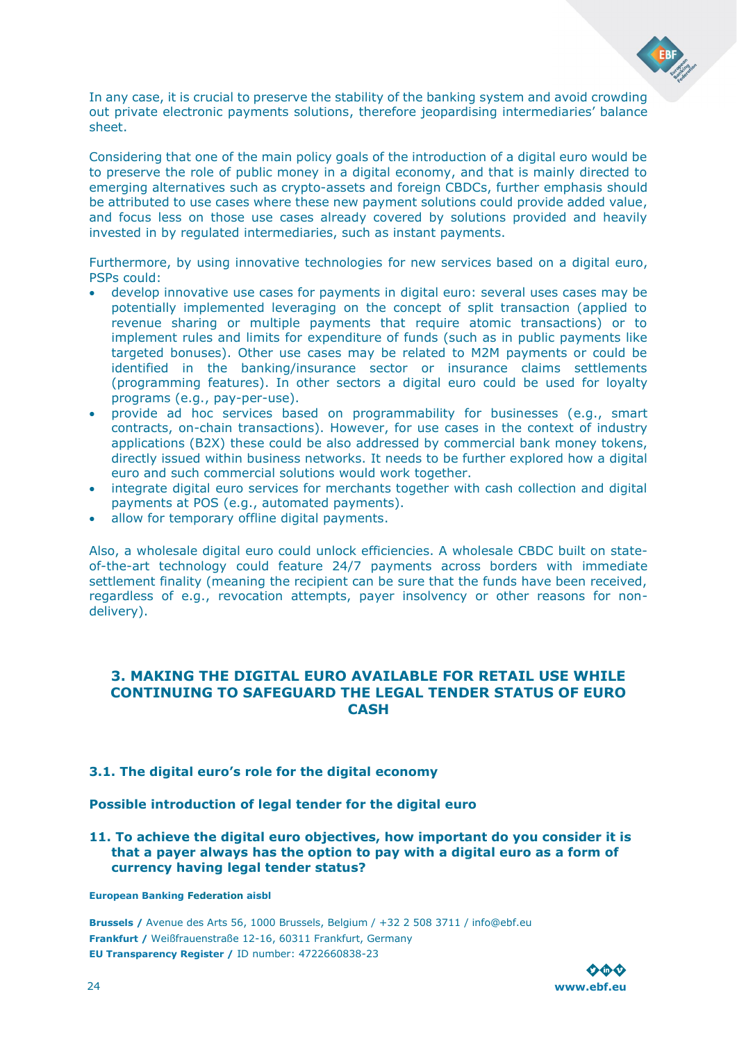![](_page_23_Picture_0.jpeg)

In any case, it is crucial to preserve the stability of the banking system and avoid crowding out private electronic payments solutions, therefore jeopardising intermediaries' balance sheet.

Considering that one of the main policy goals of the introduction of a digital euro would be to preserve the role of public money in a digital economy, and that is mainly directed to emerging alternatives such as crypto-assets and foreign CBDCs, further emphasis should be attributed to use cases where these new payment solutions could provide added value, and focus less on those use cases already covered by solutions provided and heavily invested in by regulated intermediaries, such as instant payments.

Furthermore, by using innovative technologies for new services based on a digital euro, PSPs could:

- develop innovative use cases for payments in digital euro: several uses cases may be potentially implemented leveraging on the concept of split transaction (applied to revenue sharing or multiple payments that require atomic transactions) or to implement rules and limits for expenditure of funds (such as in public payments like targeted bonuses). Other use cases may be related to M2M payments or could be identified in the banking/insurance sector or insurance claims settlements (programming features). In other sectors a digital euro could be used for loyalty programs (e.g., pay-per-use).
- provide ad hoc services based on programmability for businesses (e.g., smart contracts, on-chain transactions). However, for use cases in the context of industry applications (B2X) these could be also addressed by commercial bank money tokens, directly issued within business networks. It needs to be further explored how a digital euro and such commercial solutions would work together.
- integrate digital euro services for merchants together with cash collection and digital payments at POS (e.g., automated payments).
- allow for temporary offline digital payments.

Also, a wholesale digital euro could unlock efficiencies. A wholesale CBDC built on stateof-the-art technology could feature 24/7 payments across borders with immediate settlement finality (meaning the recipient can be sure that the funds have been received, regardless of e.g., revocation attempts, payer insolvency or other reasons for nondelivery).

### <span id="page-23-0"></span>**3. MAKING THE DIGITAL EURO AVAILABLE FOR RETAIL USE WHILE CONTINUING TO SAFEGUARD THE LEGAL TENDER STATUS OF EURO CASH**

### <span id="page-23-1"></span>**3.1. The digital euro's role for the digital economy**

**Possible introduction of legal tender for the digital euro** 

**11. To achieve the digital euro objectives, how important do you consider it is that a payer always has the option to pay with a digital euro as a form of currency having legal tender status?** 

**European Banking Federation aisbl**

![](_page_23_Picture_15.jpeg)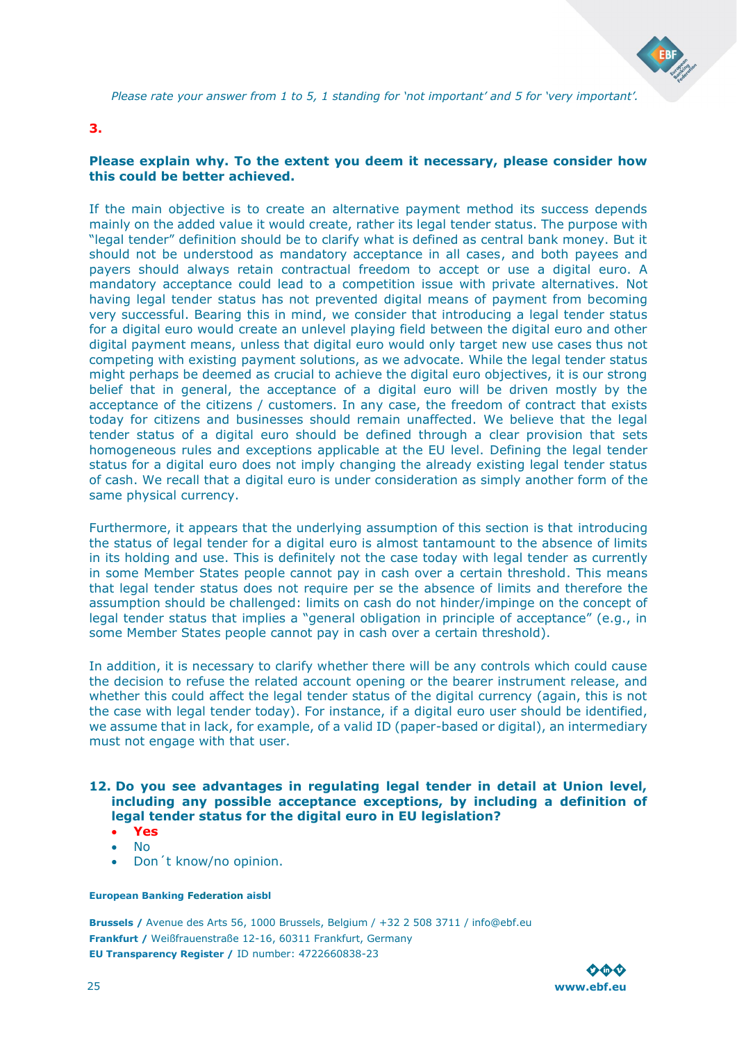![](_page_24_Picture_0.jpeg)

*Please rate your answer from 1 to 5, 1 standing for 'not important' and 5 for 'very important'.* 

### **3.**

### **Please explain why. To the extent you deem it necessary, please consider how this could be better achieved.**

If the main objective is to create an alternative payment method its success depends mainly on the added value it would create, rather its legal tender status. The purpose with "legal tender" definition should be to clarify what is defined as central bank money. But it should not be understood as mandatory acceptance in all cases, and both payees and payers should always retain contractual freedom to accept or use a digital euro. A mandatory acceptance could lead to a competition issue with private alternatives. Not having legal tender status has not prevented digital means of payment from becoming very successful. Bearing this in mind, we consider that introducing a legal tender status for a digital euro would create an unlevel playing field between the digital euro and other digital payment means, unless that digital euro would only target new use cases thus not competing with existing payment solutions, as we advocate. While the legal tender status might perhaps be deemed as crucial to achieve the digital euro objectives, it is our strong belief that in general, the acceptance of a digital euro will be driven mostly by the acceptance of the citizens / customers. In any case, the freedom of contract that exists today for citizens and businesses should remain unaffected. We believe that the legal tender status of a digital euro should be defined through a clear provision that sets homogeneous rules and exceptions applicable at the EU level. Defining the legal tender status for a digital euro does not imply changing the already existing legal tender status of cash. We recall that a digital euro is under consideration as simply another form of the same physical currency.

Furthermore, it appears that the underlying assumption of this section is that introducing the status of legal tender for a digital euro is almost tantamount to the absence of limits in its holding and use. This is definitely not the case today with legal tender as currently in some Member States people cannot pay in cash over a certain threshold. This means that legal tender status does not require per se the absence of limits and therefore the assumption should be challenged: limits on cash do not hinder/impinge on the concept of legal tender status that implies a "general obligation in principle of acceptance" (e.g., in some Member States people cannot pay in cash over a certain threshold).

In addition, it is necessary to clarify whether there will be any controls which could cause the decision to refuse the related account opening or the bearer instrument release, and whether this could affect the legal tender status of the digital currency (again, this is not the case with legal tender today). For instance, if a digital euro user should be identified, we assume that in lack, for example, of a valid ID (paper-based or digital), an intermediary must not engage with that user.

### **12. Do you see advantages in regulating legal tender in detail at Union level, including any possible acceptance exceptions, by including a definition of legal tender status for the digital euro in EU legislation?**

- **Yes** • No
- Don´t know/no opinion.

### **European Banking Federation aisbl**

![](_page_24_Picture_12.jpeg)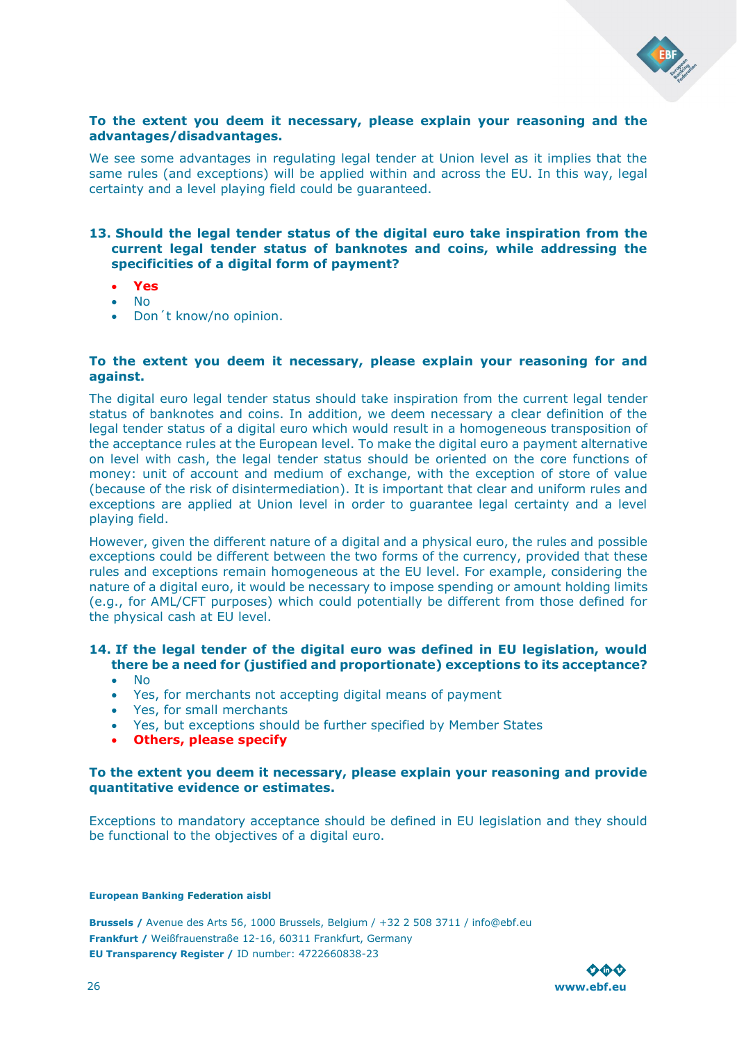![](_page_25_Picture_0.jpeg)

### **To the extent you deem it necessary, please explain your reasoning and the advantages/disadvantages.**

We see some advantages in regulating legal tender at Union level as it implies that the same rules (and exceptions) will be applied within and across the EU. In this way, legal certainty and a level playing field could be guaranteed.

### **13. Should the legal tender status of the digital euro take inspiration from the current legal tender status of banknotes and coins, while addressing the specificities of a digital form of payment?**

- **Yes**
- No
- Don´t know/no opinion.

### **To the extent you deem it necessary, please explain your reasoning for and against.**

The digital euro legal tender status should take inspiration from the current legal tender status of banknotes and coins. In addition, we deem necessary a clear definition of the legal tender status of a digital euro which would result in a homogeneous transposition of the acceptance rules at the European level. To make the digital euro a payment alternative on level with cash, the legal tender status should be oriented on the core functions of money: unit of account and medium of exchange, with the exception of store of value (because of the risk of disintermediation). It is important that clear and uniform rules and exceptions are applied at Union level in order to guarantee legal certainty and a level playing field.

However, given the different nature of a digital and a physical euro, the rules and possible exceptions could be different between the two forms of the currency, provided that these rules and exceptions remain homogeneous at the EU level. For example, considering the nature of a digital euro, it would be necessary to impose spending or amount holding limits (e.g., for AML/CFT purposes) which could potentially be different from those defined for the physical cash at EU level.

### **14. If the legal tender of the digital euro was defined in EU legislation, would there be a need for (justified and proportionate) exceptions to its acceptance?**

- No
- Yes, for merchants not accepting digital means of payment
- Yes, for small merchants
- Yes, but exceptions should be further specified by Member States
- **Others, please specify**

### **To the extent you deem it necessary, please explain your reasoning and provide quantitative evidence or estimates.**

Exceptions to mandatory acceptance should be defined in EU legislation and they should be functional to the objectives of a digital euro.

#### **European Banking Federation aisbl**

![](_page_25_Picture_20.jpeg)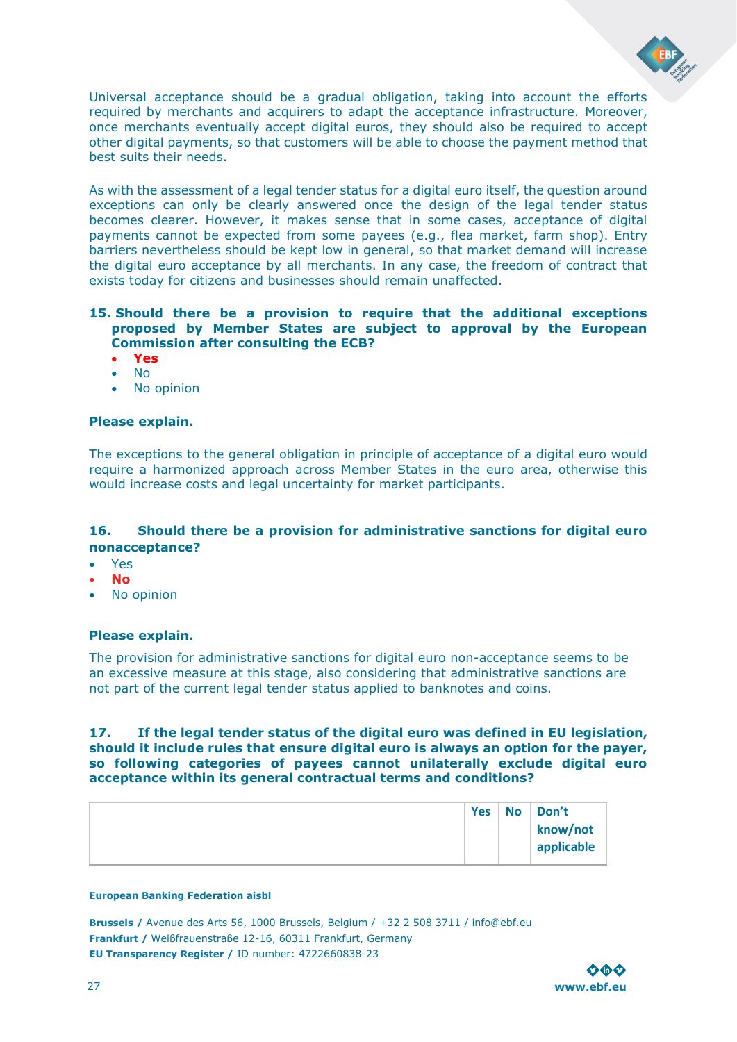![](_page_26_Picture_0.jpeg)

Universal acceptance should be a gradual obligation, taking into account the efforts required by merchants and acquirers to adapt the acceptance infrastructure. Moreover, once merchants eventually accept digital euros, they should also be required to accept other digital payments, so that customers will be able to choose the payment method that best suits their needs.

As with the assessment of a legal tender status for a digital euro itself, the question around exceptions can only be clearly answered once the design of the legal tender status becomes clearer. However, it makes sense that in some cases, acceptance of digital payments cannot be expected from some payees (e.g., flea market, farm shop). Entry barriers nevertheless should be kept low in general, so that market demand will increase the digital euro acceptance by all merchants. In any case, the freedom of contract that exists today for citizens and businesses should remain unaffected.

### **15. Should there be a provision to require that the additional exceptions proposed by Member States are subject to approval by the European Commission after consulting the ECB?**

- **Yes**
- No
- No opinion

### **Please explain.**

The exceptions to the general obligation in principle of acceptance of a digital euro would require a harmonized approach across Member States in the euro area, otherwise this would increase costs and legal uncertainty for market participants.

### **16. Should there be a provision for administrative sanctions for digital euro nonacceptance?**

- Yes
- **No**
- No opinion

### **Please explain.**

The provision for administrative sanctions for digital euro non-acceptance seems to be an excessive measure at this stage, also considering that administrative sanctions are not part of the current legal tender status applied to banknotes and coins.

**17. If the legal tender status of the digital euro was defined in EU legislation, should it include rules that ensure digital euro is always an option for the payer, so following categories of payees cannot unilaterally exclude digital euro acceptance within its general contractual terms and conditions?**

| <b>Yes</b> | No | Don't      |
|------------|----|------------|
|            |    | know/not   |
|            |    | applicable |
|            |    |            |

#### **European Banking Federation aisbl**

![](_page_26_Picture_19.jpeg)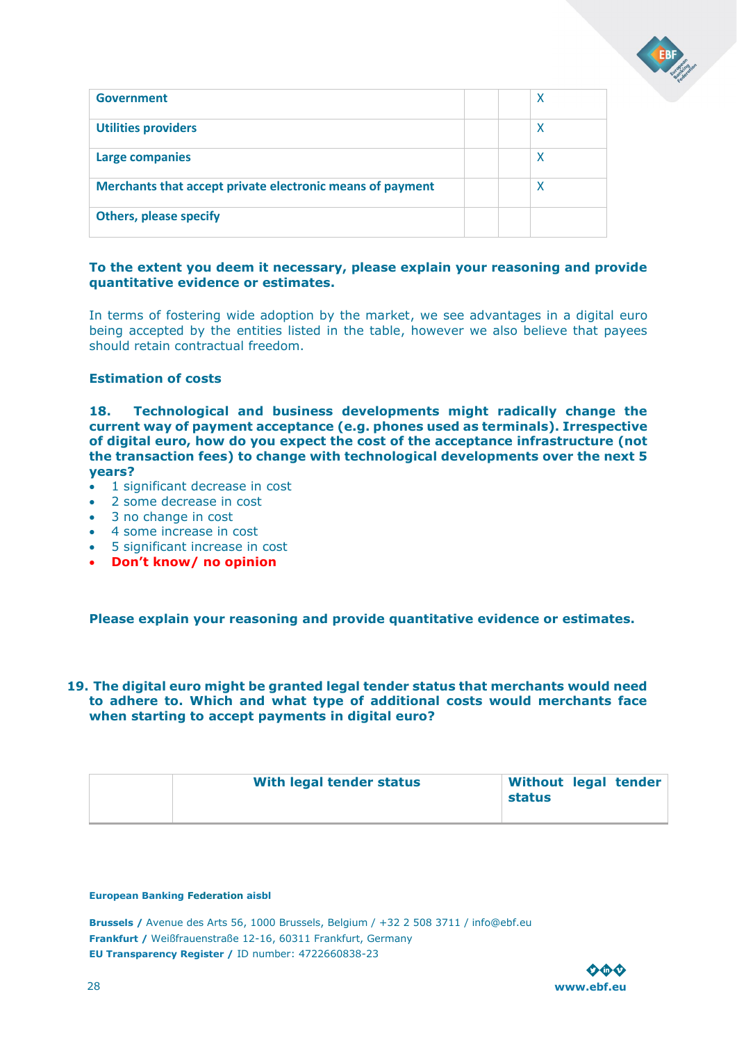![](_page_27_Picture_0.jpeg)

| Government                                                |  | X |
|-----------------------------------------------------------|--|---|
| <b>Utilities providers</b>                                |  | X |
| <b>Large companies</b>                                    |  | X |
| Merchants that accept private electronic means of payment |  | X |
| <b>Others, please specify</b>                             |  |   |

### **To the extent you deem it necessary, please explain your reasoning and provide quantitative evidence or estimates.**

In terms of fostering wide adoption by the market, we see advantages in a digital euro being accepted by the entities listed in the table, however we also believe that payees should retain contractual freedom.

### **Estimation of costs**

**18. Technological and business developments might radically change the current way of payment acceptance (e.g. phones used as terminals). Irrespective of digital euro, how do you expect the cost of the acceptance infrastructure (not the transaction fees) to change with technological developments over the next 5 years?** 

- 1 significant decrease in cost
- 2 some decrease in cost
- 3 no change in cost
- 4 some increase in cost
- 5 significant increase in cost
- **Don't know/ no opinion**

**Please explain your reasoning and provide quantitative evidence or estimates.** 

### **19. The digital euro might be granted legal tender status that merchants would need to adhere to. Which and what type of additional costs would merchants face when starting to accept payments in digital euro?**

| With legal tender status | Without legal tender<br>status |
|--------------------------|--------------------------------|
|--------------------------|--------------------------------|

#### **European Banking Federation aisbl**

![](_page_27_Picture_17.jpeg)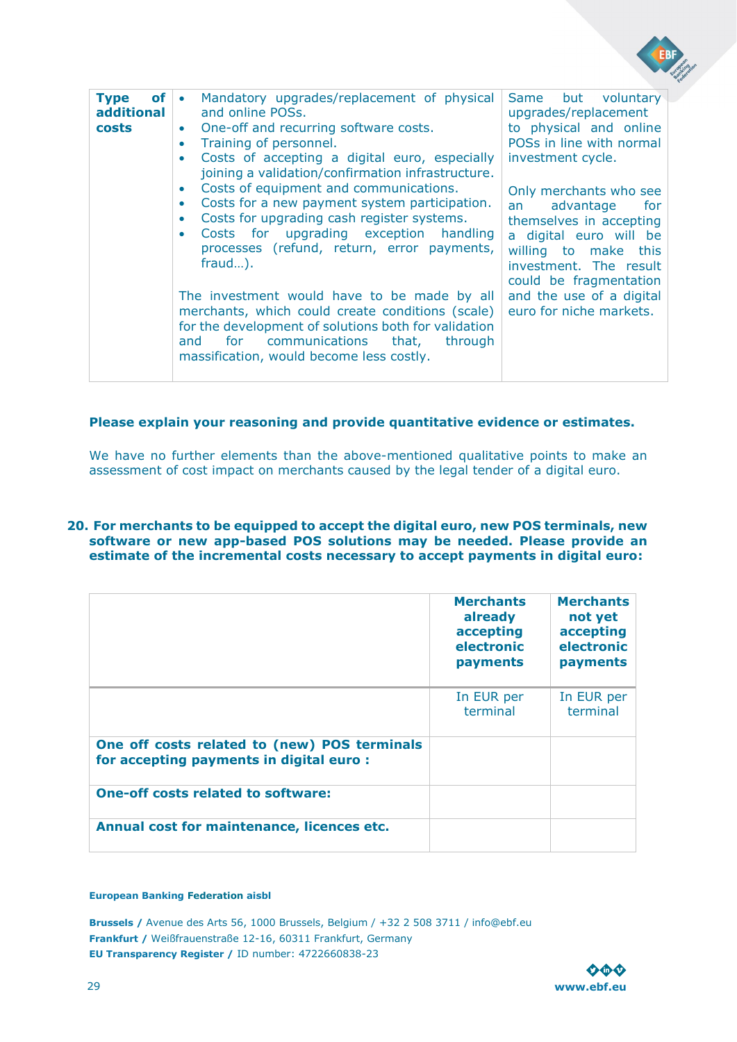| <b>Type</b><br>of l<br>additional<br>costs | Mandatory upgrades/replacement of physical<br>$\bullet$<br>and online POSs.<br>One-off and recurring software costs.<br>۰<br>Training of personnel.<br>۰<br>Costs of accepting a digital euro, especially<br>$\bullet$<br>joining a validation/confirmation infrastructure.<br>Costs of equipment and communications.<br>۰<br>Costs for a new payment system participation.<br>۰<br>Costs for upgrading cash register systems.<br>۰<br>Costs for upgrading exception handling<br>۰<br>processes (refund, return, error payments,<br>$frac.$ ).<br>The investment would have to be made by all<br>merchants, which could create conditions (scale)<br>for the development of solutions both for validation<br>for<br>communications<br>that,<br>and<br>through<br>massification, would become less costly. | Same but voluntary<br>upgrades/replacement<br>to physical and online<br>POSs in line with normal<br>investment cycle.<br>Only merchants who see<br>advantage<br>for<br>an<br>themselves in accepting<br>a digital euro will be<br>willing to make this<br>investment. The result<br>could be fragmentation<br>and the use of a digital<br>euro for niche markets. |
|--------------------------------------------|-----------------------------------------------------------------------------------------------------------------------------------------------------------------------------------------------------------------------------------------------------------------------------------------------------------------------------------------------------------------------------------------------------------------------------------------------------------------------------------------------------------------------------------------------------------------------------------------------------------------------------------------------------------------------------------------------------------------------------------------------------------------------------------------------------------|-------------------------------------------------------------------------------------------------------------------------------------------------------------------------------------------------------------------------------------------------------------------------------------------------------------------------------------------------------------------|

### **Please explain your reasoning and provide quantitative evidence or estimates.**

We have no further elements than the above-mentioned qualitative points to make an assessment of cost impact on merchants caused by the legal tender of a digital euro.

### **20. For merchants to be equipped to accept the digital euro, new POS terminals, new software or new app-based POS solutions may be needed. Please provide an estimate of the incremental costs necessary to accept payments in digital euro:**

|                                                                                          | <b>Merchants</b><br>already<br>accepting<br>electronic<br>payments | <b>Merchants</b><br>not yet<br>accepting<br>electronic<br>payments |
|------------------------------------------------------------------------------------------|--------------------------------------------------------------------|--------------------------------------------------------------------|
|                                                                                          | In EUR per<br>terminal                                             | In EUR per<br>terminal                                             |
| One off costs related to (new) POS terminals<br>for accepting payments in digital euro : |                                                                    |                                                                    |
| <b>One-off costs related to software:</b>                                                |                                                                    |                                                                    |
| Annual cost for maintenance, licences etc.                                               |                                                                    |                                                                    |

#### **European Banking Federation aisbl**

![](_page_28_Picture_7.jpeg)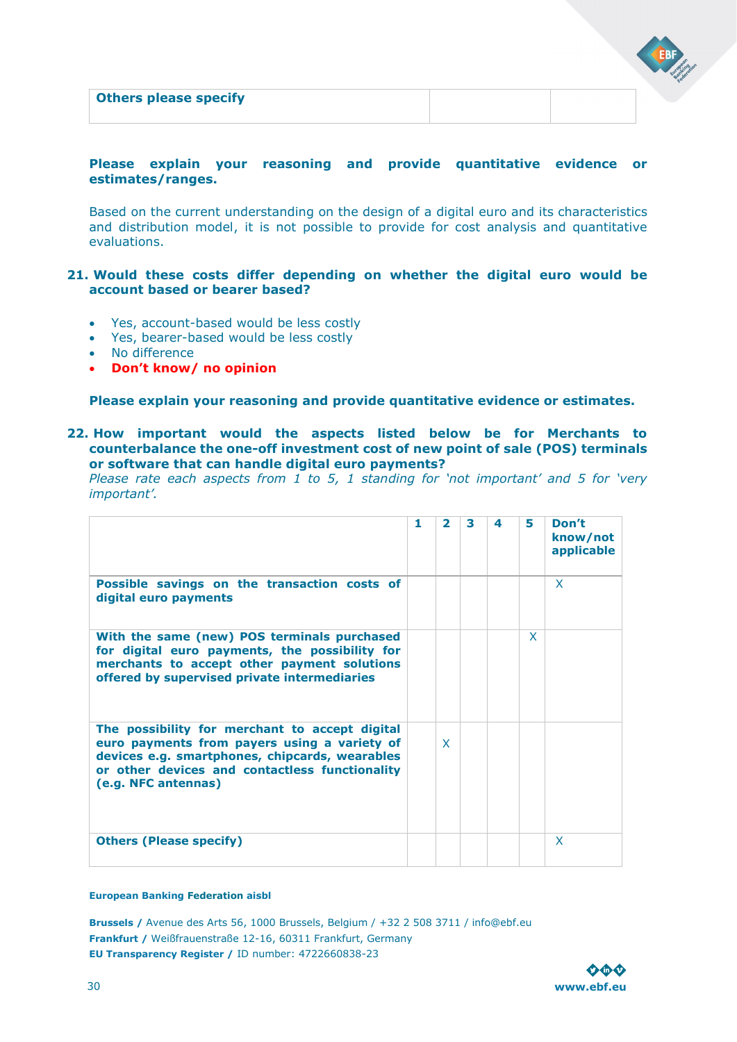| <b>Others please specify</b> |  |  |
|------------------------------|--|--|
|                              |  |  |

### **Please explain your reasoning and provide quantitative evidence or estimates/ranges.**

Based on the current understanding on the design of a digital euro and its characteristics and distribution model, it is not possible to provide for cost analysis and quantitative evaluations.

### **21. Would these costs differ depending on whether the digital euro would be account based or bearer based?**

- Yes, account-based would be less costly
- Yes, bearer-based would be less costly
- No difference
- **Don't know/ no opinion**

### **Please explain your reasoning and provide quantitative evidence or estimates.**

### **22. How important would the aspects listed below be for Merchants to counterbalance the one-off investment cost of new point of sale (POS) terminals or software that can handle digital euro payments?**

*Please rate each aspects from 1 to 5, 1 standing for 'not important' and 5 for 'very important'.* 

|                                                                                                                                                                                                                           | 1 | $\mathbf{z}$ | з | 4 | 5 | Don't<br>know/not<br>applicable |
|---------------------------------------------------------------------------------------------------------------------------------------------------------------------------------------------------------------------------|---|--------------|---|---|---|---------------------------------|
| Possible savings on the transaction costs of<br>digital euro payments                                                                                                                                                     |   |              |   |   |   | X                               |
| With the same (new) POS terminals purchased<br>for digital euro payments, the possibility for<br>merchants to accept other payment solutions<br>offered by supervised private intermediaries                              |   |              |   |   | X |                                 |
| The possibility for merchant to accept digital<br>euro payments from payers using a variety of<br>devices e.g. smartphones, chipcards, wearables<br>or other devices and contactless functionality<br>(e.g. NFC antennas) |   | $\mathbf{x}$ |   |   |   |                                 |
| <b>Others (Please specify)</b>                                                                                                                                                                                            |   |              |   |   |   | X                               |

#### **European Banking Federation aisbl**

![](_page_29_Picture_14.jpeg)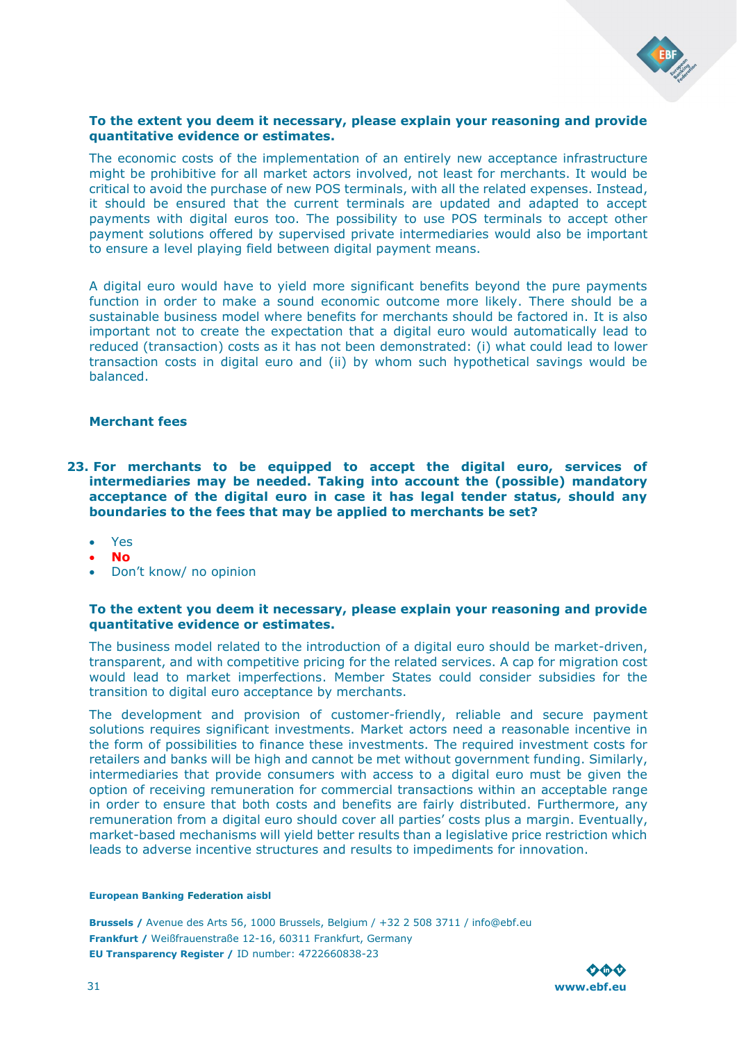![](_page_30_Picture_0.jpeg)

### **To the extent you deem it necessary, please explain your reasoning and provide quantitative evidence or estimates.**

The economic costs of the implementation of an entirely new acceptance infrastructure might be prohibitive for all market actors involved, not least for merchants. It would be critical to avoid the purchase of new POS terminals, with all the related expenses. Instead, it should be ensured that the current terminals are updated and adapted to accept payments with digital euros too. The possibility to use POS terminals to accept other payment solutions offered by supervised private intermediaries would also be important to ensure a level playing field between digital payment means.

A digital euro would have to yield more significant benefits beyond the pure payments function in order to make a sound economic outcome more likely. There should be a sustainable business model where benefits for merchants should be factored in. It is also important not to create the expectation that a digital euro would automatically lead to reduced (transaction) costs as it has not been demonstrated: (i) what could lead to lower transaction costs in digital euro and (ii) by whom such hypothetical savings would be balanced.

### **Merchant fees**

- **23. For merchants to be equipped to accept the digital euro, services of intermediaries may be needed. Taking into account the (possible) mandatory acceptance of the digital euro in case it has legal tender status, should any boundaries to the fees that may be applied to merchants be set?** 
	- Yes
	- **No**
	- Don't know/ no opinion

### **To the extent you deem it necessary, please explain your reasoning and provide quantitative evidence or estimates.**

The business model related to the introduction of a digital euro should be market-driven, transparent, and with competitive pricing for the related services. A cap for migration cost would lead to market imperfections. Member States could consider subsidies for the transition to digital euro acceptance by merchants.

The development and provision of customer-friendly, reliable and secure payment solutions requires significant investments. Market actors need a reasonable incentive in the form of possibilities to finance these investments. The required investment costs for retailers and banks will be high and cannot be met without government funding. Similarly, intermediaries that provide consumers with access to a digital euro must be given the option of receiving remuneration for commercial transactions within an acceptable range in order to ensure that both costs and benefits are fairly distributed. Furthermore, any remuneration from a digital euro should cover all parties' costs plus a margin. Eventually, market-based mechanisms will yield better results than a legislative price restriction which leads to adverse incentive structures and results to impediments for innovation.

#### **European Banking Federation aisbl**

![](_page_30_Picture_14.jpeg)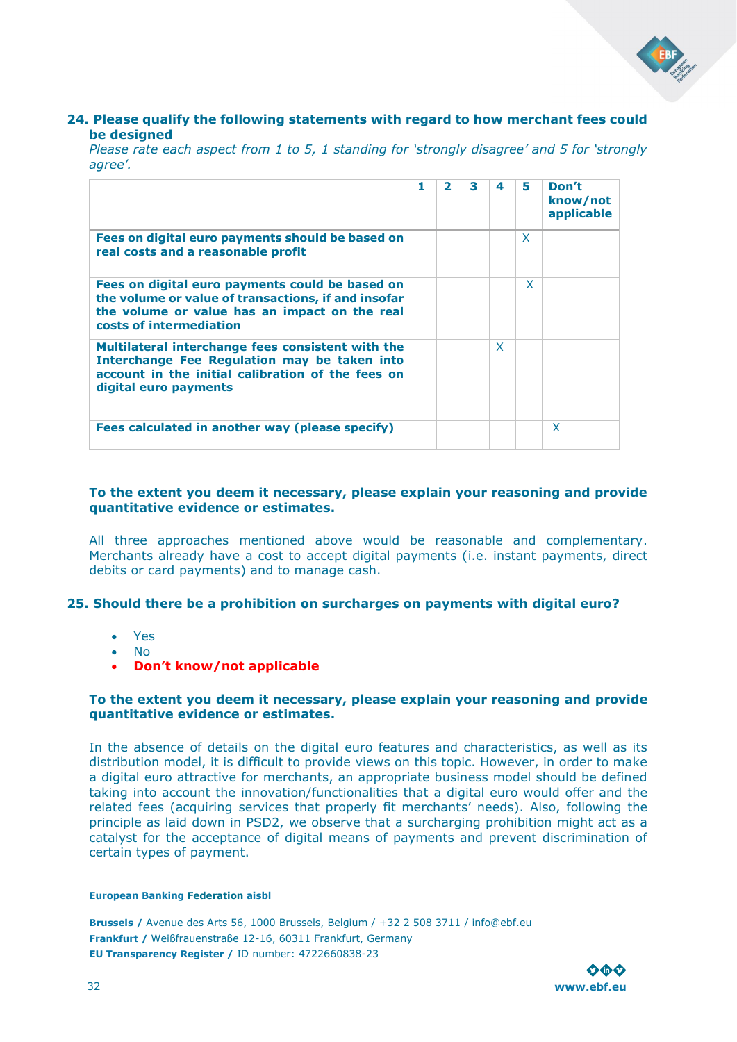![](_page_31_Picture_0.jpeg)

### **24. Please qualify the following statements with regard to how merchant fees could be designed**

*Please rate each aspect from 1 to 5, 1 standing for 'strongly disagree' and 5 for 'strongly agree'.* 

|                                                                                                                                                                                    | 1 | $\mathbf{z}$ | 3 | 4            | 5 | Don't<br>know/not<br>applicable |
|------------------------------------------------------------------------------------------------------------------------------------------------------------------------------------|---|--------------|---|--------------|---|---------------------------------|
| Fees on digital euro payments should be based on<br>real costs and a reasonable profit                                                                                             |   |              |   |              | X |                                 |
| Fees on digital euro payments could be based on<br>the volume or value of transactions, if and insofar<br>the volume or value has an impact on the real<br>costs of intermediation |   |              |   |              | x |                                 |
| Multilateral interchange fees consistent with the<br>Interchange Fee Regulation may be taken into<br>account in the initial calibration of the fees on<br>digital euro payments    |   |              |   | $\mathsf{x}$ |   |                                 |
| Fees calculated in another way (please specify)                                                                                                                                    |   |              |   |              |   | X                               |

### **To the extent you deem it necessary, please explain your reasoning and provide quantitative evidence or estimates.**

All three approaches mentioned above would be reasonable and complementary. Merchants already have a cost to accept digital payments (i.e. instant payments, direct debits or card payments) and to manage cash.

### **25. Should there be a prohibition on surcharges on payments with digital euro?**

- Yes
- No
- **Don't know/not applicable**

### **To the extent you deem it necessary, please explain your reasoning and provide quantitative evidence or estimates.**

In the absence of details on the digital euro features and characteristics, as well as its distribution model, it is difficult to provide views on this topic. However, in order to make a digital euro attractive for merchants, an appropriate business model should be defined taking into account the innovation/functionalities that a digital euro would offer and the related fees (acquiring services that properly fit merchants' needs). Also, following the principle as laid down in PSD2, we observe that a surcharging prohibition might act as a catalyst for the acceptance of digital means of payments and prevent discrimination of certain types of payment.

#### **European Banking Federation aisbl**

![](_page_31_Picture_14.jpeg)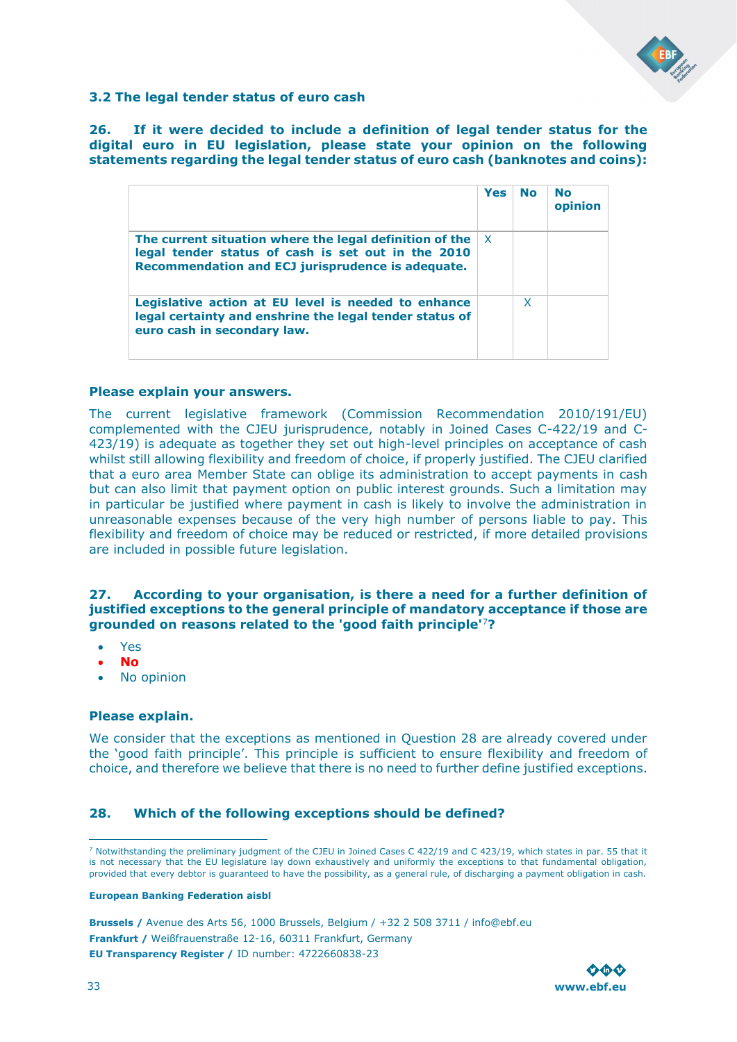![](_page_32_Picture_0.jpeg)

### <span id="page-32-0"></span>**3.2 The legal tender status of euro cash**

**26. If it were decided to include a definition of legal tender status for the digital euro in EU legislation, please state your opinion on the following statements regarding the legal tender status of euro cash (banknotes and coins):** 

|                                                                                                                                                                    | <b>Yes</b> | <b>No</b> | <b>No</b><br>opinion |
|--------------------------------------------------------------------------------------------------------------------------------------------------------------------|------------|-----------|----------------------|
| The current situation where the legal definition of the<br>legal tender status of cash is set out in the 2010<br>Recommendation and ECJ jurisprudence is adequate. | X.         |           |                      |
| Legislative action at EU level is needed to enhance<br>legal certainty and enshrine the legal tender status of<br>euro cash in secondary law.                      |            | X         |                      |

### **Please explain your answers.**

The current legislative framework (Commission Recommendation 2010/191/EU) complemented with the CJEU jurisprudence, notably in Joined Cases C-422/19 and C-423/19) is adequate as together they set out high-level principles on acceptance of cash whilst still allowing flexibility and freedom of choice, if properly justified. The CJEU clarified that a euro area Member State can oblige its administration to accept payments in cash but can also limit that payment option on public interest grounds. Such a limitation may in particular be justified where payment in cash is likely to involve the administration in unreasonable expenses because of the very high number of persons liable to pay. This flexibility and freedom of choice may be reduced or restricted, if more detailed provisions are included in possible future legislation.

### **27. According to your organisation, is there a need for a further definition of justified exceptions to the general principle of mandatory acceptance if those are grounded on reasons related to the 'good faith principle'**<sup>7</sup>**?**

- Yes
- **No**
- No opinion

### **Please explain.**

We consider that the exceptions as mentioned in Question 28 are already covered under the 'good faith principle'. This principle is sufficient to ensure flexibility and freedom of choice, and therefore we believe that there is no need to further define justified exceptions.

### **28. Which of the following exceptions should be defined?**

#### **European Banking Federation aisbl**

![](_page_32_Picture_16.jpeg)

<sup>7</sup> Notwithstanding the preliminary judgment of the CJEU in Joined Cases C 422/19 and C 423/19, which states in par. 55 that it is not necessary that the EU legislature lay down exhaustively and uniformly the exceptions to that fundamental obligation, provided that every debtor is guaranteed to have the possibility, as a general rule, of discharging a payment obligation in cash.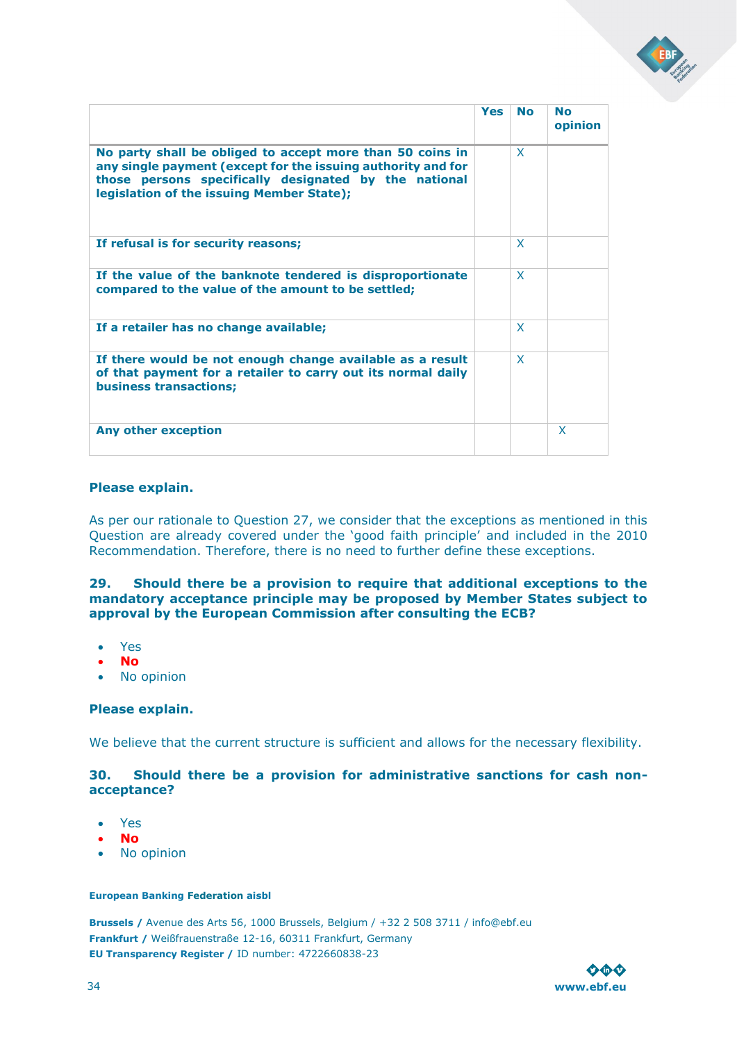![](_page_33_Picture_0.jpeg)

|                                                                                                                                                                                                                                 | <b>Yes</b> | <b>No</b> | <b>No</b><br>opinion |
|---------------------------------------------------------------------------------------------------------------------------------------------------------------------------------------------------------------------------------|------------|-----------|----------------------|
| No party shall be obliged to accept more than 50 coins in<br>any single payment (except for the issuing authority and for<br>those persons specifically designated by the national<br>legislation of the issuing Member State); |            | X         |                      |
| If refusal is for security reasons;                                                                                                                                                                                             |            | X         |                      |
| If the value of the banknote tendered is disproportionate<br>compared to the value of the amount to be settled;                                                                                                                 |            | X         |                      |
| If a retailer has no change available;                                                                                                                                                                                          |            | X         |                      |
| If there would be not enough change available as a result<br>of that payment for a retailer to carry out its normal daily<br><b>business transactions;</b>                                                                      |            | X         |                      |
| Any other exception                                                                                                                                                                                                             |            |           | X                    |

### **Please explain.**

As per our rationale to Question 27, we consider that the exceptions as mentioned in this Question are already covered under the 'good faith principle' and included in the 2010 Recommendation. Therefore, there is no need to further define these exceptions.

### **29. Should there be a provision to require that additional exceptions to the mandatory acceptance principle may be proposed by Member States subject to approval by the European Commission after consulting the ECB?**

- Yes
- **No**
- No opinion

### **Please explain.**

We believe that the current structure is sufficient and allows for the necessary flexibility.

### **30. Should there be a provision for administrative sanctions for cash nonacceptance?**

- Yes
- **No**
- No opinion

#### **European Banking Federation aisbl**

![](_page_33_Picture_16.jpeg)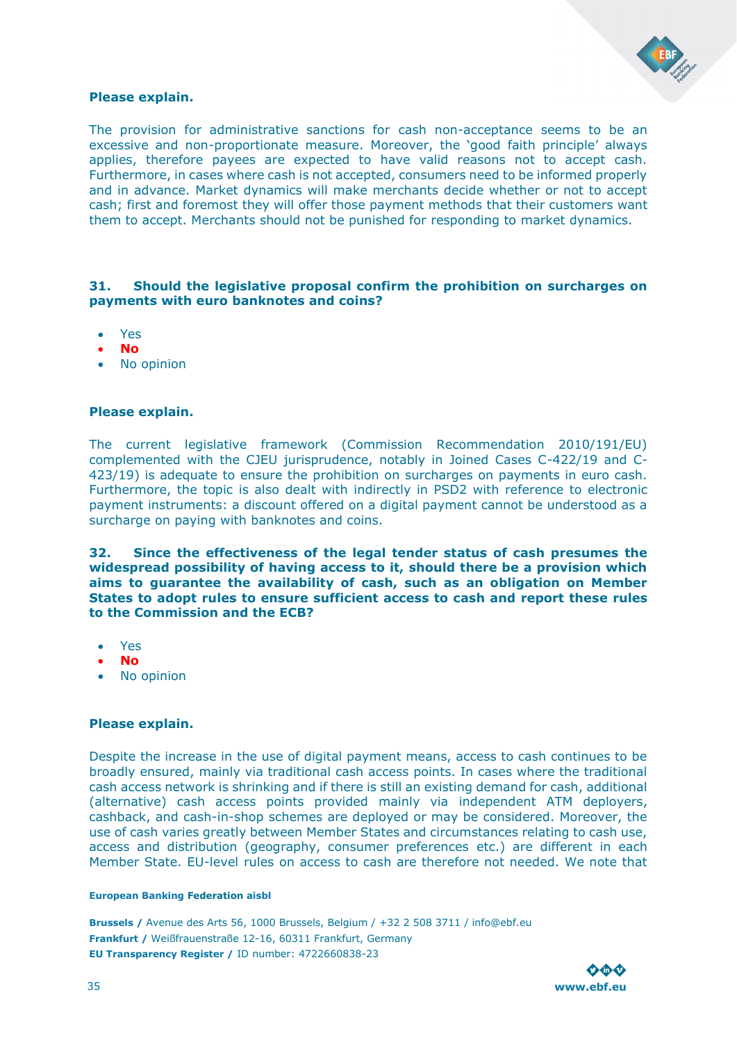![](_page_34_Picture_0.jpeg)

### **Please explain.**

The provision for administrative sanctions for cash non-acceptance seems to be an excessive and non-proportionate measure. Moreover, the 'good faith principle' always applies, therefore payees are expected to have valid reasons not to accept cash. Furthermore, in cases where cash is not accepted, consumers need to be informed properly and in advance. Market dynamics will make merchants decide whether or not to accept cash; first and foremost they will offer those payment methods that their customers want them to accept. Merchants should not be punished for responding to market dynamics.

### **31. Should the legislative proposal confirm the prohibition on surcharges on payments with euro banknotes and coins?**

- Yes
- **No**
- No opinion

### **Please explain.**

The current legislative framework (Commission Recommendation 2010/191/EU) complemented with the CJEU jurisprudence, notably in Joined Cases C-422/19 and C-423/19) is adequate to ensure the prohibition on surcharges on payments in euro cash. Furthermore, the topic is also dealt with indirectly in PSD2 with reference to electronic payment instruments: a discount offered on a digital payment cannot be understood as a surcharge on paying with banknotes and coins.

**32. Since the effectiveness of the legal tender status of cash presumes the widespread possibility of having access to it, should there be a provision which aims to guarantee the availability of cash, such as an obligation on Member States to adopt rules to ensure sufficient access to cash and report these rules to the Commission and the ECB?** 

- Yes
- **No**
- No opinion

### **Please explain.**

Despite the increase in the use of digital payment means, access to cash continues to be broadly ensured, mainly via traditional cash access points. In cases where the traditional cash access network is shrinking and if there is still an existing demand for cash, additional (alternative) cash access points provided mainly via independent ATM deployers, cashback, and cash-in-shop schemes are deployed or may be considered. Moreover, the use of cash varies greatly between Member States and circumstances relating to cash use, access and distribution (geography, consumer preferences etc.) are different in each Member State. EU-level rules on access to cash are therefore not needed. We note that

#### **European Banking Federation aisbl**

![](_page_34_Picture_17.jpeg)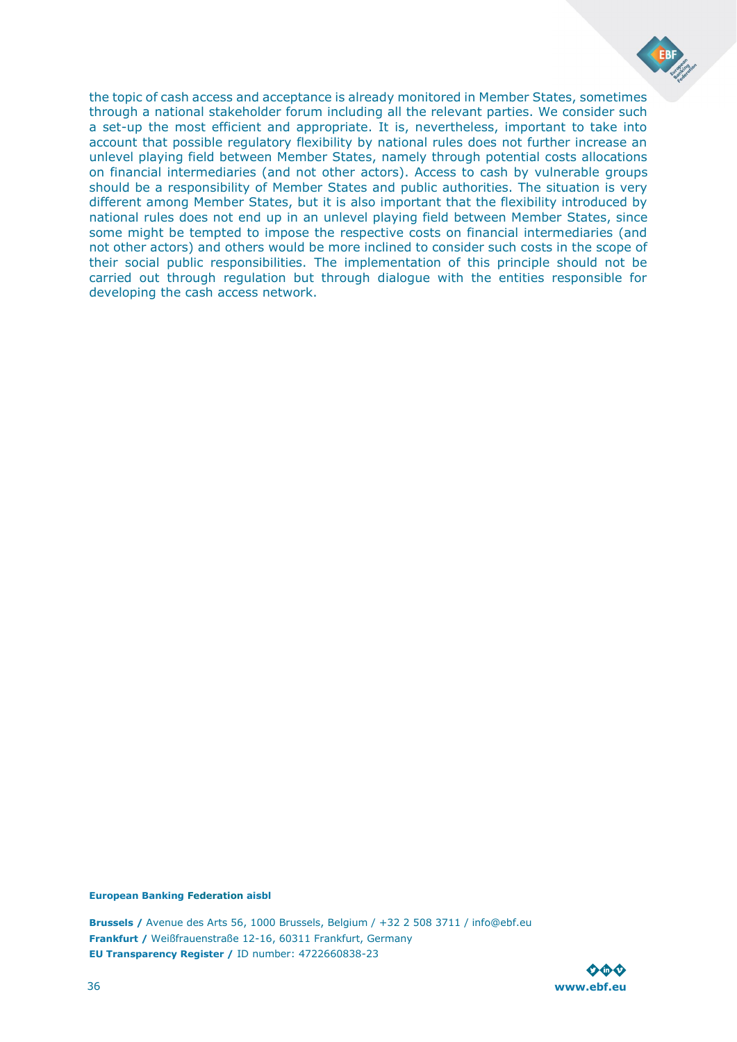![](_page_35_Picture_0.jpeg)

the topic of cash access and acceptance is already monitored in Member States, sometimes through a national stakeholder forum including all the relevant parties. We consider such a set-up the most efficient and appropriate. It is, nevertheless, important to take into account that possible regulatory flexibility by national rules does not further increase an unlevel playing field between Member States, namely through potential costs allocations on financial intermediaries (and not other actors). Access to cash by vulnerable groups should be a responsibility of Member States and public authorities. The situation is very different among Member States, but it is also important that the flexibility introduced by national rules does not end up in an unlevel playing field between Member States, since some might be tempted to impose the respective costs on financial intermediaries (and not other actors) and others would be more inclined to consider such costs in the scope of their social public responsibilities. The implementation of this principle should not be carried out through regulation but through dialogue with the entities responsible for developing the cash access network.

#### **European Banking Federation aisbl**

![](_page_35_Picture_4.jpeg)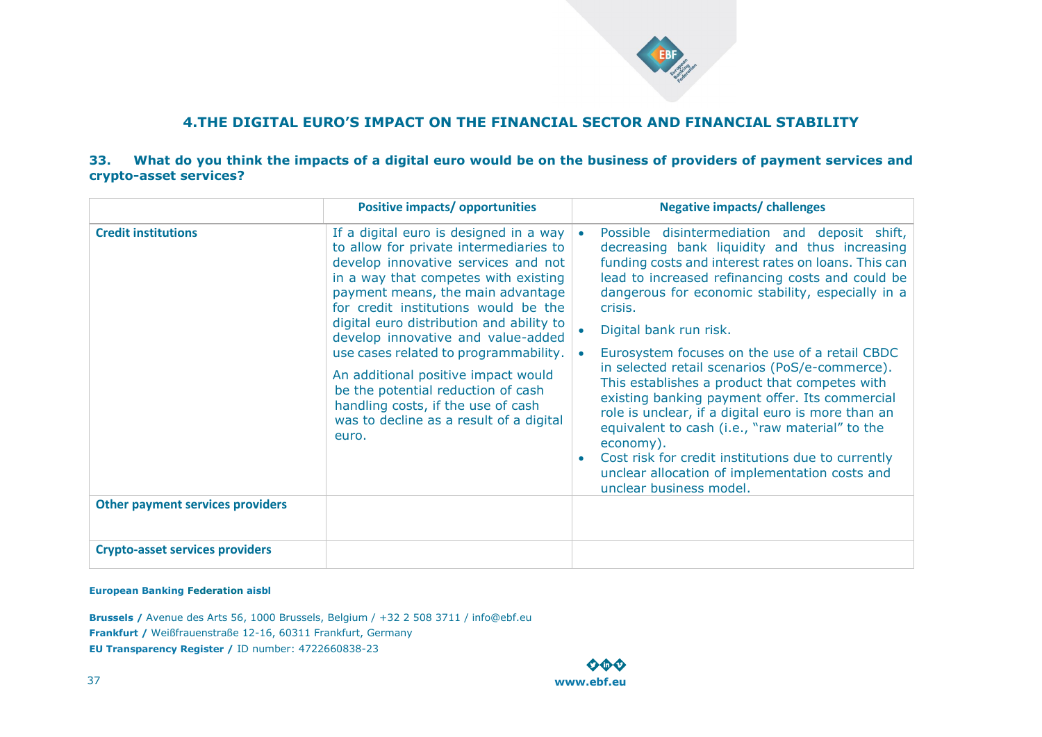![](_page_36_Picture_0.jpeg)

### **4.THE DIGITAL EURO'S IMPACT ON THE FINANCIAL SECTOR AND FINANCIAL STABILITY**

### **33. What do you think the impacts of a digital euro would be on the business of providers of payment services and crypto-asset services?**

|                                         | <b>Positive impacts/ opportunities</b>                                                                                                                                                                                                                                                                                                                                                                                                                                                                                                         | <b>Negative impacts/ challenges</b>                                                                                                                                                                                                                                                                                                                                                                                                                                                                                                                                                                                                                                                                                                                                 |
|-----------------------------------------|------------------------------------------------------------------------------------------------------------------------------------------------------------------------------------------------------------------------------------------------------------------------------------------------------------------------------------------------------------------------------------------------------------------------------------------------------------------------------------------------------------------------------------------------|---------------------------------------------------------------------------------------------------------------------------------------------------------------------------------------------------------------------------------------------------------------------------------------------------------------------------------------------------------------------------------------------------------------------------------------------------------------------------------------------------------------------------------------------------------------------------------------------------------------------------------------------------------------------------------------------------------------------------------------------------------------------|
| <b>Credit institutions</b>              | If a digital euro is designed in a way<br>to allow for private intermediaries to<br>develop innovative services and not<br>in a way that competes with existing<br>payment means, the main advantage<br>for credit institutions would be the<br>digital euro distribution and ability to<br>develop innovative and value-added<br>use cases related to programmability.<br>An additional positive impact would<br>be the potential reduction of cash<br>handling costs, if the use of cash<br>was to decline as a result of a digital<br>euro. | Possible disintermediation and deposit shift,<br>decreasing bank liquidity and thus increasing<br>funding costs and interest rates on loans. This can<br>lead to increased refinancing costs and could be<br>dangerous for economic stability, especially in a<br>crisis.<br>Digital bank run risk.<br>Eurosystem focuses on the use of a retail CBDC<br>in selected retail scenarios (PoS/e-commerce).<br>This establishes a product that competes with<br>existing banking payment offer. Its commercial<br>role is unclear, if a digital euro is more than an<br>equivalent to cash (i.e., "raw material" to the<br>economy).<br>Cost risk for credit institutions due to currently<br>unclear allocation of implementation costs and<br>unclear business model. |
| <b>Other payment services providers</b> |                                                                                                                                                                                                                                                                                                                                                                                                                                                                                                                                                |                                                                                                                                                                                                                                                                                                                                                                                                                                                                                                                                                                                                                                                                                                                                                                     |
|                                         |                                                                                                                                                                                                                                                                                                                                                                                                                                                                                                                                                |                                                                                                                                                                                                                                                                                                                                                                                                                                                                                                                                                                                                                                                                                                                                                                     |
| <b>Crypto-asset services providers</b>  |                                                                                                                                                                                                                                                                                                                                                                                                                                                                                                                                                |                                                                                                                                                                                                                                                                                                                                                                                                                                                                                                                                                                                                                                                                                                                                                                     |

### <span id="page-36-0"></span>**European Banking Federation aisbl**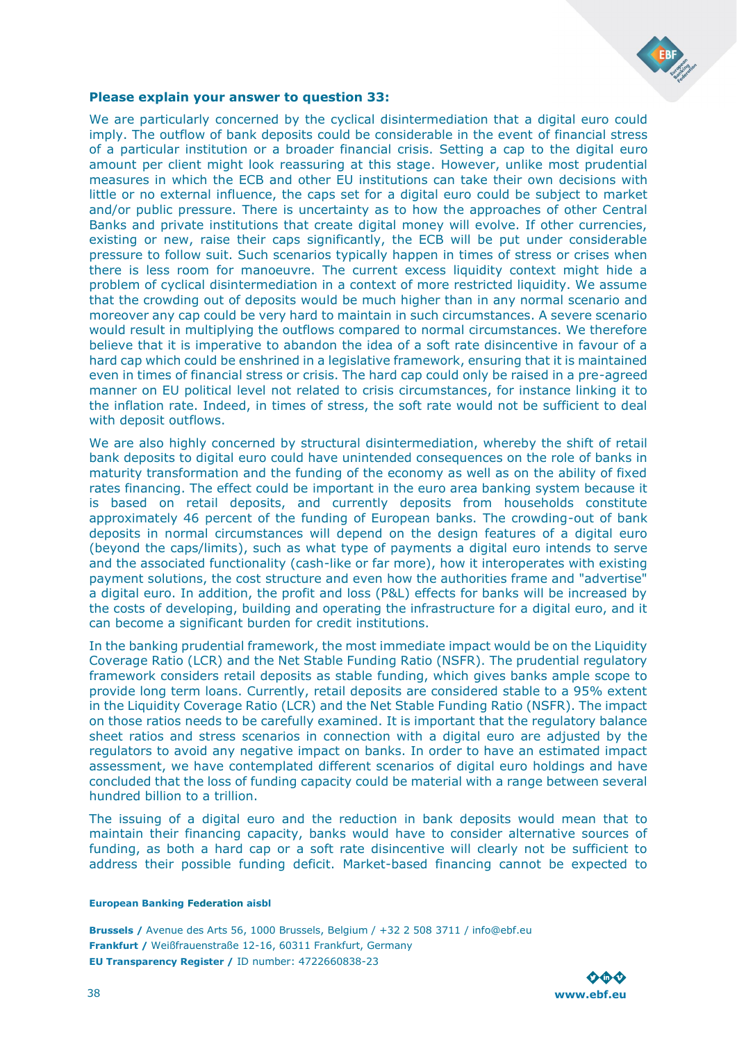![](_page_37_Picture_0.jpeg)

### **Please explain your answer to question 33:**

We are particularly concerned by the cyclical disintermediation that a digital euro could imply. The outflow of bank deposits could be considerable in the event of financial stress of a particular institution or a broader financial crisis. Setting a cap to the digital euro amount per client might look reassuring at this stage. However, unlike most prudential measures in which the ECB and other EU institutions can take their own decisions with little or no external influence, the caps set for a digital euro could be subject to market and/or public pressure. There is uncertainty as to how the approaches of other Central Banks and private institutions that create digital money will evolve. If other currencies, existing or new, raise their caps significantly, the ECB will be put under considerable pressure to follow suit. Such scenarios typically happen in times of stress or crises when there is less room for manoeuvre. The current excess liquidity context might hide a problem of cyclical disintermediation in a context of more restricted liquidity. We assume that the crowding out of deposits would be much higher than in any normal scenario and moreover any cap could be very hard to maintain in such circumstances. A severe scenario would result in multiplying the outflows compared to normal circumstances. We therefore believe that it is imperative to abandon the idea of a soft rate disincentive in favour of a hard cap which could be enshrined in a legislative framework, ensuring that it is maintained even in times of financial stress or crisis. The hard cap could only be raised in a pre-agreed manner on EU political level not related to crisis circumstances, for instance linking it to the inflation rate. Indeed, in times of stress, the soft rate would not be sufficient to deal with deposit outflows.

We are also highly concerned by structural disintermediation, whereby the shift of retail bank deposits to digital euro could have unintended consequences on the role of banks in maturity transformation and the funding of the economy as well as on the ability of fixed rates financing. The effect could be important in the euro area banking system because it is based on retail deposits, and currently deposits from households constitute approximately 46 percent of the funding of European banks. The crowding-out of bank deposits in normal circumstances will depend on the design features of a digital euro (beyond the caps/limits), such as what type of payments a digital euro intends to serve and the associated functionality (cash-like or far more), how it interoperates with existing payment solutions, the cost structure and even how the authorities frame and "advertise" a digital euro. In addition, the profit and loss (P&L) effects for banks will be increased by the costs of developing, building and operating the infrastructure for a digital euro, and it can become a significant burden for credit institutions.

In the banking prudential framework, the most immediate impact would be on the Liquidity Coverage Ratio (LCR) and the Net Stable Funding Ratio (NSFR). The prudential regulatory framework considers retail deposits as stable funding, which gives banks ample scope to provide long term loans. Currently, retail deposits are considered stable to a 95% extent in the Liquidity Coverage Ratio (LCR) and the Net Stable Funding Ratio (NSFR). The impact on those ratios needs to be carefully examined. It is important that the regulatory balance sheet ratios and stress scenarios in connection with a digital euro are adjusted by the regulators to avoid any negative impact on banks. In order to have an estimated impact assessment, we have contemplated different scenarios of digital euro holdings and have concluded that the loss of funding capacity could be material with a range between several hundred billion to a trillion.

The issuing of a digital euro and the reduction in bank deposits would mean that to maintain their financing capacity, banks would have to consider alternative sources of funding, as both a hard cap or a soft rate disincentive will clearly not be sufficient to address their possible funding deficit. Market-based financing cannot be expected to

#### **European Banking Federation aisbl**

![](_page_37_Picture_8.jpeg)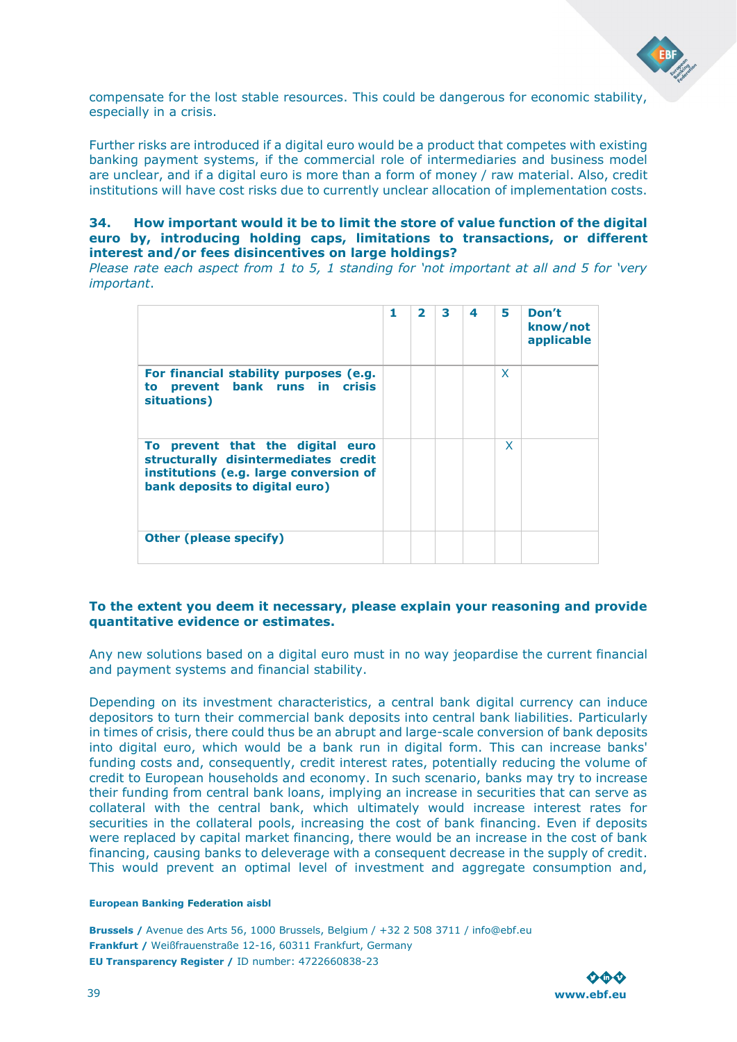![](_page_38_Picture_0.jpeg)

compensate for the lost stable resources. This could be dangerous for economic stability, especially in a crisis.

Further risks are introduced if a digital euro would be a product that competes with existing banking payment systems, if the commercial role of intermediaries and business model are unclear, and if a digital euro is more than a form of money / raw material. Also, credit institutions will have cost risks due to currently unclear allocation of implementation costs.

### **34. How important would it be to limit the store of value function of the digital euro by, introducing holding caps, limitations to transactions, or different interest and/or fees disincentives on large holdings?**

*Please rate each aspect from 1 to 5, 1 standing for 'not important at all and 5 for 'very important*.

|                                                                                                                                                      | 1 | 2 | 3 | 4 | 5 | Don't<br>know/not<br>applicable |
|------------------------------------------------------------------------------------------------------------------------------------------------------|---|---|---|---|---|---------------------------------|
| For financial stability purposes (e.g.<br>prevent bank runs in crisis<br>to<br>situations)                                                           |   |   |   |   | X |                                 |
| To prevent that the digital euro<br>structurally disintermediates credit<br>institutions (e.g. large conversion of<br>bank deposits to digital euro) |   |   |   |   | x |                                 |
| <b>Other (please specify)</b>                                                                                                                        |   |   |   |   |   |                                 |

### **To the extent you deem it necessary, please explain your reasoning and provide quantitative evidence or estimates.**

Any new solutions based on a digital euro must in no way jeopardise the current financial and payment systems and financial stability.

Depending on its investment characteristics, a central bank digital currency can induce depositors to turn their commercial bank deposits into central bank liabilities. Particularly in times of crisis, there could thus be an abrupt and large-scale conversion of bank deposits into digital euro, which would be a bank run in digital form. This can increase banks' funding costs and, consequently, credit interest rates, potentially reducing the volume of credit to European households and economy. In such scenario, banks may try to increase their funding from central bank loans, implying an increase in securities that can serve as collateral with the central bank, which ultimately would increase interest rates for securities in the collateral pools, increasing the cost of bank financing. Even if deposits were replaced by capital market financing, there would be an increase in the cost of bank financing, causing banks to deleverage with a consequent decrease in the supply of credit. This would prevent an optimal level of investment and aggregate consumption and,

### **European Banking Federation aisbl**

![](_page_38_Picture_11.jpeg)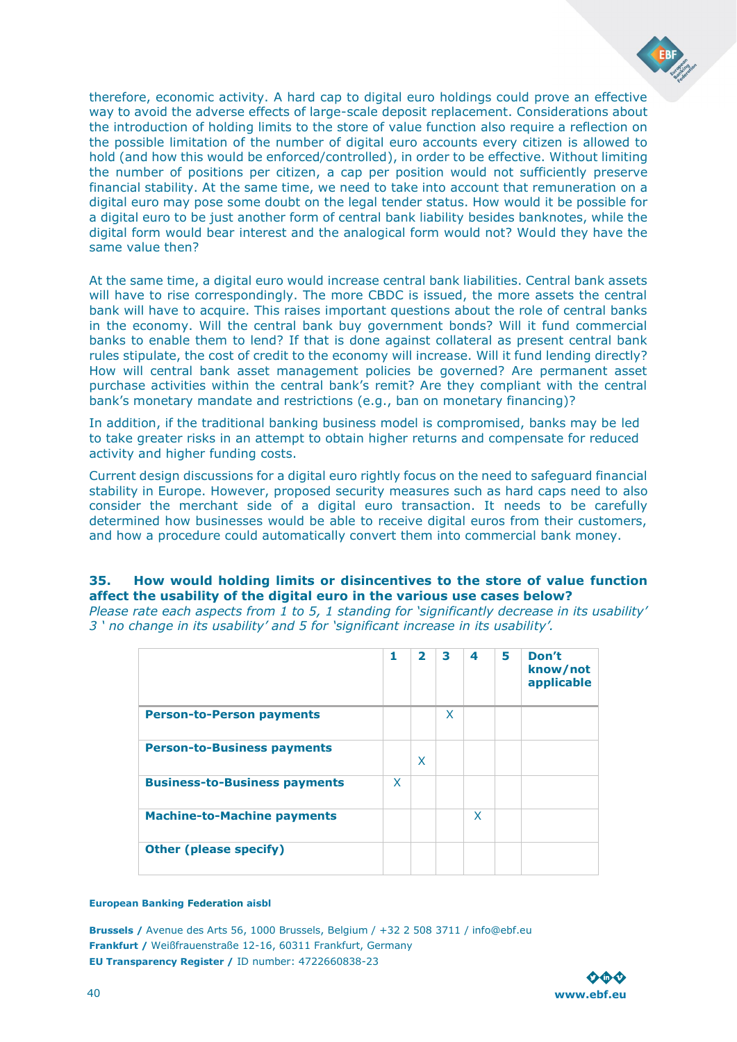![](_page_39_Picture_0.jpeg)

therefore, economic activity. A hard cap to digital euro holdings could prove an effective way to avoid the adverse effects of large-scale deposit replacement. Considerations about the introduction of holding limits to the store of value function also require a reflection on the possible limitation of the number of digital euro accounts every citizen is allowed to hold (and how this would be enforced/controlled), in order to be effective. Without limiting the number of positions per citizen, a cap per position would not sufficiently preserve financial stability. At the same time, we need to take into account that remuneration on a digital euro may pose some doubt on the legal tender status. How would it be possible for a digital euro to be just another form of central bank liability besides banknotes, while the digital form would bear interest and the analogical form would not? Would they have the same value then?

At the same time, a digital euro would increase central bank liabilities. Central bank assets will have to rise correspondingly. The more CBDC is issued, the more assets the central bank will have to acquire. This raises important questions about the role of central banks in the economy. Will the central bank buy government bonds? Will it fund commercial banks to enable them to lend? If that is done against collateral as present central bank rules stipulate, the cost of credit to the economy will increase. Will it fund lending directly? How will central bank asset management policies be governed? Are permanent asset purchase activities within the central bank's remit? Are they compliant with the central bank's monetary mandate and restrictions (e.g., ban on monetary financing)?

In addition, if the traditional banking business model is compromised, banks may be led to take greater risks in an attempt to obtain higher returns and compensate for reduced activity and higher funding costs.

Current design discussions for a digital euro rightly focus on the need to safeguard financial stability in Europe. However, proposed security measures such as hard caps need to also consider the merchant side of a digital euro transaction. It needs to be carefully determined how businesses would be able to receive digital euros from their customers, and how a procedure could automatically convert them into commercial bank money.

### **35. How would holding limits or disincentives to the store of value function affect the usability of the digital euro in the various use cases below?**

*Please rate each aspects from 1 to 5, 1 standing for 'significantly decrease in its usability' 3 ' no change in its usability' and 5 for 'significant increase in its usability'.* 

|                                      | 1 | $\overline{\mathbf{z}}$ | 3 | 4 | 5 | Don't<br>know/not<br>applicable |
|--------------------------------------|---|-------------------------|---|---|---|---------------------------------|
| <b>Person-to-Person payments</b>     |   |                         | X |   |   |                                 |
| <b>Person-to-Business payments</b>   |   | X                       |   |   |   |                                 |
| <b>Business-to-Business payments</b> | X |                         |   |   |   |                                 |
| <b>Machine-to-Machine payments</b>   |   |                         |   | X |   |                                 |
| <b>Other (please specify)</b>        |   |                         |   |   |   |                                 |

#### **European Banking Federation aisbl**

![](_page_39_Picture_10.jpeg)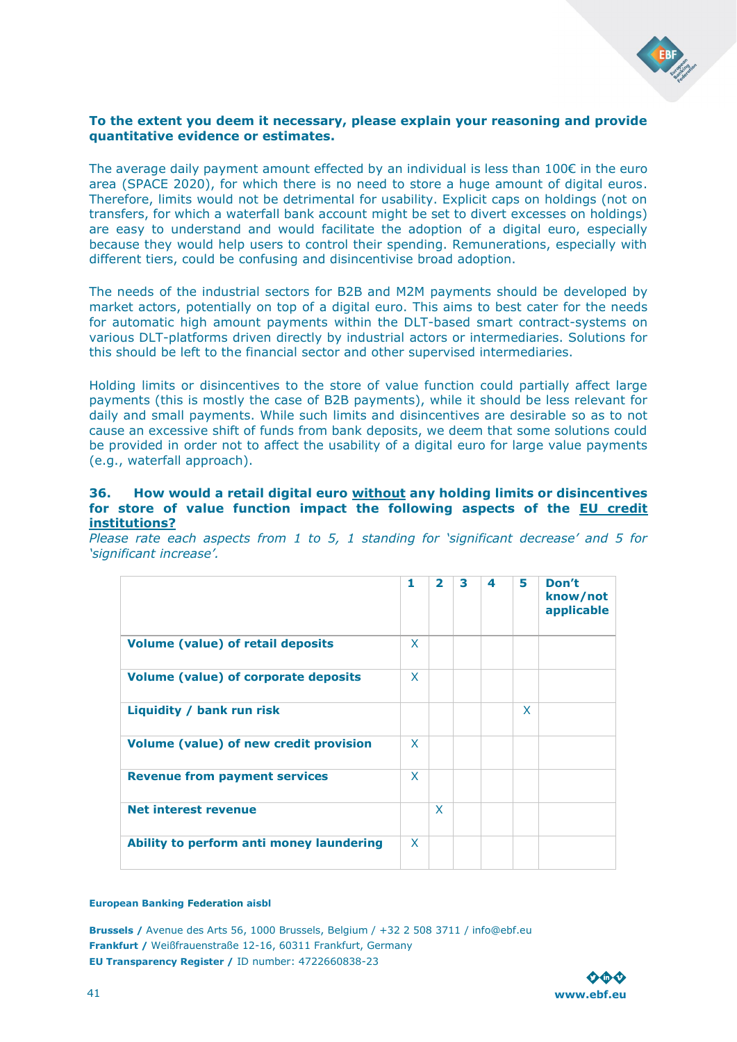![](_page_40_Picture_0.jpeg)

### **To the extent you deem it necessary, please explain your reasoning and provide quantitative evidence or estimates.**

The average daily payment amount effected by an individual is less than  $100\epsilon$  in the euro area (SPACE 2020), for which there is no need to store a huge amount of digital euros. Therefore, limits would not be detrimental for usability. Explicit caps on holdings (not on transfers, for which a waterfall bank account might be set to divert excesses on holdings) are easy to understand and would facilitate the adoption of a digital euro, especially because they would help users to control their spending. Remunerations, especially with different tiers, could be confusing and disincentivise broad adoption.

The needs of the industrial sectors for B2B and M2M payments should be developed by market actors, potentially on top of a digital euro. This aims to best cater for the needs for automatic high amount payments within the DLT-based smart contract-systems on various DLT-platforms driven directly by industrial actors or intermediaries. Solutions for this should be left to the financial sector and other supervised intermediaries.

Holding limits or disincentives to the store of value function could partially affect large payments (this is mostly the case of B2B payments), while it should be less relevant for daily and small payments. While such limits and disincentives are desirable so as to not cause an excessive shift of funds from bank deposits, we deem that some solutions could be provided in order not to affect the usability of a digital euro for large value payments (e.g., waterfall approach).

### **36. How would a retail digital euro without any holding limits or disincentives for store of value function impact the following aspects of the EU credit institutions?**

*Please rate each aspects from 1 to 5, 1 standing for 'significant decrease' and 5 for 'significant increase'.* 

|                                             | 1 | $\overline{2}$ | 3 | 4 | 5 | Don't<br>know/not<br>applicable |
|---------------------------------------------|---|----------------|---|---|---|---------------------------------|
| <b>Volume (value) of retail deposits</b>    | X |                |   |   |   |                                 |
| <b>Volume (value) of corporate deposits</b> | X |                |   |   |   |                                 |
| Liquidity / bank run risk                   |   |                |   |   | X |                                 |
| Volume (value) of new credit provision      | X |                |   |   |   |                                 |
| <b>Revenue from payment services</b>        | X |                |   |   |   |                                 |
| <b>Net interest revenue</b>                 |   | $\mathsf{X}$   |   |   |   |                                 |
| Ability to perform anti money laundering    | X |                |   |   |   |                                 |

#### **European Banking Federation aisbl**

![](_page_40_Picture_10.jpeg)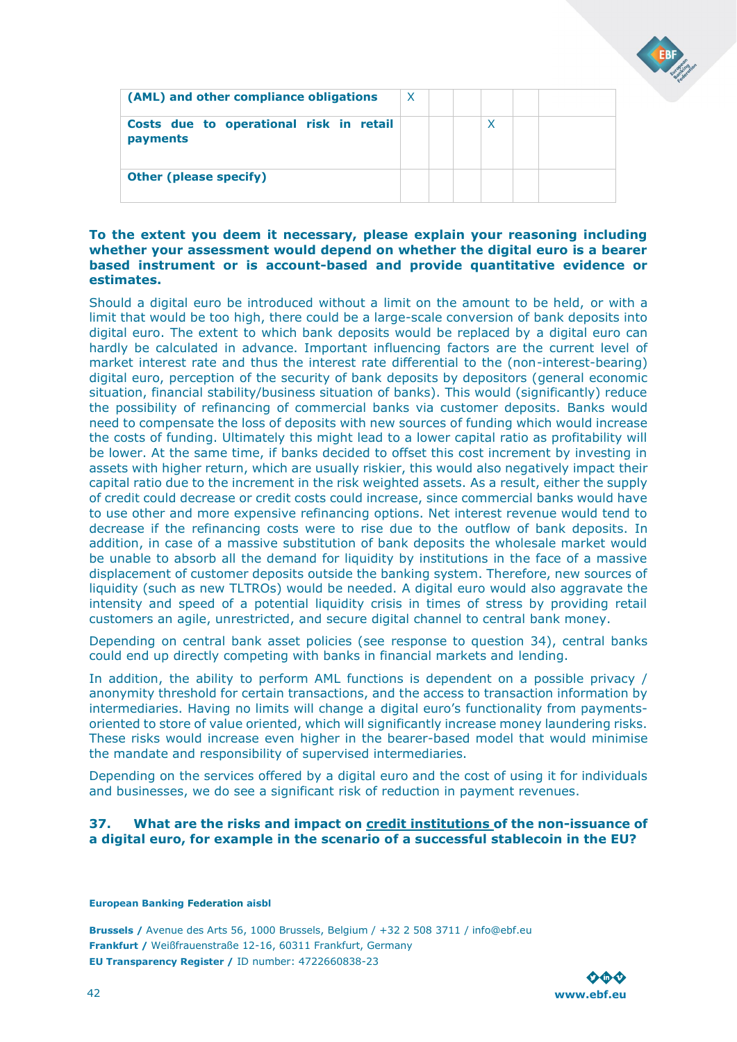| (AML) and other compliance obligations              | - X |  |  |  |
|-----------------------------------------------------|-----|--|--|--|
| Costs due to operational risk in retail<br>payments |     |  |  |  |
| <b>Other (please specify)</b>                       |     |  |  |  |

### **To the extent you deem it necessary, please explain your reasoning including whether your assessment would depend on whether the digital euro is a bearer based instrument or is account-based and provide quantitative evidence or estimates.**

Should a digital euro be introduced without a limit on the amount to be held, or with a limit that would be too high, there could be a large-scale conversion of bank deposits into digital euro. The extent to which bank deposits would be replaced by a digital euro can hardly be calculated in advance. Important influencing factors are the current level of market interest rate and thus the interest rate differential to the (non-interest-bearing) digital euro, perception of the security of bank deposits by depositors (general economic situation, financial stability/business situation of banks). This would (significantly) reduce the possibility of refinancing of commercial banks via customer deposits. Banks would need to compensate the loss of deposits with new sources of funding which would increase the costs of funding. Ultimately this might lead to a lower capital ratio as profitability will be lower. At the same time, if banks decided to offset this cost increment by investing in assets with higher return, which are usually riskier, this would also negatively impact their capital ratio due to the increment in the risk weighted assets. As a result, either the supply of credit could decrease or credit costs could increase, since commercial banks would have to use other and more expensive refinancing options. Net interest revenue would tend to decrease if the refinancing costs were to rise due to the outflow of bank deposits. In addition, in case of a massive substitution of bank deposits the wholesale market would be unable to absorb all the demand for liquidity by institutions in the face of a massive displacement of customer deposits outside the banking system. Therefore, new sources of liquidity (such as new TLTROs) would be needed. A digital euro would also aggravate the intensity and speed of a potential liquidity crisis in times of stress by providing retail customers an agile, unrestricted, and secure digital channel to central bank money.

Depending on central bank asset policies (see response to question 34), central banks could end up directly competing with banks in financial markets and lending.

In addition, the ability to perform AML functions is dependent on a possible privacy / anonymity threshold for certain transactions, and the access to transaction information by intermediaries. Having no limits will change a digital euro's functionality from paymentsoriented to store of value oriented, which will significantly increase money laundering risks. These risks would increase even higher in the bearer-based model that would minimise the mandate and responsibility of supervised intermediaries.

Depending on the services offered by a digital euro and the cost of using it for individuals and businesses, we do see a significant risk of reduction in payment revenues.

### **37. What are the risks and impact on credit institutions of the non-issuance of a digital euro, for example in the scenario of a successful stablecoin in the EU?**

#### **European Banking Federation aisbl**

![](_page_41_Picture_9.jpeg)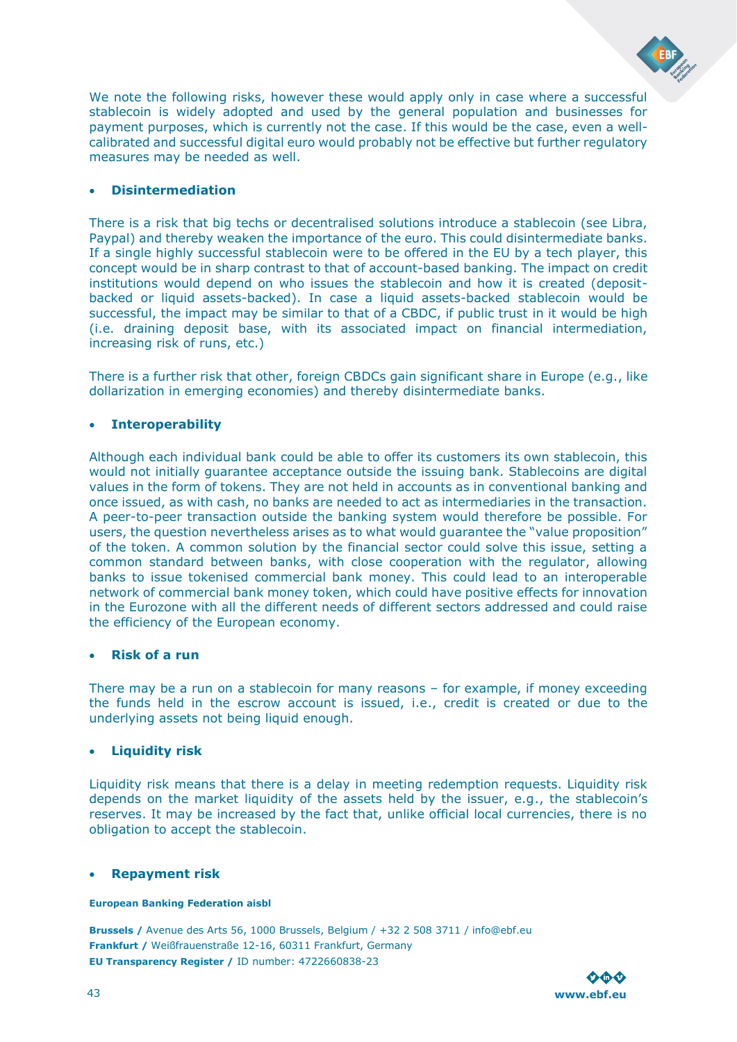![](_page_42_Picture_0.jpeg)

We note the following risks, however these would apply only in case where a successful stablecoin is widely adopted and used by the general population and businesses for payment purposes, which is currently not the case. If this would be the case, even a wellcalibrated and successful digital euro would probably not be effective but further regulatory measures may be needed as well.

### • **Disintermediation**

There is a risk that big techs or decentralised solutions introduce a stablecoin (see Libra, Paypal) and thereby weaken the importance of the euro. This could disintermediate banks. If a single highly successful stablecoin were to be offered in the EU by a tech player, this concept would be in sharp contrast to that of account-based banking. The impact on credit institutions would depend on who issues the stablecoin and how it is created (depositbacked or liquid assets-backed). In case a liquid assets-backed stablecoin would be successful, the impact may be similar to that of a CBDC, if public trust in it would be high (i.e. draining deposit base, with its associated impact on financial intermediation, increasing risk of runs, etc.)

There is a further risk that other, foreign CBDCs gain significant share in Europe (e.g., like dollarization in emerging economies) and thereby disintermediate banks.

### • **Interoperability**

Although each individual bank could be able to offer its customers its own stablecoin, this would not initially guarantee acceptance outside the issuing bank. Stablecoins are digital values in the form of tokens. They are not held in accounts as in conventional banking and once issued, as with cash, no banks are needed to act as intermediaries in the transaction. A peer-to-peer transaction outside the banking system would therefore be possible. For users, the question nevertheless arises as to what would guarantee the "value proposition" of the token. A common solution by the financial sector could solve this issue, setting a common standard between banks, with close cooperation with the regulator, allowing banks to issue tokenised commercial bank money. This could lead to an interoperable network of commercial bank money token, which could have positive effects for innovation in the Eurozone with all the different needs of different sectors addressed and could raise the efficiency of the European economy.

### • **Risk of a run**

There may be a run on a stablecoin for many reasons – for example, if money exceeding the funds held in the escrow account is issued, i.e., credit is created or due to the underlying assets not being liquid enough.

### • **Liquidity risk**

Liquidity risk means that there is a delay in meeting redemption requests. Liquidity risk depends on the market liquidity of the assets held by the issuer, e.g., the stablecoin's reserves. It may be increased by the fact that, unlike official local currencies, there is no obligation to accept the stablecoin.

### • **Repayment risk**

### **European Banking Federation aisbl**

![](_page_42_Picture_14.jpeg)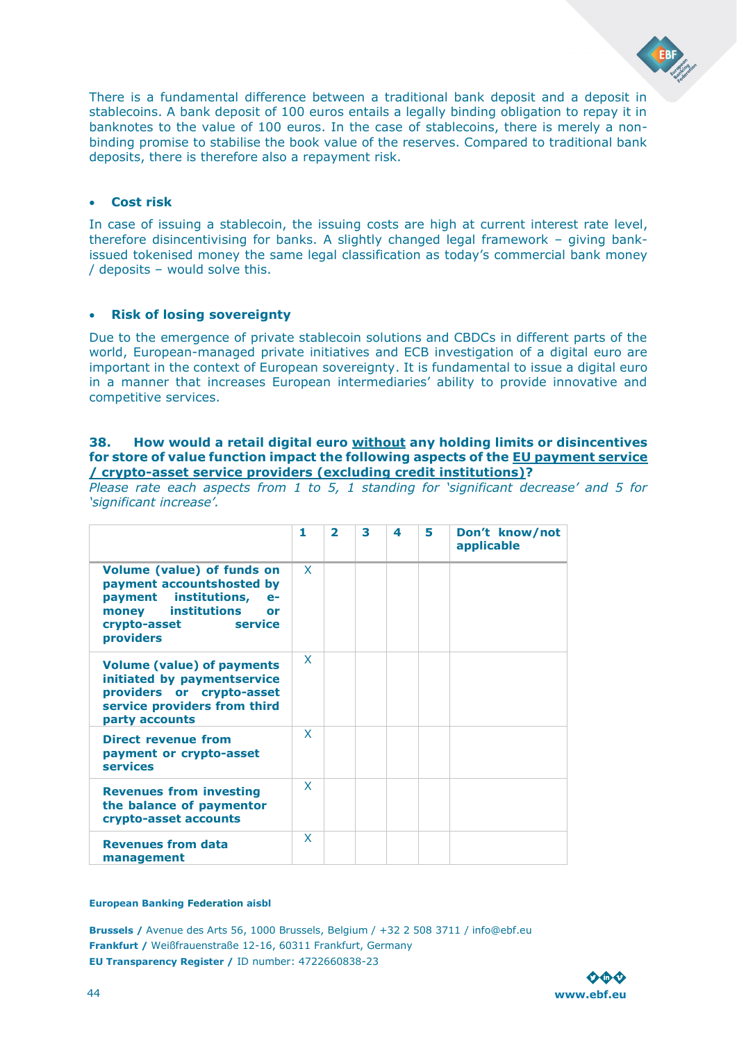![](_page_43_Picture_0.jpeg)

### • **Cost risk**

In case of issuing a stablecoin, the issuing costs are high at current interest rate level, therefore disincentivising for banks. A slightly changed legal framework – giving bankissued tokenised money the same legal classification as today's commercial bank money / deposits – would solve this.

### • **Risk of losing sovereignty**

Due to the emergence of private stablecoin solutions and CBDCs in different parts of the world, European-managed private initiatives and ECB investigation of a digital euro are important in the context of European sovereignty. It is fundamental to issue a digital euro in a manner that increases European intermediaries' ability to provide innovative and competitive services.

### **38. How would a retail digital euro without any holding limits or disincentives for store of value function impact the following aspects of the EU payment service / crypto-asset service providers (excluding credit institutions)?**

*Please rate each aspects from 1 to 5, 1 standing for 'significant decrease' and 5 for 'significant increase'.* 

|                                                                                                                                                                                  | 1            | $\overline{\phantom{a}}$ | 3 | 4 | 5. | Don't know/not<br>applicable |
|----------------------------------------------------------------------------------------------------------------------------------------------------------------------------------|--------------|--------------------------|---|---|----|------------------------------|
| <b>Volume (value) of funds on</b><br>payment accountshosted by<br>payment institutions,<br>$e-$<br>institutions<br>money<br>or<br><b>Example 19</b><br>crypto-asset<br>providers | $\mathsf{x}$ |                          |   |   |    |                              |
| <b>Volume (value) of payments</b><br>initiated by paymentservice<br>providers or crypto-asset<br>service providers from third<br>party accounts                                  | $\mathsf{x}$ |                          |   |   |    |                              |
| <b>Direct revenue from</b><br>payment or crypto-asset<br><b>services</b>                                                                                                         | X            |                          |   |   |    |                              |
| <b>Revenues from investing</b><br>the balance of paymentor<br>crypto-asset accounts                                                                                              | X            |                          |   |   |    |                              |
| <b>Revenues from data</b><br>management                                                                                                                                          | X            |                          |   |   |    |                              |

#### **European Banking Federation aisbl**

![](_page_43_Picture_10.jpeg)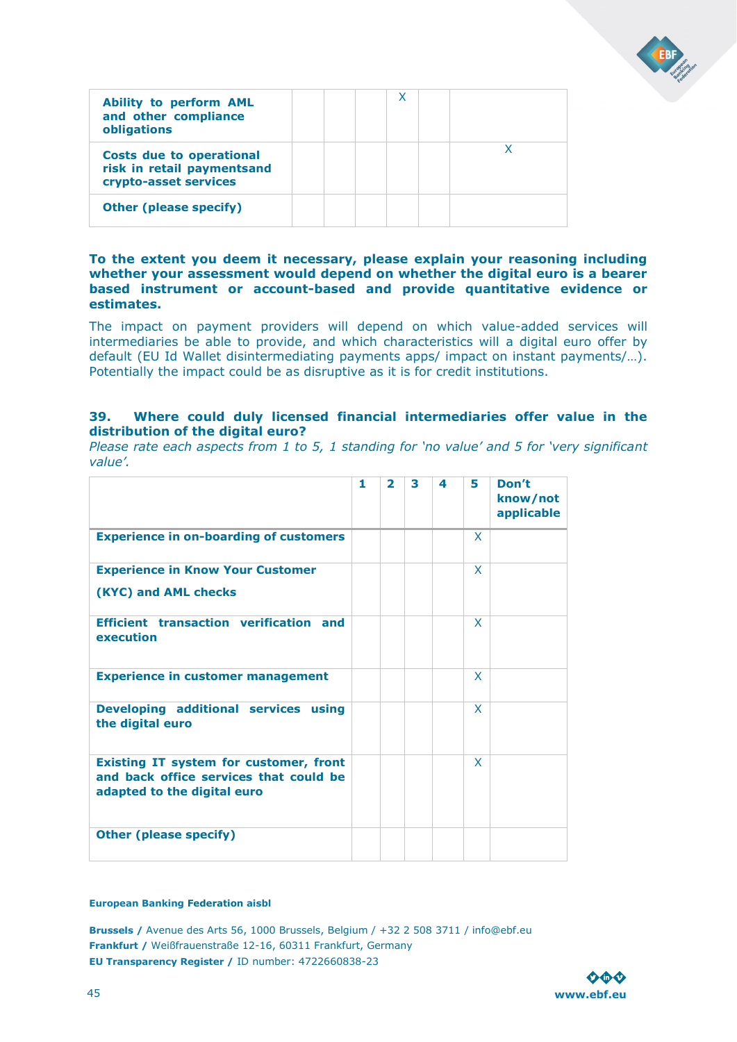![](_page_44_Picture_0.jpeg)

| <b>Ability to perform AML</b><br>and other compliance<br>obligations                   |  | χ |  |
|----------------------------------------------------------------------------------------|--|---|--|
| <b>Costs due to operational</b><br>risk in retail paymentsand<br>crypto-asset services |  |   |  |
| <b>Other (please specify)</b>                                                          |  |   |  |

**To the extent you deem it necessary, please explain your reasoning including whether your assessment would depend on whether the digital euro is a bearer based instrument or account-based and provide quantitative evidence or estimates.** 

The impact on payment providers will depend on which value-added services will intermediaries be able to provide, and which characteristics will a digital euro offer by default (EU Id Wallet disintermediating payments apps/ impact on instant payments/…). Potentially the impact could be as disruptive as it is for credit institutions.

### **39. Where could duly licensed financial intermediaries offer value in the distribution of the digital euro?**

*Please rate each aspects from 1 to 5, 1 standing for 'no value' and 5 for 'very significant value'.* 

|                                                                                                                        | 1 | $\overline{2}$ | 3 | 4 | 5            | Don't<br>know/not<br>applicable |
|------------------------------------------------------------------------------------------------------------------------|---|----------------|---|---|--------------|---------------------------------|
| <b>Experience in on-boarding of customers</b>                                                                          |   |                |   |   | X            |                                 |
| <b>Experience in Know Your Customer</b>                                                                                |   |                |   |   | X            |                                 |
| (KYC) and AML checks                                                                                                   |   |                |   |   |              |                                 |
| <b>Efficient transaction verification and</b><br>execution                                                             |   |                |   |   | $\mathsf{x}$ |                                 |
| <b>Experience in customer management</b>                                                                               |   |                |   |   | X            |                                 |
| Developing additional services using<br>the digital euro                                                               |   |                |   |   | X            |                                 |
| <b>Existing IT system for customer, front</b><br>and back office services that could be<br>adapted to the digital euro |   |                |   |   | X            |                                 |
| <b>Other (please specify)</b>                                                                                          |   |                |   |   |              |                                 |

#### **European Banking Federation aisbl**

![](_page_44_Picture_9.jpeg)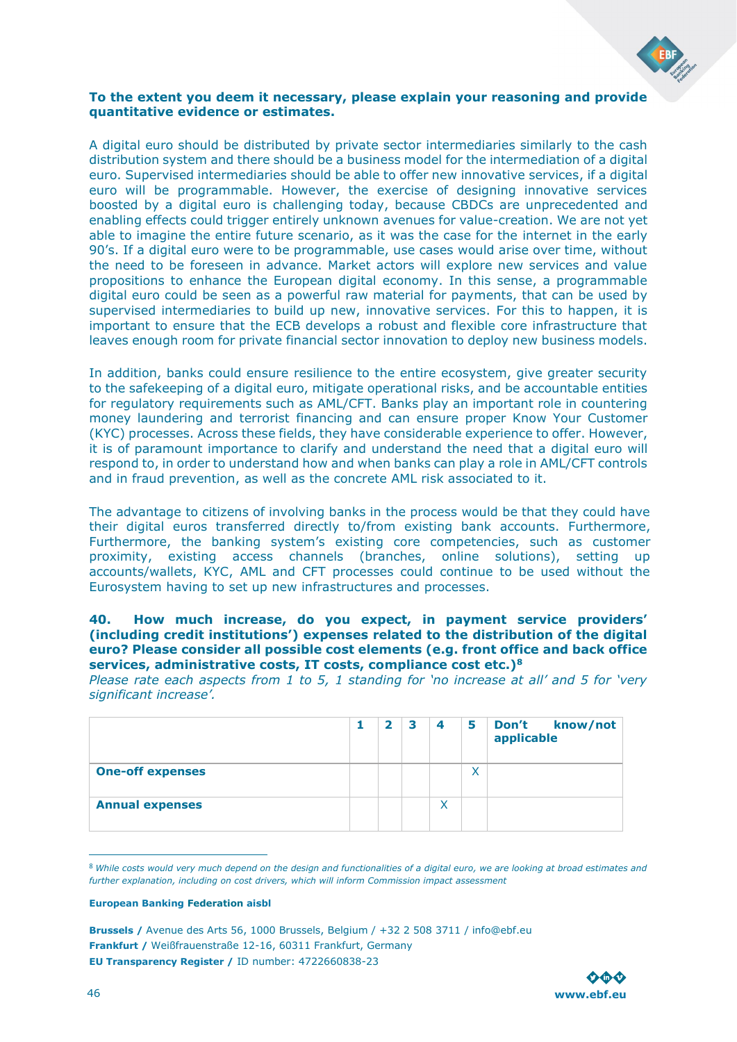![](_page_45_Picture_0.jpeg)

### **To the extent you deem it necessary, please explain your reasoning and provide quantitative evidence or estimates.**

A digital euro should be distributed by private sector intermediaries similarly to the cash distribution system and there should be a business model for the intermediation of a digital euro. Supervised intermediaries should be able to offer new innovative services, if a digital euro will be programmable. However, the exercise of designing innovative services boosted by a digital euro is challenging today, because CBDCs are unprecedented and enabling effects could trigger entirely unknown avenues for value-creation. We are not yet able to imagine the entire future scenario, as it was the case for the internet in the early 90's. If a digital euro were to be programmable, use cases would arise over time, without the need to be foreseen in advance. Market actors will explore new services and value propositions to enhance the European digital economy. In this sense, a programmable digital euro could be seen as a powerful raw material for payments, that can be used by supervised intermediaries to build up new, innovative services. For this to happen, it is important to ensure that the ECB develops a robust and flexible core infrastructure that leaves enough room for private financial sector innovation to deploy new business models.

In addition, banks could ensure resilience to the entire ecosystem, give greater security to the safekeeping of a digital euro, mitigate operational risks, and be accountable entities for regulatory requirements such as AML/CFT. Banks play an important role in countering money laundering and terrorist financing and can ensure proper Know Your Customer (KYC) processes. Across these fields, they have considerable experience to offer. However, it is of paramount importance to clarify and understand the need that a digital euro will respond to, in order to understand how and when banks can play a role in AML/CFT controls and in fraud prevention, as well as the concrete AML risk associated to it.

The advantage to citizens of involving banks in the process would be that they could have their digital euros transferred directly to/from existing bank accounts. Furthermore, Furthermore, the banking system's existing core competencies, such as customer proximity, existing access channels (branches, online solutions), setting up accounts/wallets, KYC, AML and CFT processes could continue to be used without the Eurosystem having to set up new infrastructures and processes.

### **40. How much increase, do you expect, in payment service providers' (including credit institutions') expenses related to the distribution of the digital euro? Please consider all possible cost elements (e.g. front office and back office services, administrative costs, IT costs, compliance cost etc.)<sup>8</sup>**

*Please rate each aspects from 1 to 5, 1 standing for 'no increase at all' and 5 for 'very significant increase'.* 

|                         | $\overline{\mathbf{2}}$ | З | $\overline{\bf 4}$ | 5 | <b>Don't</b><br>know/not<br>applicable |
|-------------------------|-------------------------|---|--------------------|---|----------------------------------------|
| <b>One-off expenses</b> |                         |   |                    | X |                                        |
| <b>Annual expenses</b>  |                         |   | x                  |   |                                        |

<sup>8</sup> *While costs would very much depend on the design and functionalities of a digital euro, we are looking at broad estimates and further explanation, including on cost drivers, which will inform Commission impact assessment* 

#### **European Banking Federation aisbl**

![](_page_45_Picture_11.jpeg)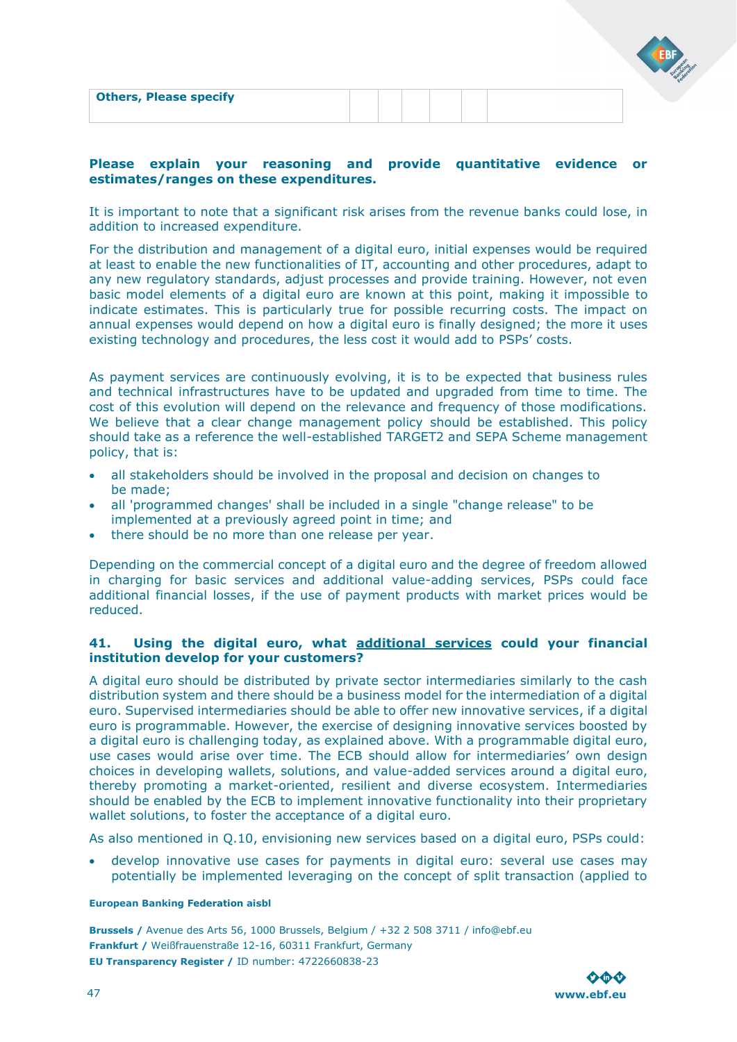| <b>Others, Please specify</b> |  |  |  |
|-------------------------------|--|--|--|
|                               |  |  |  |
|                               |  |  |  |

### **Please explain your reasoning and provide quantitative evidence or estimates/ranges on these expenditures.**

It is important to note that a significant risk arises from the revenue banks could lose, in addition to increased expenditure.

For the distribution and management of a digital euro, initial expenses would be required at least to enable the new functionalities of IT, accounting and other procedures, adapt to any new regulatory standards, adjust processes and provide training. However, not even basic model elements of a digital euro are known at this point, making it impossible to indicate estimates. This is particularly true for possible recurring costs. The impact on annual expenses would depend on how a digital euro is finally designed; the more it uses existing technology and procedures, the less cost it would add to PSPs' costs.

As payment services are continuously evolving, it is to be expected that business rules and technical infrastructures have to be updated and upgraded from time to time. The cost of this evolution will depend on the relevance and frequency of those modifications. We believe that a clear change management policy should be established. This policy should take as a reference the well-established TARGET2 and SEPA Scheme management policy, that is:

- all stakeholders should be involved in the proposal and decision on changes to be made;
- all 'programmed changes' shall be included in a single "change release" to be implemented at a previously agreed point in time; and
- there should be no more than one release per year.

Depending on the commercial concept of a digital euro and the degree of freedom allowed in charging for basic services and additional value-adding services, PSPs could face additional financial losses, if the use of payment products with market prices would be reduced.

### **41. Using the digital euro, what additional services could your financial institution develop for your customers?**

A digital euro should be distributed by private sector intermediaries similarly to the cash distribution system and there should be a business model for the intermediation of a digital euro. Supervised intermediaries should be able to offer new innovative services, if a digital euro is programmable. However, the exercise of designing innovative services boosted by a digital euro is challenging today, as explained above. With a programmable digital euro, use cases would arise over time. The ECB should allow for intermediaries' own design choices in developing wallets, solutions, and value-added services around a digital euro, thereby promoting a market-oriented, resilient and diverse ecosystem. Intermediaries should be enabled by the ECB to implement innovative functionality into their proprietary wallet solutions, to foster the acceptance of a digital euro.

As also mentioned in Q.10, envisioning new services based on a digital euro, PSPs could:

• develop innovative use cases for payments in digital euro: several use cases may potentially be implemented leveraging on the concept of split transaction (applied to

### **European Banking Federation aisbl**

![](_page_46_Picture_15.jpeg)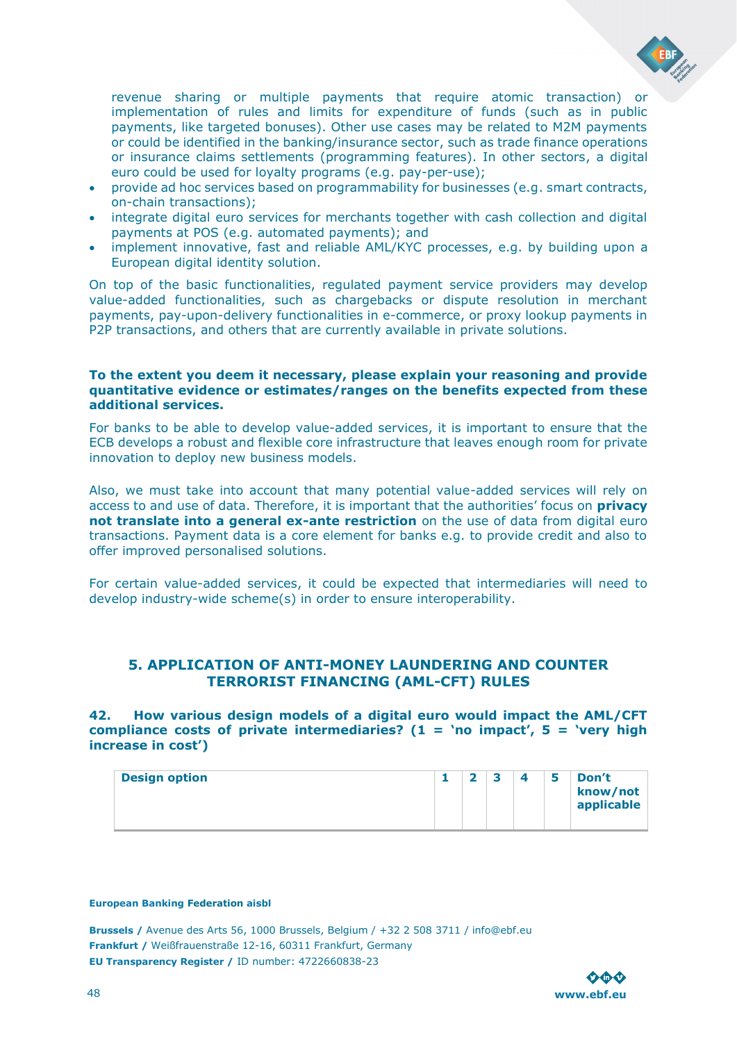![](_page_47_Picture_0.jpeg)

revenue sharing or multiple payments that require atomic transaction) or implementation of rules and limits for expenditure of funds (such as in public payments, like targeted bonuses). Other use cases may be related to M2M payments or could be identified in the banking/insurance sector, such as trade finance operations or insurance claims settlements (programming features). In other sectors, a digital euro could be used for loyalty programs (e.g. pay-per-use);

- provide ad hoc services based on programmability for businesses (e.g. smart contracts, on-chain transactions);
- integrate digital euro services for merchants together with cash collection and digital payments at POS (e.g. automated payments); and
- implement innovative, fast and reliable AML/KYC processes, e.g. by building upon a European digital identity solution.

On top of the basic functionalities, regulated payment service providers may develop value-added functionalities, such as chargebacks or dispute resolution in merchant payments, pay-upon-delivery functionalities in e-commerce, or proxy lookup payments in P2P transactions, and others that are currently available in private solutions.

### **To the extent you deem it necessary, please explain your reasoning and provide quantitative evidence or estimates/ranges on the benefits expected from these additional services.**

For banks to be able to develop value-added services, it is important to ensure that the ECB develops a robust and flexible core infrastructure that leaves enough room for private innovation to deploy new business models.

Also, we must take into account that many potential value-added services will rely on access to and use of data. Therefore, it is important that the authorities' focus on **privacy not translate into a general ex-ante restriction** on the use of data from digital euro transactions. Payment data is a core element for banks e.g. to provide credit and also to offer improved personalised solutions.

For certain value-added services, it could be expected that intermediaries will need to develop industry-wide scheme(s) in order to ensure interoperability.

### <span id="page-47-0"></span>**5. APPLICATION OF ANTI-MONEY LAUNDERING AND COUNTER TERRORIST FINANCING (AML-CFT) RULES**

**42. How various design models of a digital euro would impact the AML/CFT compliance costs of private intermediaries? (1 = 'no impact', 5 = 'very high increase in cost')** 

| <b>Design option</b> | - |  |  |  | 5 | Don't<br>know/not<br>applicable |
|----------------------|---|--|--|--|---|---------------------------------|
|----------------------|---|--|--|--|---|---------------------------------|

#### **European Banking Federation aisbl**

![](_page_47_Picture_15.jpeg)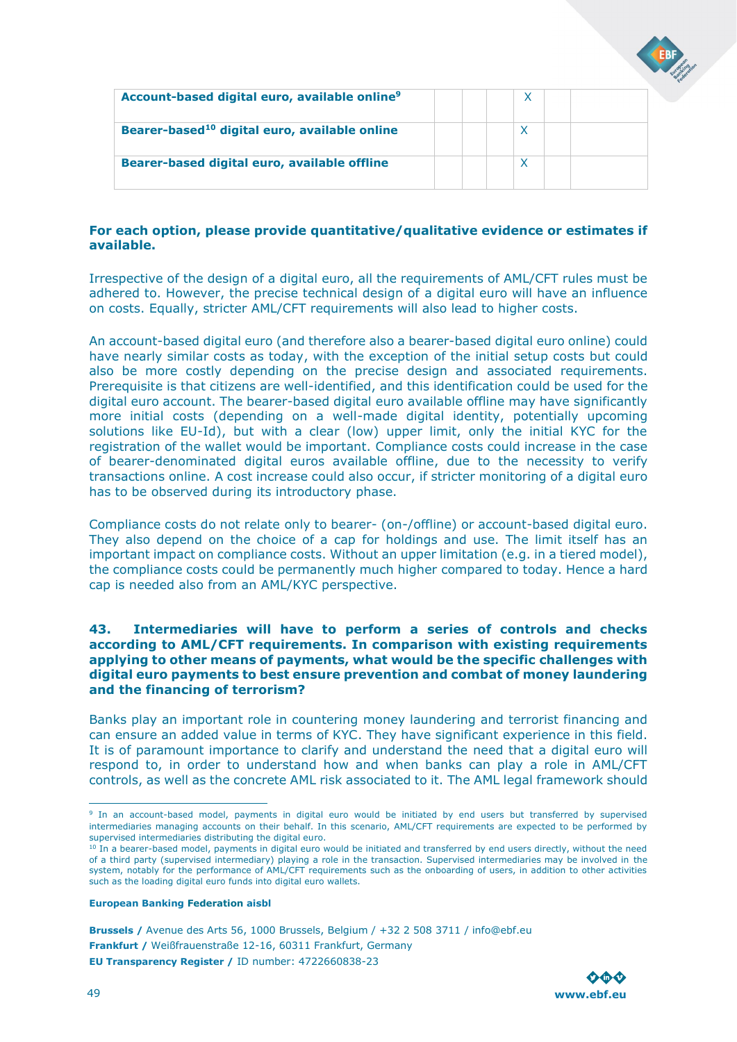![](_page_48_Picture_0.jpeg)

| Account-based digital euro, available online <sup>9</sup> |  |  |  |
|-----------------------------------------------------------|--|--|--|
| Bearer-based <sup>10</sup> digital euro, available online |  |  |  |
| Bearer-based digital euro, available offline              |  |  |  |

### **For each option, please provide quantitative/qualitative evidence or estimates if available.**

Irrespective of the design of a digital euro, all the requirements of AML/CFT rules must be adhered to. However, the precise technical design of a digital euro will have an influence on costs. Equally, stricter AML/CFT requirements will also lead to higher costs.

An account-based digital euro (and therefore also a bearer-based digital euro online) could have nearly similar costs as today, with the exception of the initial setup costs but could also be more costly depending on the precise design and associated requirements. Prerequisite is that citizens are well-identified, and this identification could be used for the digital euro account. The bearer-based digital euro available offline may have significantly more initial costs (depending on a well-made digital identity, potentially upcoming solutions like EU-Id), but with a clear (low) upper limit, only the initial KYC for the registration of the wallet would be important. Compliance costs could increase in the case of bearer-denominated digital euros available offline, due to the necessity to verify transactions online. A cost increase could also occur, if stricter monitoring of a digital euro has to be observed during its introductory phase.

Compliance costs do not relate only to bearer- (on-/offline) or account-based digital euro. They also depend on the choice of a cap for holdings and use. The limit itself has an important impact on compliance costs. Without an upper limitation (e.g. in a tiered model), the compliance costs could be permanently much higher compared to today. Hence a hard cap is needed also from an AML/KYC perspective.

### **43. Intermediaries will have to perform a series of controls and checks according to AML/CFT requirements. In comparison with existing requirements applying to other means of payments, what would be the specific challenges with digital euro payments to best ensure prevention and combat of money laundering and the financing of terrorism?**

Banks play an important role in countering money laundering and terrorist financing and can ensure an added value in terms of KYC. They have significant experience in this field. It is of paramount importance to clarify and understand the need that a digital euro will respond to, in order to understand how and when banks can play a role in AML/CFT controls, as well as the concrete AML risk associated to it. The AML legal framework should

#### **European Banking Federation aisbl**

![](_page_48_Picture_12.jpeg)

<sup>&</sup>lt;sup>9</sup> In an account-based model, payments in digital euro would be initiated by end users but transferred by supervised intermediaries managing accounts on their behalf. In this scenario, AML/CFT requirements are expected to be performed by supervised intermediaries distributing the digital euro.

<sup>&</sup>lt;sup>10</sup> In a bearer-based model, payments in digital euro would be initiated and transferred by end users directly, without the need of a third party (supervised intermediary) playing a role in the transaction. Supervised intermediaries may be involved in the system, notably for the performance of AML/CFT requirements such as the onboarding of users, in addition to other activities such as the loading digital euro funds into digital euro wallets.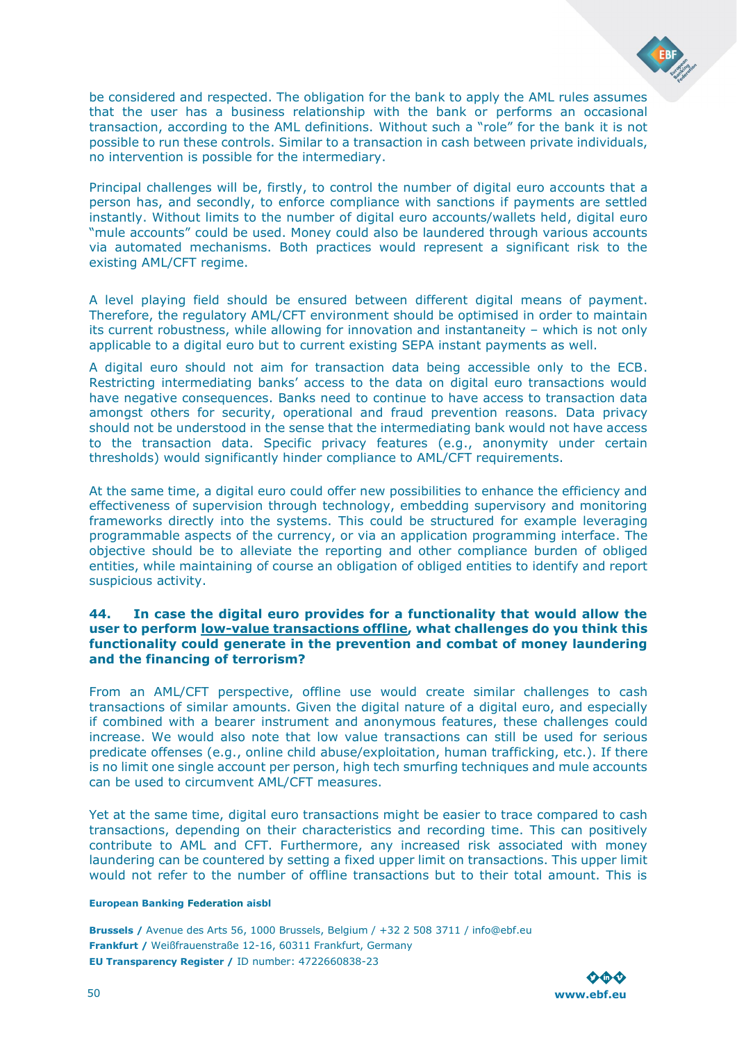![](_page_49_Picture_0.jpeg)

be considered and respected. The obligation for the bank to apply the AML rules assumes that the user has a business relationship with the bank or performs an occasional transaction, according to the AML definitions. Without such a "role" for the bank it is not possible to run these controls. Similar to a transaction in cash between private individuals, no intervention is possible for the intermediary.

Principal challenges will be, firstly, to control the number of digital euro accounts that a person has, and secondly, to enforce compliance with sanctions if payments are settled instantly. Without limits to the number of digital euro accounts/wallets held, digital euro "mule accounts" could be used. Money could also be laundered through various accounts via automated mechanisms. Both practices would represent a significant risk to the existing AML/CFT regime.

A level playing field should be ensured between different digital means of payment. Therefore, the regulatory AML/CFT environment should be optimised in order to maintain its current robustness, while allowing for innovation and instantaneity – which is not only applicable to a digital euro but to current existing SEPA instant payments as well.

A digital euro should not aim for transaction data being accessible only to the ECB. Restricting intermediating banks' access to the data on digital euro transactions would have negative consequences. Banks need to continue to have access to transaction data amongst others for security, operational and fraud prevention reasons. Data privacy should not be understood in the sense that the intermediating bank would not have access to the transaction data. Specific privacy features (e.g., anonymity under certain thresholds) would significantly hinder compliance to AML/CFT requirements.

At the same time, a digital euro could offer new possibilities to enhance the efficiency and effectiveness of supervision through technology, embedding supervisory and monitoring frameworks directly into the systems. This could be structured for example leveraging programmable aspects of the currency, or via an application programming interface. The objective should be to alleviate the reporting and other compliance burden of obliged entities, while maintaining of course an obligation of obliged entities to identify and report suspicious activity.

### **44. In case the digital euro provides for a functionality that would allow the user to perform low-value transactions offline, what challenges do you think this functionality could generate in the prevention and combat of money laundering and the financing of terrorism?**

From an AML/CFT perspective, offline use would create similar challenges to cash transactions of similar amounts. Given the digital nature of a digital euro, and especially if combined with a bearer instrument and anonymous features, these challenges could increase. We would also note that low value transactions can still be used for serious predicate offenses (e.g., online child abuse/exploitation, human trafficking, etc.). If there is no limit one single account per person, high tech smurfing techniques and mule accounts can be used to circumvent AML/CFT measures.

Yet at the same time, digital euro transactions might be easier to trace compared to cash transactions, depending on their characteristics and recording time. This can positively contribute to AML and CFT. Furthermore, any increased risk associated with money laundering can be countered by setting a fixed upper limit on transactions. This upper limit would not refer to the number of offline transactions but to their total amount. This is

#### **European Banking Federation aisbl**

![](_page_49_Picture_11.jpeg)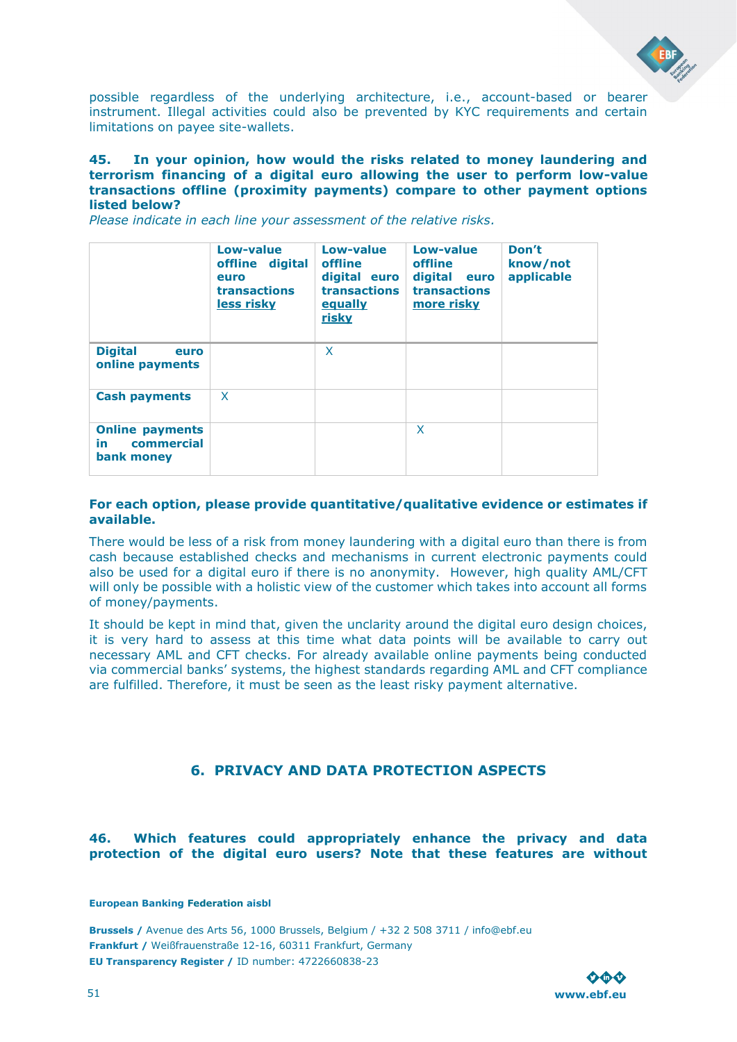![](_page_50_Picture_0.jpeg)

possible regardless of the underlying architecture, i.e., account-based or bearer instrument. Illegal activities could also be prevented by KYC requirements and certain limitations on payee site-wallets.

### **45. In your opinion, how would the risks related to money laundering and terrorism financing of a digital euro allowing the user to perform low-value transactions offline (proximity payments) compare to other payment options listed below?**

|                                                           | Low-value<br>offline digital<br>euro<br>transactions<br>less risky | Low-value<br>offline<br>digital euro<br>transactions<br>equally<br>risky | Low-value<br>offline<br>digital<br>euro<br>transactions<br>more risky | Don't<br>know/not<br>applicable |
|-----------------------------------------------------------|--------------------------------------------------------------------|--------------------------------------------------------------------------|-----------------------------------------------------------------------|---------------------------------|
| <b>Digital</b><br>euro<br>online payments                 |                                                                    | X                                                                        |                                                                       |                                 |
| <b>Cash payments</b>                                      | X                                                                  |                                                                          |                                                                       |                                 |
| <b>Online payments</b><br>commercial<br>in.<br>bank money |                                                                    |                                                                          | X                                                                     |                                 |

*Please indicate in each line your assessment of the relative risks.* 

### **For each option, please provide quantitative/qualitative evidence or estimates if available.**

There would be less of a risk from money laundering with a digital euro than there is from cash because established checks and mechanisms in current electronic payments could also be used for a digital euro if there is no anonymity. However, high quality AML/CFT will only be possible with a holistic view of the customer which takes into account all forms of money/payments.

It should be kept in mind that, given the unclarity around the digital euro design choices, it is very hard to assess at this time what data points will be available to carry out necessary AML and CFT checks. For already available online payments being conducted via commercial banks' systems, the highest standards regarding AML and CFT compliance are fulfilled. Therefore, it must be seen as the least risky payment alternative.

### **6. PRIVACY AND DATA PROTECTION ASPECTS**

### <span id="page-50-0"></span>**46. Which features could appropriately enhance the privacy and data protection of the digital euro users? Note that these features are without**

**European Banking Federation aisbl**

![](_page_50_Picture_12.jpeg)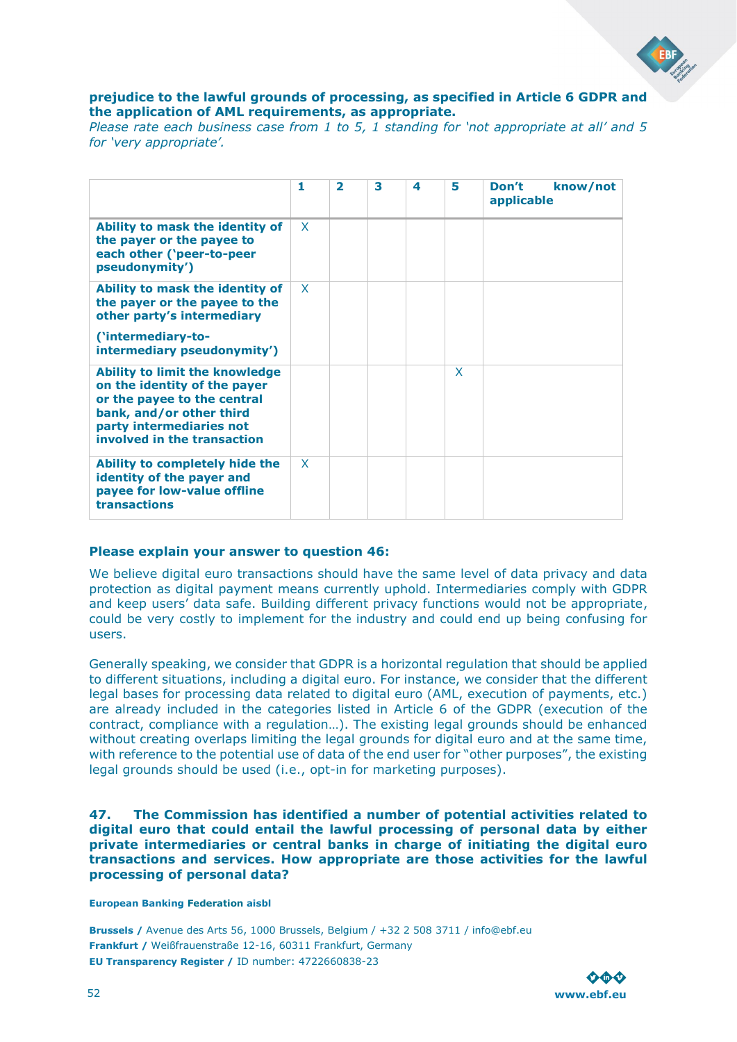![](_page_51_Picture_0.jpeg)

### **prejudice to the lawful grounds of processing, as specified in Article 6 GDPR and the application of AML requirements, as appropriate.**

*Please rate each business case from 1 to 5, 1 standing for 'not appropriate at all' and 5 for 'very appropriate'.* 

|                                                                                                                                                                                             | 1            | $\overline{\mathbf{z}}$ | 3 | 4 | 5 | Don't<br>know/not<br>applicable |
|---------------------------------------------------------------------------------------------------------------------------------------------------------------------------------------------|--------------|-------------------------|---|---|---|---------------------------------|
| Ability to mask the identity of<br>the payer or the payee to<br>each other ('peer-to-peer<br>pseudonymity')                                                                                 | X            |                         |   |   |   |                                 |
| Ability to mask the identity of<br>the payer or the payee to the<br>other party's intermediary                                                                                              | $\mathsf{x}$ |                         |   |   |   |                                 |
| Cintermediary-to-<br>intermediary pseudonymity')                                                                                                                                            |              |                         |   |   |   |                                 |
| <b>Ability to limit the knowledge</b><br>on the identity of the payer<br>or the payee to the central<br>bank, and/or other third<br>party intermediaries not<br>involved in the transaction |              |                         |   |   | X |                                 |
| Ability to completely hide the<br>identity of the payer and<br>payee for low-value offline<br>transactions                                                                                  | $\mathsf{x}$ |                         |   |   |   |                                 |

### **Please explain your answer to question 46:**

We believe digital euro transactions should have the same level of data privacy and data protection as digital payment means currently uphold. Intermediaries comply with GDPR and keep users' data safe. Building different privacy functions would not be appropriate, could be very costly to implement for the industry and could end up being confusing for users.

Generally speaking, we consider that GDPR is a horizontal regulation that should be applied to different situations, including a digital euro. For instance, we consider that the different legal bases for processing data related to digital euro (AML, execution of payments, etc.) are already included in the categories listed in Article 6 of the GDPR (execution of the contract, compliance with a regulation…). The existing legal grounds should be enhanced without creating overlaps limiting the legal grounds for digital euro and at the same time, with reference to the potential use of data of the end user for "other purposes", the existing legal grounds should be used (i.e., opt-in for marketing purposes).

**47. The Commission has identified a number of potential activities related to digital euro that could entail the lawful processing of personal data by either private intermediaries or central banks in charge of initiating the digital euro transactions and services. How appropriate are those activities for the lawful processing of personal data?** 

#### **European Banking Federation aisbl**

![](_page_51_Picture_10.jpeg)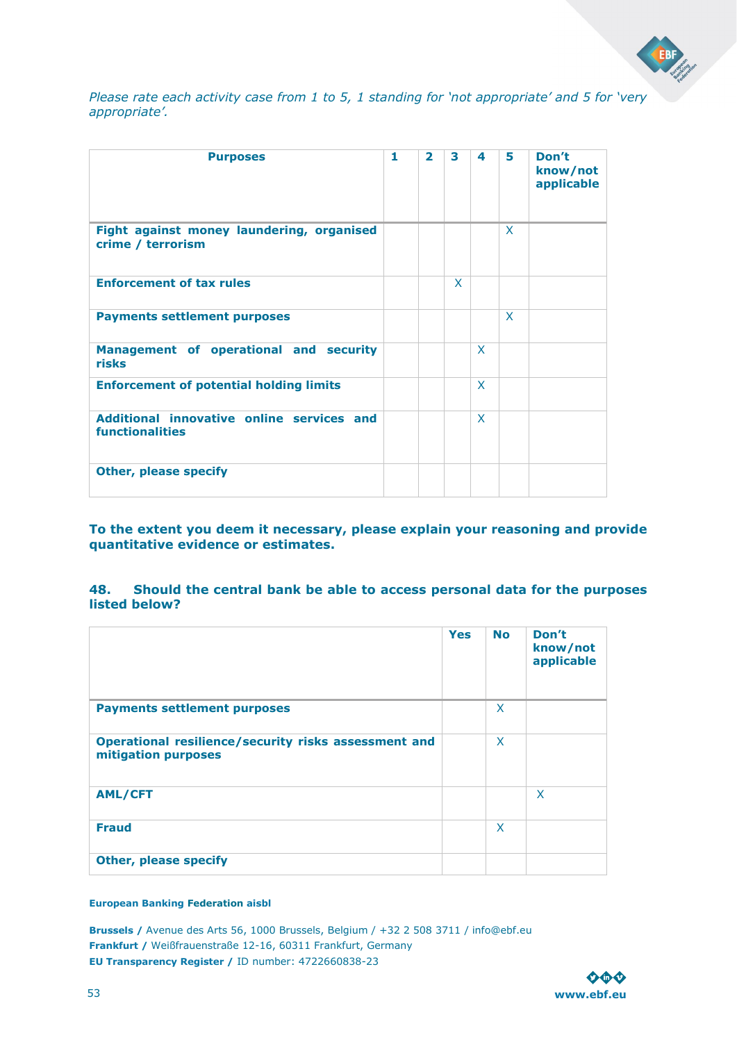![](_page_52_Picture_0.jpeg)

*Please rate each activity case from 1 to 5, 1 standing for 'not appropriate' and 5 for 'very appropriate'.* 

| <b>Purposes</b>                                                     | 1 | $\overline{\mathbf{z}}$ | 3 | 4            | 5            | Don't<br>know/not<br>applicable |
|---------------------------------------------------------------------|---|-------------------------|---|--------------|--------------|---------------------------------|
| Fight against money laundering, organised<br>crime / terrorism      |   |                         |   |              | X            |                                 |
| <b>Enforcement of tax rules</b>                                     |   |                         | X |              |              |                                 |
| <b>Payments settlement purposes</b>                                 |   |                         |   |              | $\mathsf{X}$ |                                 |
| Management of operational and security<br>risks                     |   |                         |   | $\mathsf{x}$ |              |                                 |
| <b>Enforcement of potential holding limits</b>                      |   |                         |   | $\mathsf{x}$ |              |                                 |
| Additional innovative online services and<br><b>functionalities</b> |   |                         |   | $\mathsf{x}$ |              |                                 |
| <b>Other, please specify</b>                                        |   |                         |   |              |              |                                 |

**To the extent you deem it necessary, please explain your reasoning and provide quantitative evidence or estimates.** 

**48. Should the central bank be able to access personal data for the purposes listed below?** 

|                                                                             | <b>Yes</b> | <b>No</b>    | Don't<br>know/not<br>applicable |
|-----------------------------------------------------------------------------|------------|--------------|---------------------------------|
| <b>Payments settlement purposes</b>                                         |            | X            |                                 |
| Operational resilience/security risks assessment and<br>mitigation purposes |            | $\mathsf{x}$ |                                 |
| <b>AML/CFT</b>                                                              |            |              | $\mathsf{x}$                    |
| <b>Fraud</b>                                                                |            | X            |                                 |
| <b>Other, please specify</b>                                                |            |              |                                 |

### **European Banking Federation aisbl**

![](_page_52_Picture_8.jpeg)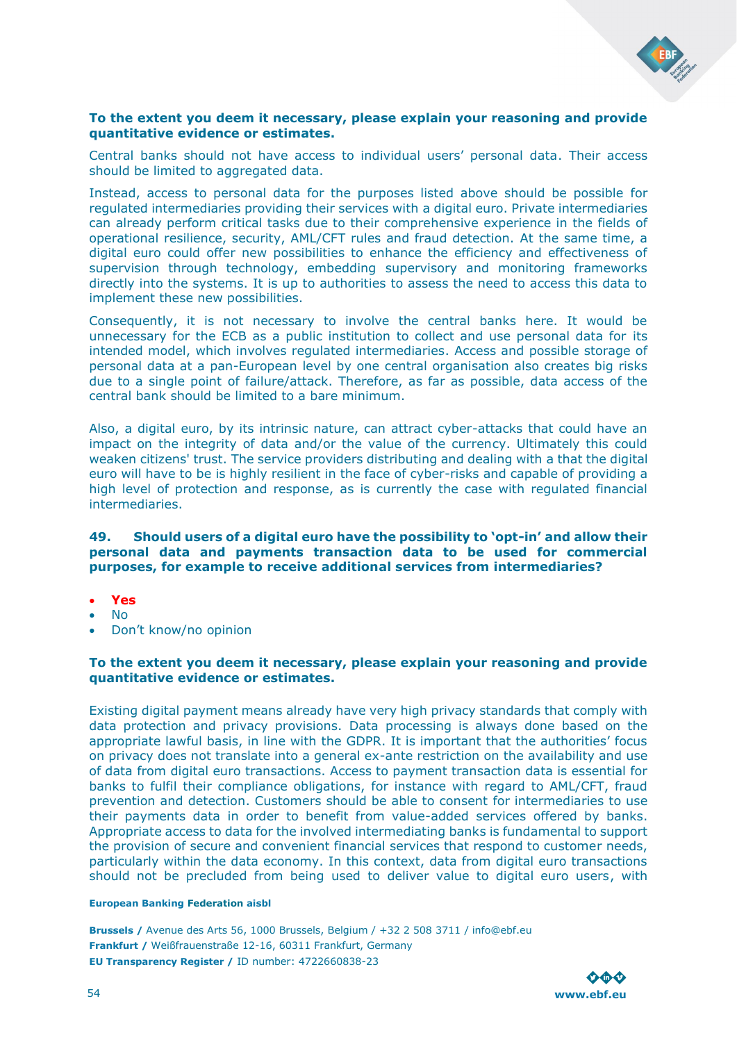![](_page_53_Picture_0.jpeg)

### **To the extent you deem it necessary, please explain your reasoning and provide quantitative evidence or estimates.**

Central banks should not have access to individual users' personal data. Their access should be limited to aggregated data.

Instead, access to personal data for the purposes listed above should be possible for regulated intermediaries providing their services with a digital euro. Private intermediaries can already perform critical tasks due to their comprehensive experience in the fields of operational resilience, security, AML/CFT rules and fraud detection. At the same time, a digital euro could offer new possibilities to enhance the efficiency and effectiveness of supervision through technology, embedding supervisory and monitoring frameworks directly into the systems. It is up to authorities to assess the need to access this data to implement these new possibilities.

Consequently, it is not necessary to involve the central banks here. It would be unnecessary for the ECB as a public institution to collect and use personal data for its intended model, which involves regulated intermediaries. Access and possible storage of personal data at a pan-European level by one central organisation also creates big risks due to a single point of failure/attack. Therefore, as far as possible, data access of the central bank should be limited to a bare minimum.

Also, a digital euro, by its intrinsic nature, can attract cyber-attacks that could have an impact on the integrity of data and/or the value of the currency. Ultimately this could weaken citizens' trust. The service providers distributing and dealing with a that the digital euro will have to be is highly resilient in the face of cyber-risks and capable of providing a high level of protection and response, as is currently the case with regulated financial intermediaries.

### **49. Should users of a digital euro have the possibility to 'opt-in' and allow their personal data and payments transaction data to be used for commercial purposes, for example to receive additional services from intermediaries?**

- **Yes**
- No
- Don't know/no opinion

### **To the extent you deem it necessary, please explain your reasoning and provide quantitative evidence or estimates.**

Existing digital payment means already have very high privacy standards that comply with data protection and privacy provisions. Data processing is always done based on the appropriate lawful basis, in line with the GDPR. It is important that the authorities' focus on privacy does not translate into a general ex-ante restriction on the availability and use of data from digital euro transactions. Access to payment transaction data is essential for banks to fulfil their compliance obligations, for instance with regard to AML/CFT, fraud prevention and detection. Customers should be able to consent for intermediaries to use their payments data in order to benefit from value-added services offered by banks. Appropriate access to data for the involved intermediating banks is fundamental to support the provision of secure and convenient financial services that respond to customer needs, particularly within the data economy. In this context, data from digital euro transactions should not be precluded from being used to deliver value to digital euro users, with

#### **European Banking Federation aisbl**

![](_page_53_Picture_14.jpeg)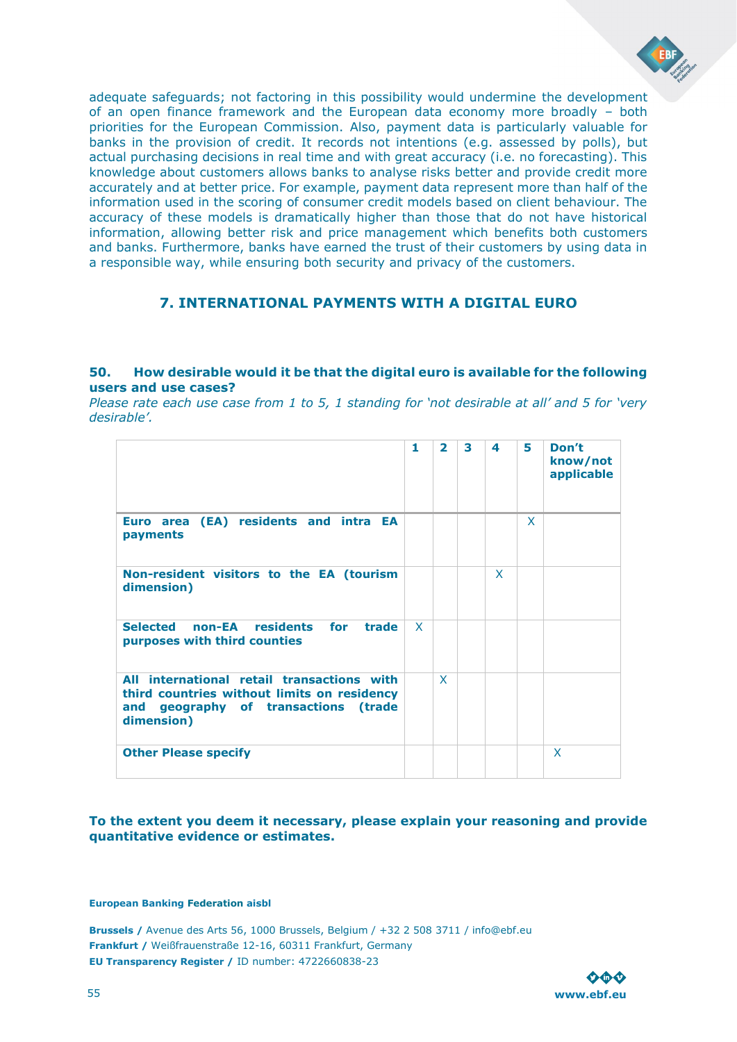![](_page_54_Picture_0.jpeg)

adequate safeguards; not factoring in this possibility would undermine the development of an open finance framework and the European data economy more broadly – both priorities for the European Commission. Also, payment data is particularly valuable for banks in the provision of credit. It records not intentions (e.g. assessed by polls), but actual purchasing decisions in real time and with great accuracy (i.e. no forecasting). This knowledge about customers allows banks to analyse risks better and provide credit more accurately and at better price. For example, payment data represent more than half of the information used in the scoring of consumer credit models based on client behaviour. The accuracy of these models is dramatically higher than those that do not have historical information, allowing better risk and price management which benefits both customers and banks. Furthermore, banks have earned the trust of their customers by using data in a responsible way, while ensuring both security and privacy of the customers.

### <span id="page-54-0"></span>**7. INTERNATIONAL PAYMENTS WITH A DIGITAL EURO**

### **50. How desirable would it be that the digital euro is available for the following users and use cases?**

*Please rate each use case from 1 to 5, 1 standing for 'not desirable at all' and 5 for 'very desirable'.* 

|                                                                                                                                                    | 1            | $\overline{\mathbf{z}}$ | 3 | 4 | 5 | Don't<br>know/not<br>applicable |
|----------------------------------------------------------------------------------------------------------------------------------------------------|--------------|-------------------------|---|---|---|---------------------------------|
| Euro area (EA) residents and intra EA<br>payments                                                                                                  |              |                         |   |   | X |                                 |
| Non-resident visitors to the EA (tourism<br>dimension)                                                                                             |              |                         |   | X |   |                                 |
| <b>Selected</b><br>non-EA residents for<br>trade<br>purposes with third counties                                                                   | $\mathsf{x}$ |                         |   |   |   |                                 |
| All international retail transactions with<br>third countries without limits on residency<br>geography of transactions (trade<br>and<br>dimension) |              | $\mathsf{x}$            |   |   |   |                                 |
| <b>Other Please specify</b>                                                                                                                        |              |                         |   |   |   | X                               |

### **To the extent you deem it necessary, please explain your reasoning and provide quantitative evidence or estimates.**

**European Banking Federation aisbl**

![](_page_54_Picture_9.jpeg)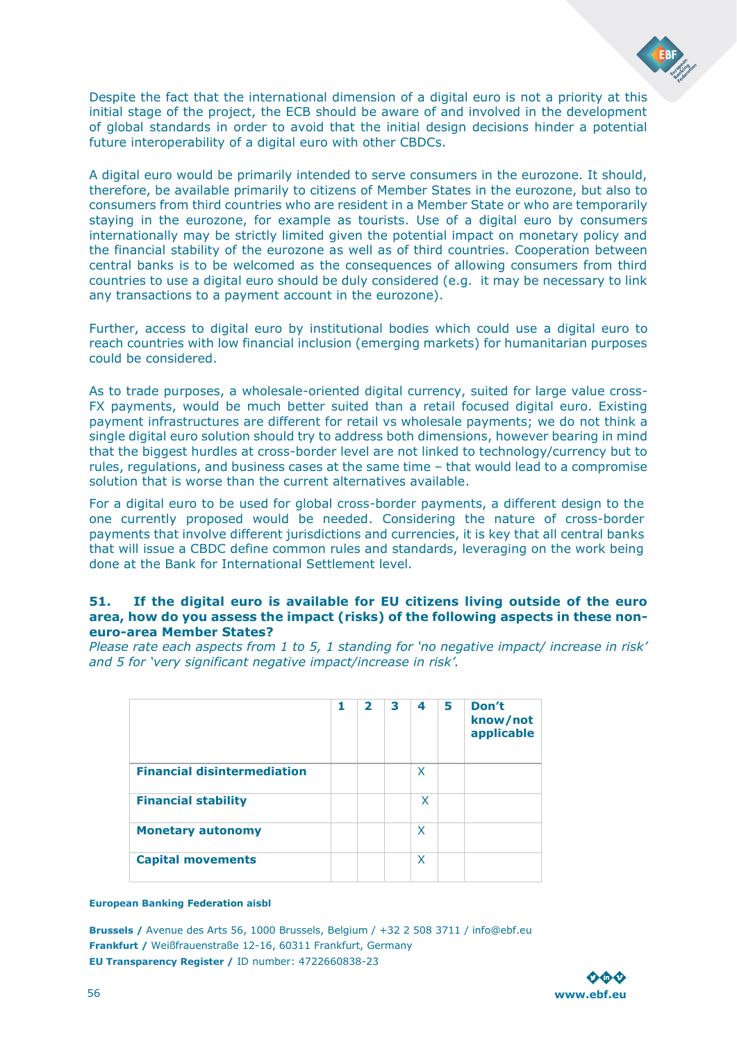![](_page_55_Picture_0.jpeg)

Despite the fact that the international dimension of a digital euro is not a priority at this initial stage of the project, the ECB should be aware of and involved in the development of global standards in order to avoid that the initial design decisions hinder a potential future interoperability of a digital euro with other CBDCs.

A digital euro would be primarily intended to serve consumers in the eurozone. It should, therefore, be available primarily to citizens of Member States in the eurozone, but also to consumers from third countries who are resident in a Member State or who are temporarily staying in the eurozone, for example as tourists. Use of a digital euro by consumers internationally may be strictly limited given the potential impact on monetary policy and the financial stability of the eurozone as well as of third countries. Cooperation between central banks is to be welcomed as the consequences of allowing consumers from third countries to use a digital euro should be duly considered (e.g. it may be necessary to link any transactions to a payment account in the eurozone).

Further, access to digital euro by institutional bodies which could use a digital euro to reach countries with low financial inclusion (emerging markets) for humanitarian purposes could be considered.

As to trade purposes, a wholesale-oriented digital currency, suited for large value cross-FX payments, would be much better suited than a retail focused digital euro. Existing payment infrastructures are different for retail vs wholesale payments; we do not think a single digital euro solution should try to address both dimensions, however bearing in mind that the biggest hurdles at cross-border level are not linked to technology/currency but to rules, regulations, and business cases at the same time – that would lead to a compromise solution that is worse than the current alternatives available.

For a digital euro to be used for global cross-border payments, a different design to the one currently proposed would be needed. Considering the nature of cross-border payments that involve different jurisdictions and currencies, it is key that all central banks that will issue a CBDC define common rules and standards, leveraging on the work being done at the Bank for International Settlement level.

### **51. If the digital euro is available for EU citizens living outside of the euro area, how do you assess the impact (risks) of the following aspects in these noneuro-area Member States?**

*Please rate each aspects from 1 to 5, 1 standing for 'no negative impact/ increase in risk' and 5 for 'very significant negative impact/increase in risk'.* 

|                                    | 1 | $\overline{\mathbf{2}}$ | 3 | 4 | 5 | Don't<br>know/not<br>applicable |
|------------------------------------|---|-------------------------|---|---|---|---------------------------------|
| <b>Financial disintermediation</b> |   |                         |   | X |   |                                 |
| <b>Financial stability</b>         |   |                         |   | X |   |                                 |
| <b>Monetary autonomy</b>           |   |                         |   | X |   |                                 |
| <b>Capital movements</b>           |   |                         |   | X |   |                                 |

#### **European Banking Federation aisbl**

![](_page_55_Picture_11.jpeg)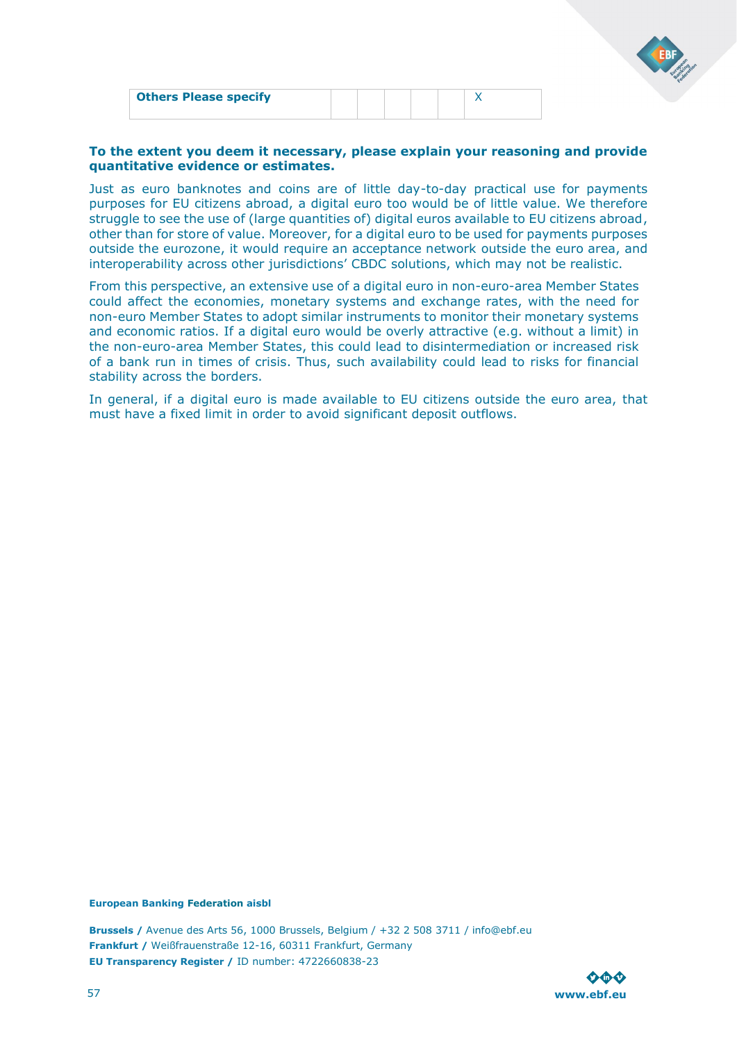| <b>Others Please specify</b> |  |  |  |  |
|------------------------------|--|--|--|--|
|                              |  |  |  |  |

### **To the extent you deem it necessary, please explain your reasoning and provide quantitative evidence or estimates.**

Just as euro banknotes and coins are of little day-to-day practical use for payments purposes for EU citizens abroad, a digital euro too would be of little value. We therefore struggle to see the use of (large quantities of) digital euros available to EU citizens abroad, other than for store of value. Moreover, for a digital euro to be used for payments purposes outside the eurozone, it would require an acceptance network outside the euro area, and interoperability across other jurisdictions' CBDC solutions, which may not be realistic.

From this perspective, an extensive use of a digital euro in non-euro-area Member States could affect the economies, monetary systems and exchange rates, with the need for non-euro Member States to adopt similar instruments to monitor their monetary systems and economic ratios. If a digital euro would be overly attractive (e.g. without a limit) in the non-euro-area Member States, this could lead to disintermediation or increased risk of a bank run in times of crisis. Thus, such availability could lead to risks for financial stability across the borders.

In general, if a digital euro is made available to EU citizens outside the euro area, that must have a fixed limit in order to avoid significant deposit outflows.

#### **European Banking Federation aisbl**

![](_page_56_Picture_7.jpeg)